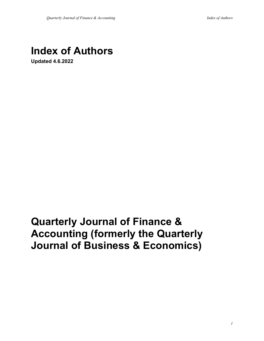## **Index of Authors**

**Updated 4.6.2022**

# **Quarterly Journal of Finance & Accounting (formerly the Quarterly Journal of Business & Economics)**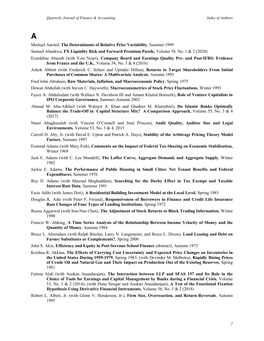### **A**

Michael Aarstol, **The Determinants of Relative Price Variability**, Summer 1999

Samuel Abankwa, **FX Liquidity Risk and Forward Premium Puzzle,** Volume 58, No. 1 & 2 (2020)

- Ezzeddine Abaoub (with Yosr Nouri), **Company Board and Earnings Quality Pre- and Post-IFRS: Evidence from France and the U.K.**, Volume 54, No. 3 & 4 (2016)
- Ashok Abbott (with Frederick C. Scherr and Upinder Dillon), **Returns to Target Shareholders From Initial Purchases of Common Shares: A Multivariate Analysis**, Autumn 1993

Fred John Abraham, **Raw Materials, Inflation, and Macroeconomic Policy**, Spring 1975

Dewan Abdullah (with Steven C. Hayworth), **Macroeconometrics of Stock Price Fluctuations**, Winter 1993

- Fayez A. Abdulsalam (with Wallace N. Davidson III and Amani Khaled Bouresli), **Role of Venture Capitalists in IPO Corporate Governance,** Summer-Autumn 2002
- Ahmad M. Abu-Alkheil (with Walayet A. Khan and Ghadeer M. Khartabiel), **Do Islamic Banks Optimally Balance the Trade-Off in Capital Structure Mix? A Comparison Approach,** Volume 55, No. 3 & 4 (2017)
- Naser Abughazaleh (with Vincent O'Connell and Jimé Princen), **Audit Quality, Auditor Size and Legal Environments**, Volume 53, No. 3 & 4, 2015
- Carroll D. Aby, Jr. (with David E. Upton and Patrick A. Hays), **Stability of the Arbitrage Pricing Theory Model Factors**, Summer 1997
- Esmond Adams (with Mary Fish), **Comments on the Impact of Federal Tax-Sharing on Economic Stabilization,**  Winter 1969
- Jack E. Adams (with C. Lee Mundell), **The Laffer Curve, Aggregate Demand, and Aggregate Supply**, Winter 1982
- Jackie E. Adams, **The Performance of Public Housing in Small Cities: Net Tenant Benefits and Federal Expenditures**, Summer 1976
- Roy D. Adams (with Masoud Moghaddam), **Searching for the Darby Effect in Tax Exempt and Taxable Interest Rate Data**, Summer 1991
- Essie Adibi (with James Doti), **A Residential Building Investment Model at the Local Level**, Spring 1985
- Douglas K. Adie (with Peter F. Freund), **Responsiveness of Borrowers to Finance and Credit Life Insurance Rate Changes of Four Types of Lending Institutions**, Spring 1972
- Reena Aggarwal (with Son-Nan Chen), **The Adjustment of Stock Returns to Block Trading Information**, Winter 1990
- Francis W. Ahking, **A Time Series Analysis of the Relationship Between Income Velocity of Money and the Quantity of Money**, Autumn 1984
- Bruce L. Ahrendsen (with Ralph Bierlen, Larry N. Langemeier, and Bruce L. Dixon), **Land Leasing and Debt on Farms: Substitutes or Complements?**, Spring 2000
- John S. Akin, **Efficiency and Equity in Post-Serrano School Finance** (abstract), Autumn 1973
- Krishna R. Akkina, **The Effects of Carrying Cost Uncertainty and Expected Price Changes on Inventories in the United States During 1959-1979**, Spring 1983; (with Devinder M. Malhotra), **Rapidly Rising Prices of Crude Oil and Natural Gas and Their Impact on Production Out of the Existing Reserves**, Spring 1981
- Fatima Alali (with Asokan Anandarajan), **The Interaction between LLP and SFAS 157 and Its Role in the Choice of Tools for Earnings and Capital Management by Banks during a Financial Crisis**, Volume 53, No. 1 & 2 (2014); (with Dona Siregar and Asokan Anandarajan), **A Test of the Functional Fixation Hypothesis Using Derivative Financial Instruments**, Volume 56, No. 1 & 2 (2018)
- Robert L. Albert, Jr. (with Glenn V. Henderson, Jr.), **Firm Size, Overreaction, and Return Reversals**, Autumn 1995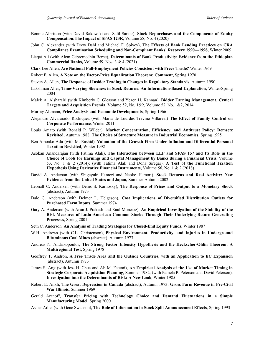- Bonnie Albritton (with David Rakowski and Salil Sarkar), **Stock Repurchases and the Components of Equity Compensation:The Impact of SFAS 123R**, Volume 58, No. 4 (2020)
- John C. Alexander (with Drew Dahl and Michael F. Spivey), **The Effects of Bank Lending Practices on CRA Compliance Examination Scheduling and Non-Compliant Banks' Recovery 1990—1998**, Winter 2009
- Liaqat Ali (with Alem Gebremedhin Berhe), **Determinants of Bank Productivity: Evidence from the Ethiopian Commercial Banks,** Volume 59, Nos. 3 & 4 (2021)
- Clark Lee Allen, **Are National Full-Employment Policies Consistent with Freer Trade?** Winter 1969
- Robert F. Allen, **A Note on the Factor-Price Equalization Theorem: Comment**, Spring 1970
- Steven A. Allen, **The Response of Insider Trading to Changes in Regulatory Standards**, Autumn 1990
- Lakshman Alles, **Time-Varying Skewness in Stock Returns: An Information-Based Explanation**, Winter/Spring 2004
- Malek A. Alsharairi (with Kimberly C. Gleason and Yezen H. Kannan), **Bidder Earning Management, Cynical Targets and Acquisition Premia**, Volume 52, No. 1&2, Volume 52, No. 1&2, 2014
- Murray Altmann, **Price Analysis and Economic Developments**, Spring 1966
- Alejandro Alvararado–Rodriquez (with Maria de Lourdes Trevino-Villareal) **The Effect of Family Control on Corporate Performance**, Winter 2011
- Louis Amato (with Ronald P. Wilder), **Market Concentration, Efficiency, and Antitrust Policy: Demsetz Revisited**, Autumn 1988, **The Choice of Structure Measure in Industrial Economics**, Spring 1995
- Ben Amoako-Adu (with M. Rashid), **Valuation of the Growth Firm Under Inflation and Differential Personal Taxation Revisited**, Winter 1992
- Asokan Anandarajan (with Fatima Alali), **The Interaction between LLP and SFAS 157 and Its Role in the Choice of Tools for Earnings and Capital Management by Banks during a Financial Crisis**, Volume 53, No. 1 & 2 (2014); (with Fatima Alali and Dona Siregar), **A Test of the Functional Fixation Hypothesis Using Derivative Financial Instruments**, Volume 56, No. 1 & 2 (2018)
- David A. Anderson (with Shigeyuki Hamori and Naoko Hamori), **Stock Returns and Real Activity: New Evidence from the United States and Japan,** Summer-Autumn 2002
- Leonall C. Andersen (with Denis S. Karnosky), **The Response of Prices and Output to a Monetary Shock** (abstract), Autumn 1973
- Dale G. Anderson (with Delmer L. Helgeson), **Cost Implications of Diversified Distribution Outlets for Purchased Farm Inputs**, Summer 1974
- Gary A. Anderson (with Arun J. Prakash and Raul Moncarz), **An Empirical Investigation of the Stability of the Risk Measures of Latin-American Common Stocks Through Their Underlying Return-Generating Processes**, Spring 2001
- Seth C. Anderson, **An Analysis of Trading Strategies for Closed-End Equity Funds**, Winter 1987
- W.H. Andrews (with C.L. Christenson), **Physical Environment, Productivity, and Injuries in Underground Bituminous Coal Mines** (abstract), Autumn 1973
- Andreas N. Andrikopoulos, **The Strong Factor Intensity Hypothesis and the Heckscher-Ohlin Theorem: A Multiregional Test**, Spring 1978
- Geoffrey T. Andron, **A Free Trade Area and the Outside Countries, with an Application to EC Expansion** (abstract), Autumn 1973
- James S. Ang (with Jess H. Chua and Ali M. Fatemi), **An Empirical Analysis of the Use of Market Timing in Strategic Corporate Acquisition Planning**, Summer 1982; (with Pamela P. Peterson and David Peterson), **Investigation into the Determinants of Risk: A New Look**, Winter 1985
- Robert E. Ankli, **The Great Depression in Canada** (abstract), Autumn 1973; **Gross Farm Revenue in Pre-Civil War Illinois**, Summer 1969
- Gerald Aranoff, **Transfer Pricing with Technology Choice and Demand Fluctuations in a Simple Manufacturing Model**, Spring 2000
- Avner Arbel (with Gene Swanson), **The Role of Information in Stock Split Announcement Effects**, Spring 1993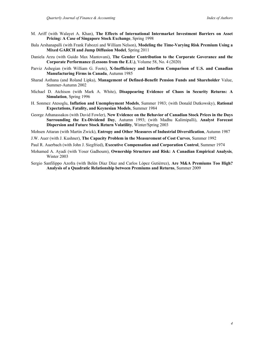- M. Ariff (with Walayet A. Khan), **The Effects of International Intermarket Investment Barriers on Asset Pricing: A Case of Singapore Stock Exchange**, Spring 1998
- Bala Arshanapalli (with Frank Fabozzi and William Nelson), **Modeling the Time-Varying Risk Premium Using a Mixed GARCH and Jump Diffusion Model**, Spring 2011
- Daniela Arzu (with Guido Max Mantovani), **The Gender Contribution to the Corporate Goverance and the Corporate Performance (Lessons from the E.U.)**, Volume 58, No. 4 (2020)
- Parviz Ashegian (with William G. Foote), **X-Inefficiency and Interfirm Comparison of U.S. and Canadian Manufacturing Firms in Canada**, Autumn 1985
- Sharad Asthana (and Roland Lipka), **Management of Defined-Benefit Pension Funds and Shareholder** Value, Summer-Autumn 2002
- Michael D. Atchison (with Mark A. White), **Disappearing Evidence of Chaos in Security Returns: A Simulation**, Spring 1996
- H. Sonmez Atesoglu, **Inflation and Unemployment Models**, Summer 1983; (with Donald Dutkowsky), **Rational Expectations, Fatality, and Keynesian Models**, Summer 1984
- George Athanassakos (with David Fowler), **New Evidence on the Behavior of Canadian Stock Prices in the Days Surrounding the Ex-Dividend Day**, Autumn 1993; (with Madhu Kalimipalli), **Analyst Forecast Dispersion and Future Stock Return Volatility**, Winter/Spring 2003

Mohsen Attaran (with Martin Zwick), **Entropy and Other Measures of Industrial Diversification**, Autumn 1987

- J.W. Auer (with J. Kushner), **The Capacity Problem in the Measurement of Cost Curves**, Summer 1992
- Paul R. Auerbach (with John J. Siegfried), **Executive Compensation and Corporation Control**, Summer 1974
- Mohamed A. Ayadi (with Yoser Gadhoum), **Ownership Structure and Risk: A Canadian Empirical Analysis**, Winter 2003
- Sergio Sanfilippo Azofra (with Belén Díaz Díaz and Carlos López Gutiérrez), **Are M&A Premiums Too High? Analysis of a Quadratic Relationship between Premiums and Returns**, Summer 2009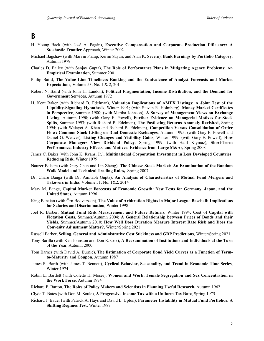#### **B**

- H. Young Baek (with José A. Pagán), **Executive Compensation and Corporate Production Efficiency: A Stochastic Frontier** Approach, Winter 2002
- Michael Bagshaw (with Marvin Phaup, Kerim Sayan, and Alan K. Severn), **Bank Earnings by Portfolio Category**, Autumn 1979
- Charles D. Bailey (with Sanjay Gupta), **The Role of Performance Plans in Mitigating Agency Problems: An Empirical Examination,** Summer 2001
- Philip Baird, **The Value Line Timeliness Ranking and the Equivalence of Analyst Forecasts and Market Expectations**, Volume 53, No. 1 & 2, 2014
- Robert N. Baird (with John H. Landon), **Political Fragmentation, Income Distribution, and the Demand for Government Services**, Autumn 1972
- H. Kent Baker (with Richard B. Edelman), **Valuation Implications of AMEX Listings: A Joint Test of the Liquidity-Signaling Hypothesis**, Winter 1991; (with Stevan R. Holmberg), **Money Market Certificates in Perspective**, Summer 1980; (with Martha Johnson), **A Survey of Management Views on Exchange Listing**, Autumn 1990; (with Gary E. Powell), **Further Evidence on Managerial Motives for Stock Splits**, Summer 1993; (with Richard B. Edelman), **The Postlisting Returns Anomaly Revisited,** Spring 1994; (with Walayet A. Khan and Richard B. Edelman), **Competition Versus Consolidation of Order Flow: Common Stock Listing on Dual Domestic Exchanges**, Autumn 1995; (with Gary E. Powell and Daniel G. Weaver), **Listing Changes and Visibility Gains**, Winter 1999; (with Gary E. Powell), **How Corporate Managers View Dividend Policy**, Spring 1999; (with Halil Kiymaz), **Short-Term Performance, Industry Effects, and Motives: Evidence from Large M&As,** Spring 2008
- James C. Baker (with John K. Ryans, Jr.), **Multinational Corporation Investment in Less Developed Countries: Reducing Risk**, Winter 1979
- Nauzer Balsara (with Gary Chen and Lin Zheng), **The Chinese Stock Market: An Examination of the Random Walk Model and Technical Trading Rules,** Spring 2007
- Dr. Charu Banga (with Dr. Amitabh Gupta), **An Analysis of Characteristics of Mutual Fund Mergers and Takovers in India**, Volume 51, No. 1&2, 2014
- Mary M. Bange, **Capital Market Forecasts of Economic Growth: New Tests for Germany, Japan, and the United States**, Autumn 1996
- King Banaian (with Örn Bodvarsson), **The Value of Arbitration Rights in Major League Baseball: Implications for Salaries and Discrimination**, Winter 1998
- Joel R. Barber, **Mutual Fund Risk Measurement and Future Returns**, Winter 1994; **Cost of Capital with Flotation Costs**, Summer/Autumn 2004; **A General Relationship between Prices of Bonds and their Yields**, Summer/Autumn 2010; **How Well Does Duration Measure Interest Rate Risk and Does the Convesity Adjustment Matter?**, Winter/Spring 2021
- Russell Barber**, Selling, General and Administrative Cost Stickiness and GDP Predictions**, Winter/Spring 2021
- Tony Barilla (with Ken Johnston and Don R. Cox), **A Reexamination of Institutions and Individuals at the Turn of the** Year, Autumn 2000
- Tom Barnes (with David A. Burnie), **The Estimation of Corporate Bond Yield Curves as a Function of Termto-Maturity and Coupon**, Autumn 1987
- James R. Barth (with James T. Bennett), **Cyclical Behavior, Seasonality, and Trend in Economic Time Series**, Winter 1974
- Robin L. Bartlett (with Colette H. Moser), **Women and Work: Female Segregation and Sex Concentration in the Work Force**, Autumn 1974
- Richard F. Barton, **The Roles of Policy Makers and Scientists in Planning Useful Research,** Autumn 1962
- Clyde T. Bates (with Don M. Soule), **A Progressive Income Tax with a Uniform Tax Rate**, Spring 1975
- Richard J. Bauer (with Patrick A. Hays and David E. Upton), **Parameter Instability in Mutual Fund Portfolios: A Shifting Regimes Test**, Winter 1987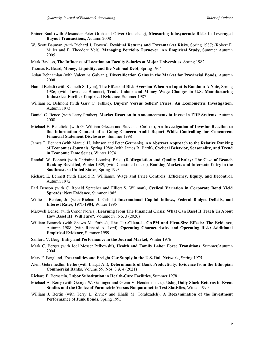- Rainer Baul (with Alexander Peter Groh and Oliver Gottschalg), **Measuring Idiosyncratic Risks in Leveraged Buyout Transactions**, Autumn 2008
- W. Scott Bauman (with Richard J. Dowen), **Residual Returns and Extramarket Risks**, Spring 1987; (Robert E. Miller and E. Theodore Veit), **Managing Portfolio Turnover: An Empirical Study,** Summer Autumn 2005
- Mark Bayless, **The Influence of Location on Faculty Salaries at Major Universities**, Spring 1982
- Thomas R. Beard, **Money, Liquidity, and the National Debt**, Spring 1964
- Aslan Behnamian (with Valentina Galvani), **Diversification Gains in the Market for Provincial Bonds**, Autumn 2008
- Hamid Beladi (with Kenneth S. Lyon), **The Effects of Risk Aversion When An Input Is Random: A Note**, Spring 1986; (with Lawrence Brunner), **Trade Unions and Money Wage Changes in U.S. Manufacturing Industries: Further Empirical Evidence**, Summer 1987
- William R. Belmont (with Gary C. Fethke), **Buyers' Versus Sellers' Prices: An Econometric Investigation**, Autumn 1973
- Daniel C. Benco (with Larry Prather), **Market Reaction to Announcements to Invest in ERP Systems**, Autumn 2008
- Michael E. Benefield (with G. William Glezen and Steven J. Carlson), **An Investigation of Investor Reaction to the Information Content of a Going Concern Audit Report While Controlling for Concurrent Financial Statement Disclosures**, Summer 1998
- James T. Bennett (with Manuel H. Johnson and Peter Germanis), **An Abstract Approach to the Relative Ranking of Economics Journals**, Spring 1980; (with James R. Barth), **Cyclical Behavior, Seasonality, and Trend in Economic Time Series**, Winter 1974
- Randall W. Bennett (with Christine Loucks), **Price (De)Regulation and Quality Rivalry: The Case of Branch Banking Revisited**, Winter 1989; (with Christine Loucks), **Banking Markets and Interstate Entry in the Southeastern United States**, Spring 1993
- Richard E. Bennett (with Harold R. Williams), **Wage and Price Controls: Efficiency, Equity, and Decontrol**, Autumn 1972
- Earl Benson (with C. Ronald Sprecher and Elliott S. Willman), **Cyclical Variation in Corporate Bond Yield Spreads: New Evidence**, Summer 1985
- Willie J. Benton, Jr. (with Richard J. Cebula) **International Capital Inflows, Federal Budget Deficits, and Interest Rates, 1971-1984**, Winter 1995
- Maxwell Benzel (with Conor Norris), **Learning from The Financial Crisis: What Can Basel II Teach Us About How Basel III Will Fare?**, Volume 58, No. 3 (2020)
- William Beranek (with Shawn M. Forbes), **The Tax-Clientele CAPM and Firm-Size Effects: The Evidence**, Autumn 1988; (with Richard A. Lord), **Operating Characteristics and Operating Risk: Additional Empirical Evidence**, Summer 1999
- Sanford V. Berg, **Entry and Performance in the Journal Market,** Winter 1976
- Mark C. Berger (with Jodi Messer Pelkowski), **Health and Family Labor Force Transitions,** Summer/Autumn 2004
- Mary F. Berglund, **Externalities and Freight Car Supply in the U.S. Rail Network**, Spring 1975
- Alem Gebremedhin Berhe (with Liaqat Ali), **Determinants of Bank Productivity: Evidence from the Ethiopian Commercial Banks,** Volume 59, Nos. 3 & 4 (2021)
- Richard E. Bernstein, **Labor Substitution in Health-Care Facilities**, Summer 1978
- Michael A. Berry (with George W. Gallinger and Glenn V. Henderson, Jr.), **Using Daily Stock Returns in Event Studies and the Choice of Parametric Versus Nonparametric Test Statistics**, Winter 1990
- William J. Bertin (with Terry L. Zivney and Khalil M. Torabzadeh), **A Reexamination of the Investment Performance of Junk Bonds**, Spring 1993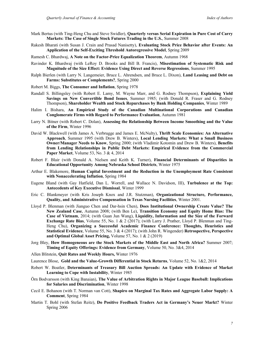- Mark Bertus (with Ting-Heng Chu and Steve Swidler), **Quarterly versus Serial Expiration in Pure Cost of Carry Markets: The Case of Single Stock Futures Trading in the U.S.**, Summer 2008
- Rakesh Bharati (with Susan J. Crain and Prasad Nanisetty), **Evaluating Stock Price Behavior after Events: An Application of the Self-Exciting Threshold Autoregressive Model**, Spring 2009
- Ramesh C. Bhardwaj, **A Note on the Factor-Price Equalization Theorem**, Autumn 1968
- Ravinder K. Bhardwaj (with LeRoy D. Brooks and Bill B. Francis), **Misestimation of Systematic Risk and Magnitude of the Size Effect: Evidence Using Direct and Reverse Regressions**, Summer 1995
- Ralph Bierlen (with Larry N. Langemeier, Bruce L. Ahrendsen, and Bruce L. Dixon), **Land Leasing and Debt on Farms: Substitutes or Complements?**, Spring 2000
- Robert M. Biggs, **The Consumer and Inflation**, Spring 1978
- Randall S. Billingsley (with Robert E. Lamy, M. Wayne Marr, and G. Rodney Thompson), **Explaining Yield Savings on New Convertible Bond Issues**, Summer 1985; (with Donald R. Fraser and G. Rodney Thompson), **Shareholder Wealth and Stock Repurchases by Bank Holding Companies**, Winter 1989
- Halim I. Bishara, **An Empirical Study of the Canadian Multinational Corporations and Canadian Conglomerate Firms with Regard to Performance Evaluation**, Autumn 1981
- Larry N. Bitner (with Robert C. Dolan), **Assessing the Relationship Between Income Smoothing and the Value of the Firm**, Winter 1996
- David W. Blackwell (with James A. Verbrugge and James E. McNulty), **Thrift Scale Economies: An Alternative Approach**, Summer 1995 (with Drew B. Winters), **Local Lending Markets: What a Small Business Owner/Manager Needs to Know**, Spring 2000; (with Vladimir Kotomin and Drew B. Winters), **Benefits from Lending Relationships in Public Debt Markets: Empirical Evidence from the Commercial Paper Market**, Volume 53, No. 3 & 4, 2014
- Robert F. Blair (with Donald A. Nielsen and Keith K. Turner), **Financial Determinants of Disparities in Educational Opportunity Among Nebraska School Districts**, Winter 1975
- Arthur E. Blakemore, **Human Capital Investment and the Reduction in the Unemployment Rate Consistent with Nonaccelerating Inflation**, Spring 1984
- Eugene Bland (with Gay Hatfield, Dan L. Worrell, and Wallace N. Davidson, III), **Turbulence at the Top: Antecedents of Key Executive Dismissal**, Winter 1999
- Eric C. Blankmeyer (with Kris Joseph Knox and J.R. Stutzman), **Organizational Structure, Performance, Quality, and Administrative Compensation in Texas Nursing Facilities**, Winter 2001.
- Lloyd P. Blenman (with Jianguo Chen and Dar-hsin Chen), **Does Institutional Ownership Create Value? The New Zealand Case**, Autumn 2008; (with Ben Le), **Transition Economy and Equity Home Bias: The Case of Vietnam**, 2014; (with Guan Jun Wang), **Liquidity, Information and the Size of the Forward Exchange Rate Bias**, Volume 55, No. 1 & 2 (2017); (with Larry J. Prather, Lloyd P. Blenman and Ting-Heng Chu), **Organizing a Successful Academic Finance Conference: Thoughts, Heuristics and Statistical Evidence**, Volume 55, No. 3 & 4 (2017); (with John R. Wingender) **Retrospective, Perspective and Optimal Global Asset Pricing,** Volume 57, No. 1 & 2 (2019)
- Jorg Bley, **How Homogeneous are the Stock Markets of the Middle East and North Africa?** Summer 2007; **Timing of Equity Offerings: Evidence from Germany**, Volume 50, No. 3&4, 2014
- Allen Blitstein, **Quit Rates and Weekly Hours,** Winter 1976
- Laurence Blose, **Gold and the Value-Growth Differential in Stock Returns**, Volume 52, No. 1&2, 2014
- Robert W. Boatler, **Determinants of Treasury Bill Auction Spreads: An Update with Evidence of Market Learning to Cope with Instability**, Winter 1985
- Örn Bodvarsson (with King Banaian), **The Value of Arbitration Rights in Major League Baseball: Implications for Salaries and Discrimination**, Winter 1998
- Cecil E. Bohanon (with T. Norman van Cott), **Shapiro on Marginal Tax Rates and Aggregate Labor Supply: A Comment**, Spring 1984
- Martin T. Bohl (with Stefan Reitz), **Do Positive Feedback Traders Act in Germany's Neuer Markt?** Winter Spring 2006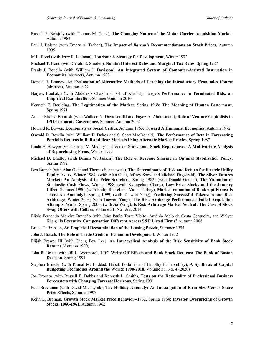- Russell P. Boisjoly (with Thomas M. Corsi), **The Changing Nature of the Motor Carrier Acquisition Market**, Autumn 1983
- Paul J. Bolster (with Emery A. Trahan), **The Impact of** *Barron's* **Recommendations on Stock Prices**, Autumn 1995
- M.E. Bond (with Jerry R. Ladman), **Tourism: A Strategy for Development**, Winter 1972
- Michael T. Bond (with Gerald E. Smolen), **Nominal Interest Rates and Marginal Tax Rates**, Spring 1987
- Frank J. Bonello (with William I. Davisson), **An Integrated System of Computer-Assisted Instruction in Economics** (abstract), Autumn 1973
- Donald R. Bonney, **An Evaluation of Alternative Methods of Teaching the Introductory Economics Course** (abstract), Autumn 1972
- Narjess Boubakri (with Abdelaziz Chazi and Ashraf Khallaf), **Targets Performance in Terminated Bids: an Empirical Examination**, Summer/Autumn 2010
- Kenneth E. Boulding, **The Legitimation of the Market**, Spring 1968**; The Meaning of Human Betterment**, Spring 1971
- Amani Khaled Bouresli (with Wallace N. Davidson III and Fayez A. Abdulsalam), **Role of Venture Capitalists in IPO Corporate Governance,** Summer-Autumn 2002
- Howard R. Bowen, **Economists as Social Critics**, Autumn 1963**; Toward A Humanist Economics**, Autumn 1972
- Oswald D. Bowlin (with William P. Dukes and S. Scott MacDonald), **The Performance of Beta in Forecasting Portfolio Returns in Bull and Bear Markets Using Alternate Market Proxies**, Spring 1987
- Linda E. Bowyer (with Prasad V. Medury and Venkat Srinivasan), **Stock Repurchases: A Multivariate Analysis of Repurchasing Firms**, Winter 1992
- Michael D. Bradley (with Dennis W. Jansen), **The Role of Revenue Sharing in Optimal Stabilization Policy**, Spring 1992
- Ben Branch (with Alan Gleit and Thomas Schneeweis), **The Determinants of Risk and Return for Electric Utility Equity Issues**, Winter 1984**;** (with Alan Gleit, Jeffrey Sooy, and Michael Fitzgerald), **The Silver Futures Market: An Analysis of its Price Structure**, Spring 1982**;** (with Donald Geman), **The Valuation of Stochastic Cash Flows**, Winter 1988; (with Kyungchun Chang), **Low Price Stocks and the January Effect**, Summer 1990; (with Philip Russel and Violet Torbey), **Market Valuation of Bankrupt Firms: Is There An Anomaly?**, Spring 1999; (with Taewon Yang), **Predicting Successful Takeovers and Risk Arbitrage**, Winter 2003; (with Taewon Yang), **The Risk Arbitrage Performance: Failed Acquisition Attempts**, Winter Spring 2006; (with Jia Wang), **Is Risk Arbitrage Market Neutral: The Case of Stock Swap Offers with Collars**, Volume 51, No 1&2, 2014
- Elísio Fernando Moreira Brandão (with João Paulo Torre Vieito, António Melo da Costa Cerqueira, and Walyet Khan), **Is Executive Compensation Different Across S&P Listed Firms?** Autumn 2008
- Bruce C. Branson, **An Empirical Reexamination of the Leasing Puzzle**, Summer 1995
- John J. Brasch, **The Role of Trade Credit in Economic Development**, Winter 1972
- Elijah Brewer III (with Cheng Few Lee), **An Intracyclical Analysis of the Risk Sensitivity of Bank Stock Returns** (Autumn 1990)
- John R. Brick (with Jill L. Wetmore), **LDC Write-Off Effects and Bank Stock Returns: The Bank of Boston Decision**, Spring 1991
- Stephen Brincks (with Kamal M. Haddad, Babak Lotfaliei and Timothy E. Trombley), **A Synthesis of Capital Budgeting Techniques Around the World: 1990-2018**, Volume 58, No. 4 (2020)
- Joe Brocato (with Russell E. Dabbs and Kenneth L. Smith), **Tests on the Rationality of Professional Business Forecasters with Changing Forecast Horizons**, Spring 1991
- Paul Brockman (with David Michayluk), **The Holiday Anomaly: An Investigation of Firm Size Versus Share Price Effects**, Summer 1997
- Keith L. Broman, **Growth Stock Market Price Behavior--1962**, Spring 1964; **Investor Overpricing of Growth Stocks, 1960-1961,** Autumn 1962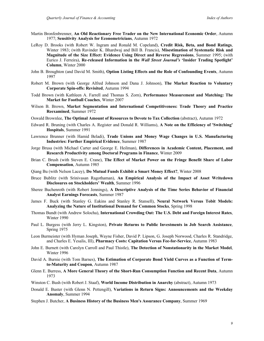- Martin Bronfenbrenner, **An Old Reactionary Free Trader on the New International Economic Order**, Autumn 1977; **Sensitivity Analysis for Econometricians**, Autumn 1972
- LeRoy D. Brooks (with Robert W. Ingram and Ronald M. Copeland), **Credit Risk, Beta, and Bond Ratings**, Winter 1983; (with Ravinder K. Bhardwaj and Bill B. Francis), **Misestimation of Systematic Risk and Magnitude of the Size Effect: Evidence Using Direct and Reverse Regressions**, Summer 1995; (with Eurico J. Ferreira), **Re-released Information in the** *Wall Street Journal's* **'Insider Trading Spotlight' Column**, Winter 2000
- John B. Broughton (and David M. Smith), **Option Listing Effects and the Role of Confounding Events**, Autumn 1997
- Robert M. Brown (with George Alfred Johnson and Dana J. Johnson), **The Market Reaction to Voluntary Corporate Spin-offs: Revisited**, Autumn 1994
- Todd Brown (with Kathleen A. Farrell and Thomas S. Zorn), **Performance Measurement and Matching: The Market for Football Coaches**, Winter 2007
- Wilson B. Brown, **Market Segmentation and International Competitiveness: Trade Theory and Practice Reexamined**, Summer 1972
- Oswald Brownlee, **The Optimal Amount of Resources to Devote to Tax Collection** (abstract), Autumn 1972
- Edward R. Bruning (with Charles A. Register and Donald R. Williams), **A Note on the Efficiency of 'Switching' Hospitals**, Summer 1991
- Lawrence Brunner (with Hamid Beladi), **Trade Unions and Money Wage Changes in U.S. Manufacturing Industries: Further Empirical Evidence**, Summer 1987
- Jorge Brusa (with Michael Carter and George E. Heilman), **Differences in Academic Content, Placement, and Research Productivity among Doctoral Programs in Finance**, Winter 2009
- Brian C. Brush (with Steven E. Crane), **The Effect of Market Power on the Fringe Benefit Share of Labor Compensation**, Autumn 1985
- Qiang Bu (with Nelson Lacey), **Do Mutual Funds Exhibit a Smart Money Effect?**, Winter 2008
- Bruce Bublitz (with Srinivasan Ragothaman), **An Empirical Analysis of the Impact of Asset Writedown Disclosures on Stockholders' Wealth**, Summer 1996
- Sheree Buchenroth (with Robert Jennings), **A Descriptive Analysis of the Time Series Behavior of Financial Analyst Earnings Forecasts**, Summer 1987
- James F. Buck (with Stanley G. Eakins and Stanley R. Stansell), **Neural Network Versus Tobit Models: Analyzing the Nature of Institutional Demand for Common Stocks**, Spring 1998
- Thomas Bundt (with Andrew Solocha), **International Crowding Out: The U.S. Debt and Foreign Interest Rates**, Winter 1990
- Paul L. Burgess (with Jerry L. Kingston), **Private Returns to Public Investments in Job Search Assistance**, Spring 1975
- Leon Burmeister (with Hyman Joseph, Wayne Fisher, David P. Lipson, G. Joseph Norwood, Charles R. Standridge, and Charles E. Yesalis, III), **Pharmacy Costs: Capitation Versus Fee-for-Service**, Autumn 1983
- John E. Burnett (with Carolyn Carroll and Paul Thistle), **The Detection of Nonstationarity in the Market Model**, Winter 1996
- David A. Burnie (with Tom Barnes), **The Estimation of Corporate Bond Yield Curves as a Function of Termto-Maturity and Coupon**, Autumn 1987
- Glenn E. Burress, **A More General Theory of the Short-Run Consumption Function and Recent Data**, Autumn 1973
- Winston C. Bush (with Robert J. Staaf), **World Income Distribution in Anarchy** (abstract), Autumn 1973
- Donald E. Buster (with Glenn N. Pettengill), **Variations in Return Signs: Announcements and the Weekday Anomaly**, Summer 1994
- Stephen J. Butcher, **A Business History of the Business Men's Assurance Company**, Summer 1969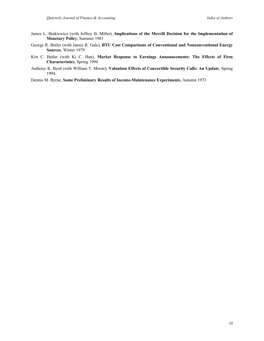- James L. Butkiewicz (with Jeffrey B. Miller), **Implications of the Merrill Decision for the Implementation of Monetary Policy**, Summer 1981
- George R. Butler (with James R. Gale), **BTU Cost Comparisons of Conventional and Nonconventional Energy Sources**, Winter 1979
- Kirt C. Butler (with Ki C. Han), **Market Response to Earnings Announcements: The Effects of Firm Characteristics**, Spring 1994
- Anthony K. Byrd (with William T. Moore), **Valuation Effects of Convertible Security Calls: An Update**, Spring 1994.
- Dennis M. Byrne, **Some Preliminary Results of Income-Maintenance Experiments**, Autumn 1973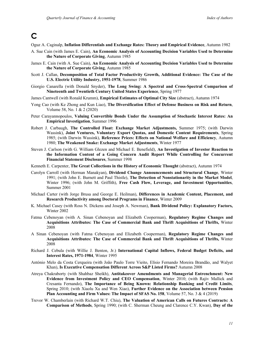### **C**

Oguz A. Caginalp, **Inflation Differentials and Exchange Rates: Theory and Empirical Evidence**, Autumn 1982

- A. Sue Cain (with James E. Cain), **An Economic Analysis of Accounting Decision Variables Used to Determine the Nature of Corporate Giving**, Autumn 1985
- James E. Cain (with A. Sue Cain), **An Economic Analysis of Accounting Decision Variables Used to Determine the Nature of Corporate Giving**, Autumn 1985
- Scott J. Callan, **Decomposition of Total Factor Productivity Growth, Additional Evidence: The Case of the U.S. Electric Utility Industry, 1951-1978**, Summer 1986
- Giorgio Canarella (with Donald Snyder), **The Long Swing: A Spectral and Cross-Spectral Comparison of Nineteenth and Twentieth Century United States Experience**, Spring 1977
- James Cantwell (with Ronald Krumm), **Empirical Estimates of Optimal City Size** (abstract), Autumn 1974
- Yong Cao (with Ke Zhong and Kun Liao), **The Diversification Effect of Defense Business on Risk and Return**, Volume 58, No. 1 & 2 (2020)
- Peter Carayannopoulos, **Valuing Convertible Bonds Under the Assumption of Stochastic Interest Rates: An Empirical Investigation**, Summer 1996
- Robert J. Carbaugh, **The Controlled Float: Exchange Market Adjustments,** Summer 1975; (with Darwin Wassink), **Joint Ventures, Voluntary Export Quotas, and Domestic Content Requirements**, Spring 1985; (with Darwin Wassink), **Reference Prices: Effects on National Welfare and Efficiency**, Autumn 1980; **The Weakened Snake: Exchange Market Adjustments**, Winter 1977
- Steven J. Carlson (with G. William Glezen and Michael E. Benefield), **An Investigation of Investor Reaction to the Information Content of a Going Concern Audit Report While Controlling for Concurrent Financial Statement Disclosures**, Summer 1998
- Kenneth E. Carpenter, **The Great Collections in the History of Economic Thought** (abstract), Autumn 1974
- Carolyn Carroll (with Herman Manakyan), **Dividend Change Announcements and Structural Change**, Winter 1991; (with John E. Burnett and Paul Thistle), **The Detection of Nonstationarity in the Market Model**, Winter 1996; (with John M. Griffith), **Free Cash Flow, Leverage, and Investment Opportunities**, Summer 2001
- Michael Carter (with Jorge Brusa and George E. Heilman), **Differences in Academic Content, Placement, and Research Productivity among Doctoral Programs in Finance**, Winter 2009
- K. Michael Casey (with Ross N. Dickens and Joseph A. Newman), **Bank Dividend Policy: Explanatory Factors,** Winter 2002
- Fatma Cebenoyan (with A. Sinan Cebenoyan and Elizabeth Cooperman), **Regulatory Regime Changes and Acquisitions Attributes: The Case of Commercial Bank and Thrift Acquisitions of Thrifts,** Winter 2008
- A Sinan Cebenoyan (with Fatma Cebenoyan and Elizabeth Cooperman), **Regulatory Regime Changes and Acquisitions Attributes: The Case of Commercial Bank and Thrift Acquisitions of Thrifts,** Winter 2008
- Richard J. Cebula (with Willie J. Benton, Jr.) **International Capital Inflows, Federal Budget Deficits, and Interest Rates, 1971-1984**, Winter 1995
- António Melo da Costa Cerqueira (with João Paulo Torre Vieito, Elísio Fernando Moreira Brandão, and Walyet Khan), **Is Executive Compensation Different Across S&P Listed Firms?** Autumn 2008
- Atreya Chakraborty (with Shahbaz Sheikh), **Antitakeover Amendments and Managerial Entrenchment: New Evidence from Investment Policy and CEO Compensation**, Winter 2010; (with Rajiv Mallick and Cresanta Fernando), **The Importance of Being Known: Relationship Banking and Credit Limits**, Spring 2010; (with Xiaolu Xu and Wen Xiao), **Further Evidence on the Association between Pension Plan Accounting and Firm Values: The Impact of SFAS No. 158**, Volume 57, No. 3 & 4 (2019)
- Trevor W. Chamberlain (with Richard W.T. Chiu), **The Valuation of American Calls on Futures Contracts: A Comparison of Methods**, Spring 1990; (with C. Sherman Cheung and Clarence C.Y. Kwan), **Day of the**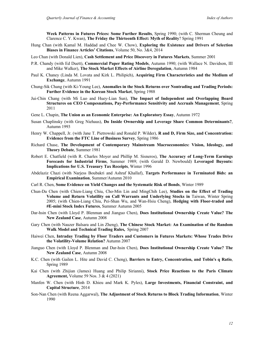**Week Patterns in Futures Prices: Some Further Results**, Spring 1990; (with C. Sherman Cheung and Clarence C. Y. Kwan), **The Friday the Thirteenth Effect: Myth of Reality**? Spring 1991

- Hung Chan (with Kamal M. Haddad and Chee W. Chow), **Exploring the Existence and Drivers of Selection Biases in Finance Articles' Citations**, Volume 50, No. 3&4, 2014
- Leo Chan (with Donald Lien), **Cash Settlement and Price Discovery in Futures Markets**, Summer 2001
- P.R. Chandy (with Ed Duett), **Commercial Paper Rating Models**, Autumn 1990; (with Wallace N. Davidson, III and Mike Walker), **The Stock Market Effects of Airline Deregulation**, Autumn 1984
- Paul K. Chaney (Linda M. Lovata and Kirk L. Philipich), **Acquiring Firm Characteristics and the Medium of Exchange**, Autumn 1991
- Chung-Sik Chang (with Ki-Young Lee), **Anomalies in the Stock Returns over Nontrading and Trading Periods: Further Evidence in the Korean Stock Market**, Spring 1988
- Jui-Chin Chang (with Mi Luo and Huey-Lian Sun), **The Impact of Independent and Overlapping Board Structures on CEO Compesnations, Pay-Performance Sensitivity and Accruals Management**, Spring 2011
- Gene L. Chapin, **The Union as an Economic Enterprise: An Exploratory Essay**, Autumn 1972
- Susan Chaplinsky (with Greg Niehaus), **Do Inside Ownership and Leverage Share Common Determinants?**, Autumn 1993
- Henry W. Chappell, Jr. (with Jane T. Pietrowski and Ronald P. Wilder), **R and D, Firm Size, and Concentration: Evidence from the FTC Line of Business Survey**, Spring 1986
- Richard Chase, **The Development of Contemporary Mainstream Macroeconomics: Vision, Ideology, and Theory Debate**, Summer 1981
- Robert E. Chatfield (with R. Charles Moyer and Phillip M. Sisneros), **The Accuracy of Long-Term Earnings Forecasts for Industrial Firms**, Summer 1989; (with Gerald D. Newbould) **Leveraged Buyouts: Implications for U.S. Treasury Tax Receipts**, Winter 1996
- Abdelaziz Chazi (with Narjess Boubakri and Ashraf Khallaf), **Targets Performance in Terminated Bids: an Empirical Examination**, Summer/Autumn 2010
- Carl R. Chen, **Some Evidence on Yield Changes and the Systematic Risk of Bonds**, Winter 1989
- Chun-Da Chen (with Chien-Liang Chiu, Cho-Min Lin and MingChih Lee), **Studies on the Effect of Trading Volume and Return Volatility on Call Warrants and Underlying Stocks in** Taiwan, Winter Spring 2005; (with Chien-Liang Chiu, Pei-Shan Wu, and Wan-Hsiu Cheng), **Hedging with Floor-traded and #E-mini Stock Index Futures**, Summer Autumn 2005
- Dar-hsin Chen (with Lloyd P. Blenman and Jianguo Chen), **Does Institutional Ownership Create Value? The New Zealand Case**, Autumn 2008
- Gary Chen (with Nauzer Balsara and Lin Zheng), **The Chinese Stock Market: An Examination of the Random Walk Model and Technical Trading Rules,** Spring 2007
- Haiwei Chen, **Intraday Trading by Floor Traders and Customers in Futures Markets: Whose Trades Drive the Volatility-Volume Relation?** Autumn 2007
- Jianguo Chen (with Lloyd P. Blenman and Dar-hsin Chen), **Does Institutional Ownership Create Value? The New Zealand Case**, Autumn 2008
- K.C. Chen (with Gailen L. Hite and David C. Cheng), **Barriers to Entry, Concentration, and Tobin's q Ratio**, Spring 1989
- Kai Chen (with Zhijian (James) Huang and Philip Sirianni), **Stock Price Reactions to the Paris Climate Agreement,** Volume 59 Nos. 3 & 4 (2021)
- Manfen W. Chen (with Hinh D. Khieu and Mark K. Pyles), **Large Investments, Financial Constraint, and Capital Structure**, 2014
- Son-Nan Chen (with Reena Aggarwal), **The Adjustment of Stock Returns to Block Trading Information**, Winter 1990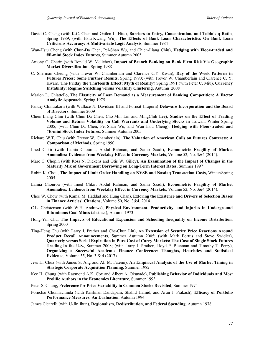- David C. Cheng (with K.C. Chen and Gailen L. Hite), **Barriers to Entry, Concentration, and Tobin's q Ratio**, Spring 1989; (with Hsiu-Kwang Wu), **The Effects of Bank Loan Characteristics On Bank Loan Criticisms Accuracy: A Multivariate Logit Analysis**, Summer 1984
- Wan-Hsiu Cheng (with Chun-Da Chen, Pei-Shan Wu, and Chien-Liang Chiu), **Hedging with Floor-traded and #E-mini Stock Index Futures**, Summer Autumn 2005
- Antony C. Cherin (with Ronald W. Melicher), **Impact of Branch Banking on Bank Firm Risk Via Geographic Market Diversification**, Spring 1988
- C. Sherman Cheung (with Trevor W. Chamberlain and Clarence C.Y. Kwan), **Day of the Week Patterns in Futures Prices: Some Further Results**, Spring 1990; (with Trevor W. Chamberlain and Clarence C. Y. Kwan), **The Friday the Thirteenth Effect: Myth of Reality**? Spring 1991 (with Peter C. Miu), **Currency Instability: Regime Switching versus Volatility Clustering**, Autumn 2008
- Marion L. Chiattello, **The Elasticity of Loan Demand as a Measurement of Banking Competition: A Factor Analytic Approach**, Spring 1975
- Pandej Chintrakarn (with Wallace N. Davidson III and Pornsit Jiraporn) **Delaware Incorporation and the Board of Directors**, Summer 2009
- Chien-Liang Chiu (with Chun-Da Chen, Cho-Min Lin and MingChih Lee), **Studies on the Effect of Trading Volume and Return Volatility on Call Warrants and Underlying Stocks in** Taiwan, Winter Spring 2005; (with Chun-Da Chen, Pei-Shan Wu, and Wan-Hsiu Cheng), **Hedging with Floor-traded and #E-mini Stock Index Futures**, Summer Autumn 2005
- Richard W.T. Chiu (with Trevor W. Chamberlain), **The Valuation of American Calls on Futures Contracts: A Comparison of Methods**, Spring 1990
- Imed Chkir (with Lamia Chourou, Abdul Rahman, and Samir Saadi), **Econometric Fragility of Market Anomalies: Evidence from Weekday Effect in Currency Markets**, Volume 52, No. 3&4 (2014).
- Marc C. Chopin (with Ross N. Dickens and Otis W. Gilley), **An Examination of the Impact of Changes in the Maturity Mix of Government Borrowing on Long-Term Interest Rates**, Summer 1997
- Robin K. Chou, **The Impact of Limit Order Handling on NYSE and Nasdaq Transaction Costs,** Winter/Spring 2005
- Lamia Chourou (with Imed Chkir, Abdul Rahman, and Samir Saadi), **Econometric Fragility of Market Anomalies: Evidence from Weekday Effect in Currency Markets**, Volume 52, No. 3&4 (2014).
- Chee W. Chow (with Kamal M. Haddad and Hung Chan), **Exloring the Existence and Drivers of Selection Biases in Finance Articles' Citations**, Volume 50, No. 3&4, 2014
- C.L. Christenson (with W.H. Andrews), **Physical Environment, Productivity, and Injuries in Underground Bituminous Coal Mines** (abstract), Autumn 1973
- Hong-Yih Chu, **The Impacts of Educational Expansion and Schooling Inequality on Income Distribution**, Spring 2000
- Ting-Heng Chu (with Larry J. Prather and Che-Chun Lin), **An Extension of Security Price Reactions Around Product Recall Announcements**, Summer Autumn 2005; (with Mark Bertus and Steve Swidler), **Quarterly versus Serial Expiration in Pure Cost of Carry Markets: The Case of Single Stock Futures Trading in the U.S.**, Summer 2008; (with Larry J. Prather, Lloyd P. Blenman and Timothy T. Perry), **Organizing a Successful Academic Finance Conference: Thoughts, Heuristics and Statistical Evidence**, Volume 55, No. 3 & 4 (2017)
- Jess H. Chua (with James S. Ang and Ali M. Fatemi), **An Empirical Analysis of the Use of Market Timing in Strategic Corporate Acquisition Planning**, Summer 1982
- Kee H. Chung (with Raymond A.K. Cox and Albert A. Okunade), **Publishing Behavior of Individuals and Most Prolific Authors in the Economics Literature**, Summer 1993
- Peter S. Chung, **Preference for Price Variability in Common Stocks Revisited**, Summer 1974
- Pornchai Chunhachinda (with Krishnan Dandapani, Shahid Hamid, and Arun J. Prakash), **Efficacy of Portfolio Performance Measures: An Evaluation**, Autumn 1994
- James Cicarelli (with U-Jin Jhun), **Regionalism, Redistribution, and Federal Spending**, Autumn 1978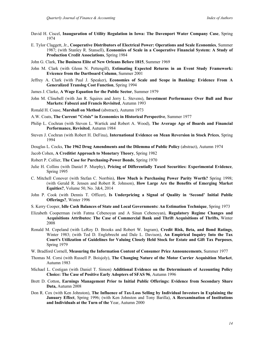- David H. Ciscel, **Inauguration of Utility Regulation in Iowa: The Davenport Water Company Case**, Spring 1974
- E. Tylor Claggett, Jr., **Cooperative Distributors of Electrical Power: Operations and Scale Economies**, Summer 1987; (with Stanley R. Stansell), **Economies of Scale in a Cooperative Financial System: A Study of Production Credit Associations**, Spring 1984
- John G. Clark, **The Business Elite of New Orleans Before 1815**, Summer 1969
- John M. Clark (with Glenn N. Pettengill), **Estimating Expected Returns in an Event Study Framework: Evicence from the Dartboard Column**, Summer 2001
- Jeffrey A. Clark (with Paul J. Speaker), **Economies of Scale and Scope in Banking: Evidence From A Generalized Translog Cost Function**, Spring 1994
- James J. Clarke, **A Wage Equation for the Public Sector**, Summer 1979
- John M. Clinebell (with Jan R. Squires and Jerry L. Stevens), **Investment Performance Over Bull and Bear Markets: Fabozzi and Francis Revisited**, Autumn 1993
- Ronald H. Coase, **Marshall on Method** (abstract), Autumn 1973
- A.W. Coats, **The Current "Crisis" in Economics in Historical Perspective**, Summer 1977
- Philip L. Cochran (with Steven L. Wartick and Robert A. Wood), **The Average Age of Boards and Financial Performance, Revisited**, Autumn 1984
- Steven J. Cochran (with Robert H. DeFina), **International Evidence on Mean Reversion in Stock Prices**, Spring 1994
- Douglas L. Cocks, **The 1962 Drug Amendments and the Dilemma of Public Policy** (abstract), Autumn 1974

Jacob Cohen, **A Creditist Approach to Monetary Theory**, Spring 1982

- Robert P. Collier, **The Case for Purchasing-Power Bonds**, Spring 1970
- Julie H. Collins (with Daniel P. Murphy), **Pricing of Differentially Taxed Securities: Experimental Evidence**, Spring 1995
- C. Mitchell Conover (with Stefan C. Norrbin), **How Much is Purchasing Power Parity Worth?** Spring 1998; (with Gerald R. Jensen and Robert R. Johnson), **How Large Are the Benefits of Emerging Market Equities?**, Volume 50, No. 3&4, 2014
- John P. Cook (with Dennis T. Officer), **Is Underpricing a Signal of Quality in 'Second' Initial Public Offerings?**, Winter 1996
- S. Kerry Cooper, **Idle Cash Balances of State and Local Governments: An Estimation Technique**, Spring 1973
- Elizabeth Cooperman (with Fatma Cebenoyan and A Sinan Cebenoyan), **Regulatory Regime Changes and Acquisitions Attributes: The Case of Commercial Bank and Thrift Acquisitions of Thrifts,** Winter 2008
- Ronald M. Copeland (with LeRoy D. Brooks and Robert W. Ingram), **Credit Risk, Beta, and Bond Ratings**, Winter 1983; (with Ted D. Englebrecht and Dale L. Davison), **An Empirical Inquiry Into the Tax Court's Utilization of Guidelines for Valuing Closely Held Stock for Estate and Gift Tax Purposes**, Spring 1979
- W. Bradford Cornell, **Measuring the Information Content of Consumer Price Announcements**, Summer 1977
- Thomas M. Corsi (with Russell P. Boisjoly), **The Changing Nature of the Motor Carrier Acquisition Market**, Autumn 1983
- Michael L. Costigan (with Daniel T. Simon) **Additional Evidence on the Determinants of Accounting Policy Choice: The Case of Positive Early Adopters of SFAS 96**, Autumn 1996
- Brett D. Cotton, **Earnings Management Prior to Initial Public Offerings: Evidence from Secondary Share Data,** Autumn 2008
- Don R. Cox (with Ken Johnston), **The Influence of Tax-Loss Selling by Individual Investors in Explaining the January Effect**, Spring 1996; (with Ken Johnston and Tony Barilla), **A Reexamination of Institutions and Individuals at the Turn of the** Year, Autumn 2000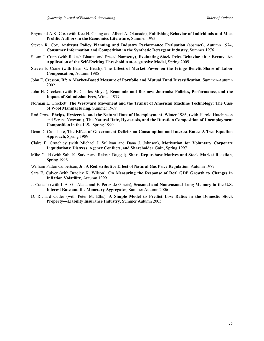- Raymond A.K. Cox (with Kee H. Chung and Albert A. Okunade), **Publishing Behavior of Individuals and Most Prolific Authors in the Economics Literature**, Summer 1993
- Steven R. Cox, **Antitrust Policy Planning and Industry Performance Evaluation** (abstract), Autumn 1974; **Consumer Information and Competition in the Synthetic Detergent Industry**, Summer 1976
- Susan J. Crain (with Rakesh Bharati and Prasad Nanisetty), **Evaluating Stock Price Behavior after Events: An Application of the Self-Exciting Threshold Autoregressive Model**, Spring 2009
- Steven E. Crane (with Brian C. Brush), **The Effect of Market Power on the Fringe Benefit Share of Labor Compensation**, Autumn 1985
- John E. Cresson, **R2 : A Market-Based Measure of Portfolio and Mutual Fund Diversification**, Summer-Autumn 2002
- John H. Crockett (with R. Charles Moyer), **Economic and Business Journals: Policies, Performance, and the Impact of Submission Fees**, Winter 1977
- Norman L. Crockett, **The Westward Movement and the Transit of American Machine Technology: The Case of Wool Manufacturing**, Summer 1969
- Rod Cross, **Phelps, Hysteresis, and the Natural Rate of Unemployment**, Winter 1986; (with Harold Hutchinson and Serena Yeoward), **The Natural Rate, Hysteresis, and the Duration Composition of Unemployment Composition in the U.S.**, Spring 1990
- Dean D. Croushore, **The Effect of Government Deficits on Consumption and Interest Rates: A Two Equation Approach**, Spring 1989
- Claire E. Crutchley (with Michael J. Sullivan and Dana J. Johnson), **Motivation for Voluntary Corporate Liquidations: Distress, Agency Conflicts, and Shareholder Gain**, Spring 1997
- Mike Cudd (with Salil K. Sarkar and Rakesh Duggal), **Share Repurchase Motives and Stock Market Reaction**, Spring 1996
- William Patton Culbertson, Jr., **A Redistributive Effect of Natural Gas Price Regulation**, Autumn 1977
- Sara E. Culver (with Bradley K. Wilson), **On Measuring the Response of Real GDP Growth to Changes in Inflation Volatility**, Autumn 1999
- J. Cunado (with L.A. Gil-Alana and F. Perez de Gracia), **Seasonal and Nonseasonal Long Memory in the U.S. Interest Rate and the Monetary Aggregates**, Summer Autumn 2006
- D. Richard Cutler (with Peter M. Ellis), **A Simple Model to Predict Loss Ratios in the Domestic Stock Property—Liability Insurance Industry**, Summer Autumn 2005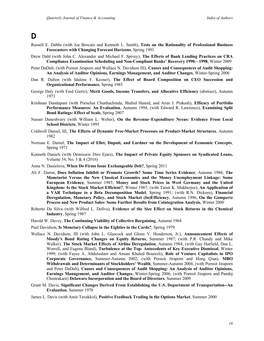### **D**

- Russell E. Dabbs (with Joe Brocato and Kenneth L. Smith), **Tests on the Rationality of Professional Business Forecasters with Changing Forecast Horizons**, Spring 1991
- Drew Dahl (with John C. Alexander and Michael F. Spivey), **The Effects of Bank Lending Practices on CRA Compliance Examination Scheduling and Non-Compliant Banks' Recovery 1990—1998**, Winter 2009
- Peter DaDalt; (with Pornsit Jiraporn and Wallace N. Davidson III), **Causes and Consequences of Audit Shopping: An Analysis of Auditor Opinions, Earnings Management, and Auditor Changes**, Winter-Spring 2006
- Dan R. Dalton (with Idalene F. Kesner), **The Effect of Board Composition on CEO Succession and Organizational Performance**, Spring 1985
- George Daly (with Fred Giertz), **Merit Goods, Income Transfers, and Allocative Efficiency** (abstract), Autumn 1973
- Krishnan Dandapani (with Pornchai Chunhachinda, Shahid Hamid, and Arun J. Prakash), **Efficacy of Portfolio Performance Measures: An Evaluation**, Autumn 1994, (with Edward R. Lawrence), **Examining Split Bond Ratings: Effect of Scale,** Spring 2007
- Nasser Daneshvary (with William L. Weber), **On the Revenue–Expenditure Nexus: Evidence From Local School Districts**, Winter 1995
- Coldwell Daniel, III, **The Effects of Dynamic Free-Market Processes on Product-Market Structures**, Autumn 1982
- Norman E. Daniel, **The Impact of Ellet, Dupuit, and Lardner on the Development of Economic Concepts**, Spring 1971
- Kenneth Daniels (with Demissew Diro Ejara), **The Impact of Private Equity Sponsors on Syndicated Loans,**  Volume 54, No. 3 & 4 (2016)
- Anna N. Danielova, **When Do Firms Issue Exchangeable Deb?**, Spring 2011
- Ali F. Darrat, **Does Inflation Inhibit or Promote Growth? Some Time Series Evidence**, Autumn 1988; **The Monetarist Versus the New Classical Economics and the Money Unemployment Linkage: Some European Evidence**, Summer 1985; **Money and Stock Prices in West Germany and the United Kingdom: Is the Stock Market Efficient?**, Winter 1987; (with Tarun K. Mukherjee), **An Application of a VAR Technique to a Beta Decomposition Model**, Spring 1991; (with R.N. Dickens), **Financial Deregulation, Monetary Policy, and Stock Market (In)Efficiency**, Autumn 1996, **On the Gompertz Process and New Product Sales: Some Further Results from Cointegration Analysis**, Winter 2000
- Roberto Da Silva (with Wilfred L. Dellva), **Evidence of the Size Effect on Stock Returns in the Chemical Industry**, Spring 1987
- Harold W. Davey, **The Continuing Viability of Collective Bargaining**, Autumn 1964
- Paul Davidson, **Is Monetary Collapse in the Eighties in the Cards?**, Spring 1979
- Wallace N. Davidson, III (with John L. Glascock and Glenn V. Henderson, Jr.), **Announcement Effects of Moody's Bond Rating Changes on Equity Returns**, Summer 1987; (with P.R. Chandy and Mike Walker), **The Stock Market Effects of Airline Deregulation**, Autumn 1984; (with Gay Hatfield, Dan L. Worrell, and Eugene Bland), **Turbulence at the Top: Antecedents of Key Executive Dismissal**, Winter 1999; (with Fayez A. Abdulsalam and Amani Khaled Bouresli), **Role of Venture Capitalists in IPO Corporate Governance,** Summer-Autumn 2002; (with Pornsit Jiraporn and Hong Qian), **MBO Withdrawals and Determinants of Stockholders' Wealth**, Summer-Autumn 2004; (with Pornsit Jiraporn and Peter DaDalt), **Causes and Consequences of Audit Shopping: An Analysis of Auditor Opinions, Earnings Management, and Auditor Changes**, Winter-Spring 2006; (with Pornsit Jiraporn and Pandej Chintrakarn) **Delaware Incorporation and the Board of Directors**, Summer 2009
- Grant M. Davis, **Significant Changes Derived From Establishing the U.S. Department of Transportation--An Evaluation**, Summer 1970
- James L. Davis (with Amir Tavakkol), **Positive Feedback Trading in the Options Market**, Summer 2000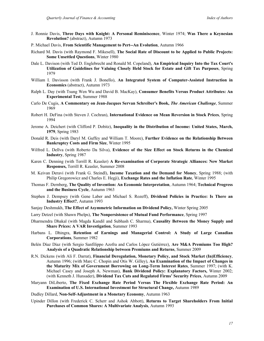- J. Ronnie Davis, **Three Days with Knight: A Personal Reminiscence**, Winter 1974; **Was There a Keynesian Revolution?** (abstract), Autumn 1973
- P. Michael Davis, **From Scientific Management to Pert--An Evolution**, Autumn 1966
- Richard M. Davis (with Raymond F. Mikesell), **The Social Rate of Discount to be Applied to Public Projects: Some Unsettled Questions**, Winter 1980
- Dale L. Davison (with Ted D. Englebrecht and Ronald M. Copeland), **An Empirical Inquiry Into the Tax Court's Utilization of Guidelines for Valuing Closely Held Stock for Estate and Gift Tax Purposes**, Spring 1979
- William I. Davisson (with Frank J. Bonello), **An Integrated System of Computer-Assisted Instruction in Economics** (abstract), Autumn 1973
- Ralph L. Day (with Tsung Wen Wu and David B. MacKay), **Consumer Benefits Versus Product Attributes: An Experimental Test**, Summer 1988
- Carlo De Cugis, **A Commentary on Jean-Jacques Servan Schreiber's Book,** *The American Challenge*, Summer 1969
- Robert H. DeFina (with Steven J. Cochran), **International Evidence on Mean Reversion in Stock Prices**, Spring 1994
- Jerome A. Deichert (with Clifford P. Dobitz), **Inequality in the Distribution of Income: United States, March, 1979**, Spring 1983
- Donald R. Deis (with Daryl M. Guffey and William T. Moore), **Further Evidence on the Relationship Between Bankruptcy Costs and Firm Size**, Winter 1995
- Wilfred L. Dellva (with Roberto Da Silva), **Evidence of the Size Effect on Stock Returns in the Chemical Industry**, Spring 1987
- Karen C. Denning (with Terrill R. Keasler) **A Re-examination of Corporate Strategic Alliances: New Market Responses,** Terrill R. Keasler, Summer 2008
- M. Keivan Deravi (with Frank G. Steindl), **Income Taxation and the Demand for Money**, Spring 1988; (with Philip Gregorowicz and Charles E. Hegji), **Exchange Rates and the Inflation Rate**, Winter 1995
- Thomas F. Dernberg, **The Quality of Invention: An Economic Interpretation**, Autumn 1964; **Technical Progress and the Business Cycle**, Autumn 1963
- Stephen J. Dempsey (with Gene Laber and Michael S. Rozeff), **Dividend Policies in Practice: Is There an Industry Effect?**, Autumn 1993
- Sanjay Deshmukh, **The Effect of Asymmetric Information on Dividend Policy,** Winter Spring 2005
- Larry Detzel (with Shawn Phelps), **The Nonpersistence of Mutual Fund Performance**, Spring 1997
- Dharmendra Dhakal (with Magda Kandil and Subhash C. Sharma), **Causality Between the Money Supply and Share Prices: A VAR Investigation**, Summer 1993
- Harbans L. Dhingra, **Retention of Earnings and Managerial Control: A Study of Large Canadian Corporations**, Summer 1982
- Belén Díaz Díaz (with Sergio Sanfilippo Azofra and Carlos López Gutiérrez), **Are M&A Premiums Too High? Analysis of a Quadratic Relationship between Premiums and Returns**, Summer 2009
- R.N. Dickens (with Ali F. Darrat), **Financial Deregulation, Monetary Policy, and Stock Market (In)Efficiency**, Autumn 1996; (with Marc C. Chopin and Otis W. Gilley), **An Examination of the Impact of Changes in the Maturity Mix of Government Borrowing on Long-Term Interest Rates**, Summer 1997; (with K. Michael Casey and Joseph A. Newman), **Bank Dividend Policy: Explanatory Factors,** Winter 2002; (with Kenneth J. Hunsader), **Dividend Tax Cuts and Regulated Firms' Security Prices**, Autumn 2009
- Maryann DiLiberto, **The Fixed Exchange Rate Period Versus The Flexible Exchange Rate Period: An Examination of U.S. International Investment for Structural Change,** Autumn 1989
- Dudley Dillard, **Non-Self-Adjustment in a Monetary Economy**, Autumn 1963
- Upinder Dillon (with Frederick C. Scherr and Ashok Abbott), **Returns to Target Shareholders From Initial Purchases of Common Shares: A Multivariate Analysis**, Autumn 1993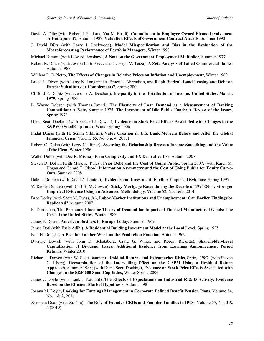- David A. Diltz (with Robert J. Paul and Yar M. Ebadi), **Commitment in Employee-Owned Firms--Involvement or Entrapment?**, Autumn 1987; **Valuation Effects of Government Contract Award**s, Summer 1990
- J. David Diltz (with Larry J. Lockwood), **Model Misspecification and Bias in the Evaluation of the Macroforecasting Performance of Portfolio Managers**, Winter 1990
- Michael Dimmit (with Edward Renshaw), **A Note on the Government Employment Multiplier**, Summer 1977
- Robert R. Dince (with Joseph F. Sinkey, Jr. and Joseph V. Terza), **A Zeta Analysis of Failed Commercial Banks**, Autumn 1987
- William R. DiPietro, **The Effects of Changes in Relative Prices on Inflation and Unemployment**, Winter 1980
- Bruce L. Dixon (with Larry N. Langemeier, Bruce L. Ahrendsen, and Ralph Bierlen), **Land Leasing and Debt on Farms: Substitutes or Complements?**, Spring 2000
- Clifford P. Dobitz (with Jerome A. Deichert), **Inequality in the Distribution of Income: United States, March, 1979**, Spring 1983
- L. Wayne Dobson (with Thomas Iwand), **The Elasticity of Loan Demand as a Measurement of Banking Competition: A Note,** Summer 1975; **The Investment of Idle Public Funds: A Review of the Issues**, Spring 1973
- Diane Scott Docking (with Richard J. Dowen), **Evidence on Stock Price Effects Associated with Changes in the S&P 600 SmallCap Index**, Winter Spring 2006
- İmdat Doğan (with H. Semih Yildirim), **Value Creation in U.S. Bank Mergers Before and After the Global Financial Crisis**, Volume 55, No. 3 & 4 (2017)
- Robert C. Dolan (with Larry N. Bitner), **Assessing the Relationship Between Income Smoothing and the Value of the Firm**, Winter 1996
- Walter Dolde (with Dev R. Mishra), **Firm Complexity and FX Derivative Use**, Autumn 2007
- Steven D. Dolvin (with Mark K. Pyles), **Prior Debt and the Cost of Going Public,** Spring 2007; (with Karen M. Hogan and Gerard T. Olson), **Information Asymmetry and the Cost of Going Public for Equity Carve-Outs**, Summer 2008
- Dale L. Domian (with David A. Louton), **Dividends and Investment: Further Empirical Evidence**, Spring 1995
- V. Reddy Dondeti (with Carl B. McGowan), **Sticky Mortgage Rates during the Decade of 1994-2004: Stronger Empirical Evidence Using an Advanced Methodology**, Volume 52, No. 1&2, 2014
- Bree Dority (with Scott M. Fuess, Jr.), **Labor Market Institutions and Unemployment: Can Earlier Findings be Replicated?** Autumn 2007
- K. Doroodian, **The Permanent Income Theory of Demand for Imports of Finished Manufactured Goods: The Case of the United States**, Winter 1987
- James F. Doster, **American Business in Europe Today**, Summer 1969
- James Doti (with Essie Adibi), **A Residential Building Investment Model at the Local Level**, Spring 1985
- Paul H. Douglas, **A Plea for Further Work on the Production Function**, Autumn 1969
- Dwayne Dowell (with John D. Schatzberg, Craig G. White, and Robert Ricketts), **Shareholder-Level Capitalization of Dividend Taxes: Additional Evidence from Earnings Announcement Period Returns**, Winter 2010
- Richard J. Dowen (with W. Scott Bauman), **Residual Returns and Extramarket Risks**, Spring 1987; (with Steven C. Isberg), **Reexamination of the Intervalling Effect on the CAPM Using a Residual Return Approach**, Summer 1988; (with Diane Scott Docking), **Evidence on Stock Price Effects Associated with Changes in the S&P 600 SmallCap Index,** Winter Spring 2006
- James J. Doyle (with Frank J. Navratil), **The Effects of Expectations on Industrial R & D Activity: Evidence Based on the Efficient Market Hypothesis**, Autumn 1981
- Joanna M. Doyle, **Looking for Earnings Management in Corporate Defined Benefit Pension Plans**, Volume 54, No. 1 & 2, 2016
- Xiaoman Duan (with Xu Niu), **The Role of Founder-CEOs and Founder-Families in IPOs**, Volume 57, No. 3 & 4 (2019)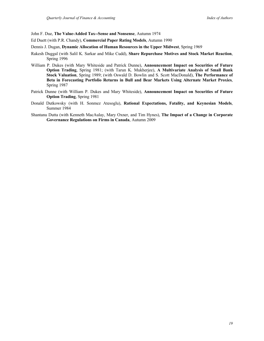John F. Due, **The Value-Added Tax--Sense and Nonsense**, Autumn 1974

- Ed Duett (with P.R. Chandy), **Commercial Paper Rating Models**, Autumn 1990
- Dennis J. Dugan, **Dynamic Allocation of Human Resources in the Upper Midwest**, Spring 1969
- Rakesh Duggal (with Salil K. Sarkar and Mike Cudd), **Share Repurchase Motives and Stock Market Reaction**, Spring 1996
- William P. Dukes (with Mary Whiteside and Patrick Dunne), **Announcement Impact on Securities of Future Option Trading**, Spring 1981; (with Tarun K. Mukherjee), **A Multivariate Analysis of Small Bank Stock Valuation**, Spring 1989; (with Oswald D. Bowlin and S. Scott MacDonald), **The Performance of Beta in Forecasting Portfolio Returns in Bull and Bear Markets Using Alternate Market Proxies**, Spring 1987
- Patrick Dunne (with William P. Dukes and Mary Whiteside), **Announcement Impact on Securities of Future Option Trading**, Spring 1981
- Donald Dutkowsky (with H. Sonmez Atesoglu), **Rational Expectations, Fatality, and Keynesian Models**, Summer 1984
- Shantanu Dutta (with Kenneth MacAulay, Mary Oxner, and Tim Hynes), **The Impact of a Change in Corporate Governance Regulations on Firms in Canada**, Autumn 2009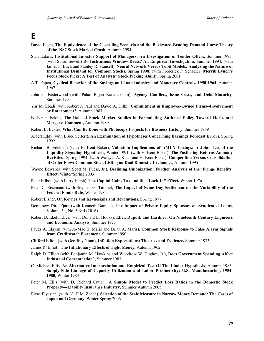### **E**

- David Eagle, **The Equivalence of the Cascading Scenario and the Backward-Bending Demand Curve Theory of the 1987 Stock Market Crash**, Autumn 1994
- Stan Eakins, **Institutional Investor Support of Managers: An Investigation of Tender Offers**, Summer 1993; (with Susan Sewell) **Do Institutions Window Dress? An Empirical Investigation**, Summer 1994; (with James F. Buck and Stanley R. Stansell), **Neural Network Versus Tobit Models: Analyzing the Nature of Institutional Demand for Common Stocks**, Spring 1998; (with Frederick P. Schadler) **Merrill Lynch's Focus Stock Picks: A Test of Analysts' Stock Picking Ability**, Spring 2001
- A.T. Eapen, **Cyclical Behavior of the Savings and Loan Industry and Monetary Controls, 1950-1964**, Autumn 1967
- John C. Easterwood (with Palani-Rajan Kadapakkam), **Agency Conflicts, Issue Costs, and Debt Maturity**, Summer 1994
- Yar M. Ebadi (with Robert J. Paul and David A. Diltz), **Commitment in Employee-Owned Firms--Involvement or Entrapment?**, Autumn 1987
- B. Espen Eckbo, **The Role of Stock Market Studies in Formulating Antitrust Policy Toward Horizontal Mergers: Comment,** Autumn 1989
- Robert B. Eckles, **What Can Be Done with Photocopy Projects for Business History**, Summer 1969
- Albert Eddy (with Bruce Seifert), **An Examination of Hypotheses Concerning Earnings Forecast Errors**, Spring 1992
- Richard B. Edelman (with H. Kent Baker), **Valuation Implications of AMEX Listings: A Joint Test of the Liquidity-Signaling Hypothesis**, Winter 1991; (with H. Kent Baker), **The Postlisting Returns Anomaly Revisited,** Spring 1994; (with Walayet A. Khan and H. Kent Baker), **Competition Versus Consolidation of Order Flow: Common Stock Listing on Dual Domestic Exchanges**, Autumn 1995
- Wayne Edwards (with Scott M. Fuess, Jr.), **Declining Unionization: Further Analysis of the 'Fringe Benefits' Effect**, Winter/Spring 2003
- Peter Eilbott (with Larry Hersh), **The Capital Gains Tax and the "Lock-In" Effect,** Winter 1976
- Peter C. Eisemann (with Stephen G. Timme), **The Impact of Same Day Settlement on the Variability of the Federal Funds Rate**, Winter 1985
- Robert Eisner, **On Keynes and Keynesians and Revolutions**, Spring 1977
- Demissew Diro Ejara (with Kenneth Daniels), **The Impact of Private Equity Sponsors on Syndicated Loans,**  Volume 54, No. 3 & 4 (2016)
- Robert B. Ekelund, Jr. (with Donald L. Hooks), **Ellet, Dupuit, and Lardner: On Nineteenth Century Engineers and Economic Analysis**, Summer 1973
- Fayez A. Elayan (with Jo-Mae B. Maris and Brian A. Maris), **Common Stock Response to False Alarm Signals from Creditwatch Placement**, Summer 1990
- Clifford Elliott (with Geoffrey Nunn), **Inflation Expectations: Theories and Evidence,** Summer 1975
- James R. Elliott, **The Inflationary Effects of Tight Money,** Autumn 1962
- Ralph D. Elliott (with Benjamin M. Hawkins and Woodrow W. Hughes, Jr.), **Does Government Spending Affect Industrial Concentration?**, Summer 1983
- C. Michael Ellis, **An Alternative Interpretation and Empirical Test Of The Linder Hypothesis**, Autumn 1983; **Supply-Side Linkage of Capacity Utilization and Labor Productivity: U.S. Manufacturing, 1954- 1980**, Winter 1983
- Peter M. Ellis (with D. Richard Cutler), **A Simple Model to Predict Loss Ratios in the Domestic Stock Property—Liability Insurance Industry**, Summer Autumn 2005
- Elyas Elyasiani (with Ali H.M. Zadeh), **Selection of the Scale Measure in Narrow Money Demand: The Cases of Japan and Germany**, Winter Spring 2006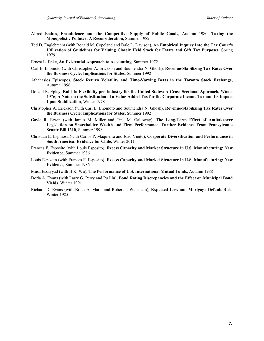- Alfred Endres, **Fraudulence and the Competitive Supply of Public Goods**, Autumn 1980; **Taxing the Monopolistic Polluter: A Reconsideration**, Summer 1982
- Ted D. Englebrecht (with Ronald M. Copeland and Dale L. Davison), **An Empirical Inquiry Into the Tax Court's Utilization of Guidelines for Valuing Closely Held Stock for Estate and Gift Tax Purposes**, Spring 1979
- Ernest L. Enke, **An Existential Approach to Accounting**, Summer 1972
- Carl E. Enomoto (with Christopher A. Erickson and Soumendra N. Ghosh), **Revenue-Stabilizing Tax Rates Over the Business Cycle: Implications for States**, Summer 1992
- Athanasios Episcopos, **Stock Return Volatility and Time-Varying Betas in the Toronto Stock Exchange**, Autumn 1996
- Donald R. Epley, **Built-In Flexibility per Industry for the United States: A Cross-Sectional Approach,** Winter 1976; **A Note on the Substitution of a Value-Added Tax for the Corporate Income Tax and Its Impact Upon Stabilization**, Winter 1978
- Christopher A. Erickson (with Carl E. Enomoto and Soumendra N. Ghosh), **Revenue-Stabilizing Tax Rates Over the Business Cycle: Implications for States**, Summer 1992
- Gayle R. Erwin (with James M. Miller and Tina M. Galloway), **The Long-Term Effect of Antitakeover Legislation on Shareholder Wealth and Firm Performance: Further Evidence From Pennsylvania Senate Bill 1310**, Summer 1998
- Christian E. Espinosa (with Carlos P. Maquieira and Joao Vieito), **Corporate Diversification and Performance in South America: Evidence for Chile**, Winter 2011
- Frances F. Esposito (with Louis Esposito), **Excess Capacity and Market Structure in U.S. Manufacturing: New Evidence**, Summer 1986
- Louis Esposito (with Frances F. Esposito), **Excess Capacity and Market Structure in U.S. Manufacturing: New Evidence**, Summer 1986
- Musa Essayyad (with H.K. Wu), **The Performance of U.S. International Mutual Funds**, Autumn 1988
- Dorla A. Evans (with Larry G. Perry and Pu Liu), **Bond Rating Discrepancies and the Effect on Municipal Bond Yields**, Winter 1991
- Richard D. Evans (with Brian A. Maris and Robert I. Weinstein), **Expected Loss and Mortgage Default Risk**, Winter 1985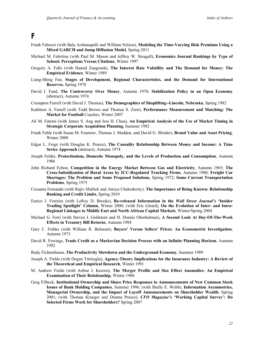#### **F**

- Frank Fabozzi (with Bala Arshanapalli and William Nelson), **Modeling the Time-Varying Risk Premium Using a Mixed GARCH and Jump Diffusion Model**, Spring 2011
- Michael M. Fabritius (with Paul M. Mason and Jeffrey W. Steagall), **Economics Journal Rankings by Type of School: Perceptions Versus Citations**, Winter 1997
- Gregory A. Falls (with Hamid Zangeneh), **The Interest Rate Volatility and The Demand for Money: The Empirical Evidence**, Winter 1989
- Liang-Shing Fan, **Stages of Development, Regional Characteristics, and the Demand for International Reserves**, Spring 1970
- David I. Fand, **The Controversy Over Money**, Autumn 1970; **Stabilization Policy in an Open Economy** (abstract), Autumn 1974
- Crumpton Farrell (with David J. Thomas), **The Demographics of Shoplifting--Lincoln, Nebraska**, Spring 1982
- Kathleen A. Farrell (with Todd Brown and Thomas S. Zorn), **Performance Measurement and Matching: The Market for Football** Coaches, Winter 2007
- Ali M. Fatemi (with James S. Ang and Jess H. Chua), **An Empirical Analysis of the Use of Market Timing in Strategic Corporate Acquisition Planning**, Summer 1982
- Frank Fehle (with Susan M. Fournier, Thomas J. Madden, and David G. Shrider), **Brand Value and Asset Pricing**, Winter 2008
- Edgar L. Feige (with Douglas K. Pearce), **The Causality Relationship Between Money and Income: A Time Series Approach** (abstract), Autumn 1974
- Joseph Felder, **Protectionism, Domestic Monopoly, and the Levels of Production and Consumption**, Autumn 1986
- John Richard Felton, **Competition in the Energy Market Between Gas and Electricity**, Autumn 1965; **The Cross-Subsidization of Rural Areas by ICC-Regulated Trucking Firms**, Autumn 1980; **Freight Car Shortages: The Problem and Some Proposed Solutions**, Spring 1972; **Some Current Transportation Problems**, Spring 1975
- Cresanta Fernando (with Rajiv Mallick and Atreya Chakraborty), **The Importance of Being Known: Relationship Banking and Credit Limits**, Spring 2010
- Eurico J. Ferreira (with LeRoy D. Brooks), **Re-released Information in the** *Wall Street Journal's* **'Insider Trading Spotlight' Column**, Winter 2000; (with Eric Girard), **On the Evolution of Inter- and Intra-Regional Linkages to Middle East and North African Capital Markets**, Winter/Spring 2004
- Michael G. Ferri (with Steven J. Goldstein and H. Dennis Oberhelman), **A Second Look At Day-Of-The-Week Effects in Treasury Bill Returns**, Autumn 1984
- Gary C. Fethke (with William R. Belmont), **Buyers' Versus Sellers' Prices: An Econometric Investigation**, Autumn 1973
- David R. Fewings, **Trade Credit as a Markovian Decision Process with an Infinite Planning Horizon**, Autumn 1992
- Rudy Fichtenbaum, **The Productivity Slowdown and the Underground Economy**, Summer 1989
- Joseph A. Fields (with Dogan Tirtiroglu), **Agency-Theory Implications for the Insurance Industry: A Review of the Theoretical and Empirical Research**, Winter 1991
- M. Andrew Fields (with Arthur J. Keown), **The Merger Profile and Size Effect Anomalies: An Empirical Examination of Their Relationship**, Winter 1988
- Greg Filbeck, **Institutional Ownership and Share Price Responses to Announcements of New Common Stock Issues of Bank Holding Companies**, Summer 1996; (with Shelly E. Webb), **Information Asymmetries, Managerial Ownership, and the Impact of Layoff Announcements on Shareholder Wealth**, Spring 2001; (with Thomas Krueger and Dianna Preece), *CFO Magazine***'s 'Working Capital Survey': Do Selected Firms Work for Shareholders?** Spring 2007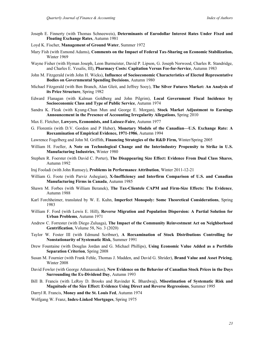- Joseph E. Finnerty (with Thomas Schneeweis), **Determinants of Eurodollar Interest Rates Under Fixed and Floating Exchange Rates**, Autumn 1981
- Loyd K. Fischer, **Management of Ground Water**, Summer 1972
- Mary Fish (with Esmond Adams), **Comments on the Impact of Federal Tax-Sharing on Economic Stabilization,**  Winter 1969
- Wayne Fisher (with Hyman Joseph, Leon Burmeister, David P. Lipson, G. Joseph Norwood, Charles R. Standridge, and Charles E. Yesalis, III), **Pharmacy Costs: Capitation Versus Fee-for-Service**, Autumn 1983
- John M. Fitzgerald (with John H. Wicks), **Influence of Socioeconomic Characteristics of Elected Representative Bodies on Governmental Spending Decisions**, Autumn 1980
- Michael Fitzgerald (with Ben Branch, Alan Gleit, and Jeffrey Sooy), **The Silver Futures Market: An Analysis of its Price Structure**, Spring 1982
- Edward Flanagan (with Kalman Goldberg and John Pilgrim), **Local Government Fiscal Incidence by Socioeconomic Class and Type of Public Service**, Autumn 1974
- Sandra K. Fleak (with Kyung-Chun Mun and George E. Morgan), **Stock Market Adjustment to Earnings Announcement in the Presence of Accounting Irregularity Allegations**, Spring 2010
- Max E. Fletcher, **Lawyers, Economists, and Laissez-Faire**, Autumn 1977
- G. Florentis (with D.V. Gordon and P Huber), **Monetary Models of the Canadian—U.S. Exchange Rate: A Reexamination of Empirical Evidence, 1971-1986**, Autumn 1994
- Lawrence Fogelberg and John M. Griffith, **Financing Strategies of the R&D Firm,** Winter/Spring 2005
- William H. Foeller, **A Note on Technological Change and the Interindustry Propensity to Strike in U.S. Manufacturing Industries**, Winter 1980
- Stephen R. Foerster (with David C. Porter), **The Disappearing Size Effect: Evidence From Dual Class Shares**, Autumn 1992
- Iraj Fooladi (with John Rumsey), **Problems in Performance Attribution**, Winter 2011-12-21
- William G. Foote (with Parviz Ashegian), **X-Inefficiency and Interfirm Comparison of U.S. and Canadian Manufacturing Firms in Canada**, Autumn 1985
- Shawn M. Forbes (with William Beranek), **The Tax-Clientele CAPM and Firm-Size Effects: The Evidence**, Autumn 1988
- Karl Forchheimer, translated by W. E. Kuhn, **Imperfect Monopoly: Some Theoretical Considerations**, Spring 1983
- William F. Ford (with Lewis E. Hill), **Reverse Migration and Population Dispersion: A Partial Solution for Urban Problems**, Autumn 1971
- Andrew C. Forrester (with Diego Zuluaga), **The Impact of the Community Reinvestment Act on Neighborhood Gentrification**, Volume 58, No. 3 (2020)
- Taylor W. Foster III (with Edmund Scribner), **A Reexamination of Stock Distributions Controlling for Nonstationarity of Systematic Risk**, Summer 1991
- Drew Fountaine (with Douglas Jordan and G. Michael Phillips), **Using Economic Value Added as a Portfolio Separation Criterion**, Spring 2008
- Susan M. Fournier (with Frank Fehle, Thomas J. Madden, and David G. Shrider), **Brand Value and Asset Pricing**, Winter 2008
- David Fowler (with George Athanassakos), **New Evidence on the Behavior of Canadian Stock Prices in the Days Surrounding the Ex-Dividend Day**, Autumn 1993
- Bill B. Francis (with LeRoy D. Brooks and Ravinder K. Bhardwaj), **Misestimation of Systematic Risk and Magnitude of the Size Effect: Evidence Using Direct and Reverse Regressions**, Summer 1995
- Darryl R. Francis, **Money and the St. Louis Fed**, Autumn 1974
- Wolfgang W. Franz, **Index-Linked Mortgages**, Spring 1975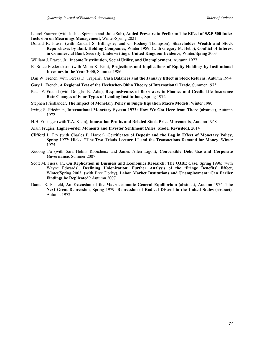Laurel Franzen (with Joshua Spizman and Julie Suh), **Added Pressure to Perform: The Effect of S&P 500 Index Inclusion on Mearnings Management,** Winter/Spring 2021

- Donald R. Fraser (with Randall S. Billingsley and G. Rodney Thompson), **Shareholder Wealth and Stock Repurchases by Bank Holding Companies**, Winter 1989; (with Gregory M. Hebb), **Conflict of Interest in Commercial Bank Security Underwritings: United Kingdom Evidence**, Winter/Spring 2003
- William J. Frazer, Jr., **Income Distribution, Social Utility, and Unemployment**, Autumn 1977
- E. Bruce Frederickson (with Moon K. Kim), **Projections and Implications of Equity Holdings by Institutional Investors in the Year 2000**, Summer 1986
- Dan W. French (with Teresa D. Trapani), **Cash Balances and the January Effect in Stock Returns**, Autumn 1994
- Gary L. French, **A Regional Test of the Heckscher-Ohlin Theory of International Trade,** Summer 1975
- Peter F. Freund (with Douglas K. Adie), **Responsiveness of Borrowers to Finance and Credit Life Insurance Rate Changes of Four Types of Lending Institutions**, Spring 1972
- Stephen Friedlander, **The Impact of Monetary Policy in Single Equation Macro Models**, Winter 1980
- Irving S. Friedman, **International Monetary System 1972: How We Got Here from There** (abstract), Autumn 1972
- H.H. Frisinger (with T.A. Klein), **Innovation Profits and Related Stock Price Movements**, Autumn 1968

Alain Frugier, **Higher-order Moments and Investor Sentiment (Alles' Model Revisited)**, 2014

- Clifford L. Fry (with Charles P. Harper), **Certificates of Deposit and the Lag in Effect of Monetary Policy**, Spring 1977; **Hicks' "The Two Triads Lecture 1" and the Transactions Demand for Money**, Winter 1975
- Xudong Fu (with Sara Helms Robicheux and James Allen Ligon), **Convertible Debt Use and Corporate Governance**, Summer 2007
- Scott M. Fuess, Jr., **On Replication in Business and Economics Research: The QJBE Case**, Spring 1996; (with Wayne Edwards), **Declining Unionization: Further Analysis of the 'Fringe Benefits' Effect**, Winter/Spring 2003; (with Bree Dority), **Labor Market Institutions and Unemployment: Can Earlier Findings be Replicated?** Autumn 2007
- Daniel R. Fusfeld, **An Extension of the Macroeconomic General Equilibrium** (abstract), Autumn 1974; **The Next Great Depression**, Spring 1979; **Repression of Radical Dissent in the United States** (abstract), Autumn 1972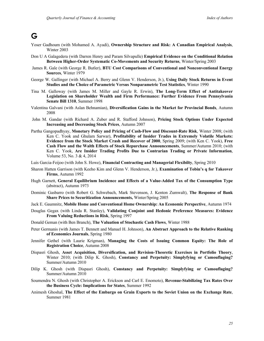### **G**

- Yoser Gadhoum (with Mohamed A. Ayadi), **Ownership Structure and Risk: A Canadian Empirical Analysis**, Winter 2003
- Don U A Galagedera (with Darren Henry and Param Silvapulle) **Empirical Evidence on the Conditional Relation Between Higher-Order Systematic Co-Movements and Security Returns**, Winter/Spring 2003
- James R. Gale (with George R. Butler), **BTU Cost Comparisons of Conventional and Nonconventional Energy Sources**, Winter 1979
- George W. Gallinger (with Michael A. Berry and Glenn V. Henderson, Jr.), **Using Daily Stock Returns in Event Studies and the Choice of Parametric Versus Nonparametric Test Statistics**, Winter 1990
- Tina M. Galloway (with James M. Miller and Gayle R. Erwin), **The Long-Term Effect of Antitakeover Legislation on Shareholder Wealth and Firm Performance: Further Evidence From Pennsylvania Senate Bill 1310**, Summer 1998
- Valentina Galvani (with Aslan Behnamian), **Diversification Gains in the Market for Provincial Bonds**, Autumn 2008
- John M. Gandar (with Richard A. Zuber and R. Stafford Johnson), **Pricing Stock Options Under Expected Increasing and Decreasing Stock Prices**, Autumn 2007
- Partha Gangopadhyay, **Monetary Policy and Pricing of Cash-Flow and Discount-Rate Risk**, Winter 2008; (with Ken C. Yook and Ghulam Sarwar), **Profitability of Insider Trades in Extremely Volatile Markets: Evidence from the Stock Market Crash and Recover of 2000**, Spring 2009; (with Ken C. Yook), **Free Cash Flow and the Walth Effects of Stock Repurchase Announcements**, Summer/Autumn 2010; (with Ken C. Yook, **Are Insider Trading Profits Due to Contrarian Trading or Private Information**, Volume 53, No. 3 & 4, 2014
- Luis Garcia-Feijoo (with John S. Howe), **Financial Contracting and Managerial Flexibilty**, Spring 2010
- Sharon Hatten Garrison (with Keeho Kim and Glenn V. Henderson, Jr.), **Examination of Tobin's q for Takeover Firms**, Autumn 1992
- Hugh Garnett, **General Equilibrium Incidence and Effects of a Value-Added Tax of the Consumption Type** (abstract), Autumn 1973
- Dominic Gasbarro (with Robert G. Schwebach, Mark Stevenson, J. Kenton Zumwalt), **The Response of Bank Share Prices to Securitization Announcements,** Winter/Spring 2005
- Jack E. Gaumnitz, **Mobile Home and Conventional Home Ownership: An Economic Perspective**, Autumn 1974
- Douglas Gegax (with Linda R. Stanley), **Validating Conjoint and Hedonic Preference Measures: Evidence From Valuing Reductions in Risk**, Spring 1997
- Donald Geman (with Ben Branch), **The Valuation of Stochastic Cash Flows**, Winter 1988
- Peter Germanis (with James T. Bennett and Manuel H. Johnson), **An Abstract Approach to the Relative Ranking of Economics Journals**, Spring 1980
- Jennifer Gethel (with Laurie Krigman), **Managing the Costs of Issuing Common Equity: The Role of Registration Choice**, Autumn 2008
- Dispasri Ghosh, **Asset Acquisition, Diversification, and Revision-Theoretic Exercises in Portfolio Theory**, Winter 2010; (with Dilip K. Ghosh), **Constancy and Perpetuity: Simplyfying or Camouflaging?** Summer/Autumn 2010
- Dilip K. Ghosh (with Dispasri Ghosh), **Constancy and Perpetuity: Simplyfying or Camouflaging?** Summer/Autumn 2010
- Soumendra N. Ghosh (with Christopher A. Erickson and Carl E. Enomoto), **Revenue-Stabilizing Tax Rates Over the Business Cycle: Implications for States**, Summer 1992
- Animesh Ghoshal, **The Effect of the Embargo on Grain Exports to the Soviet Union on the Exchange Rate**, Summer 1981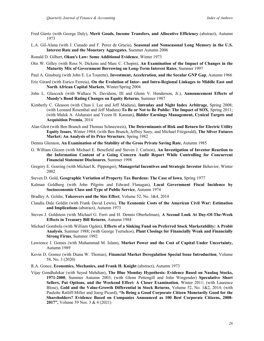- Fred Giertz (with George Daly), **Merit Goods, Income Transfers, and Allocative Efficiency** (abstract), Autumn 1973
- L.A. Gil-Alana (with J. Cunado and F. Perez de Gracia), **Seasonal and Nonseasonal Long Memory in the U.S. Interest Rate and the Monetary Aggregates**, Summer Autumn 2006
- Ronald D. Gilbert, **Okun's Law: Some Additional Evidence**, Winter 1973
- Otis W. Gilley (with Ross N. Dickens and Marc C. Chopin), **An Examination of the Impact of Changes in the Maturity Mix of Government Borrowing on Long-Term Interest Rates**, Summer 1997
- Paul A. Ginsburg (with John E. La Tourette), **Investment, Acceleration, and the Secular GNP Gap**, Autumn 1966
- Eric Girard (with Eurico Ferreia), **On the Evolution of Inter- and Intra-Regional Linkages to Middle East and North African Capital Markets**, Winter/Spring 2004
- John L. Glascock (with Wallace N. Davidson, III and Glenn V. Henderson, Jr.), **Announcement Effects of Moody's Bond Rating Changes on Equity Returns**, Summer 1987
- Kimberly C. Gleason (with Chun I. Lee and Jeff Madura), **Intraday and Night Index Arbitrage**, Spring 2008; (with Leonard Rosenthal and Jeff Madura) **To Be or Not to Be Public: The Impact of SOX**, Spring 2011; (with Malek A. Alsharairi and Yezen H. Kannan), **Bidder Earnings Management, Cynical Targets and Acquisition Premia**, 2014
- Alan Gleit (with Ben Branch and Thomas Schneeweis), **The Determinants of Risk and Return for Electric Utility Equity Issues**, Winter 1984; (with Ben Branch, Jeffrey Sooy, and Michael Fitzgerald), **The Silver Futures Market: An Analysis of its Price Structure**, Spring 1982
- Dennis Glennon, **An Examination of the Stability of the Gross Private Saving Rate**, Autumn 1985
- G. William Glezen (with Michael E. Benefield and Steven J. Carlson), **An Investigation of Investor Reaction to the Information Content of a Going Concern Audit Report While Controlling for Concurrent Financial Statement Disclosures**, Summer 1998
- Gregory E. Goering (with Michael K. Pippenger), **Managerial Incentives and Strategic Investor** Behavior, Winter 2002
- Steven D. Gold, **Geographic Variation of Property Tax Burdens: The Case of Iowa**, Spring 1977
- Kalman Goldberg (with John Pilgrim and Edward Flanagan), **Local Government Fiscal Incidence by Socioeconomic Class and Type of Public Service**, Autumn 1974
- Bradley A. Goldie, **Takeovers and the Size Effect**, Volume 52, No. 3&4, 2014
- Claudia Dale Goldin (with Frank David Lewis), **The Economic Costs of the American Civil War: Estimation and Implications** (abstract), Autumn 1973
- Steven J. Goldstein (with Michael G. Ferri and H. Dennis Oberhelman), **A Second Look At Day-Of-The-Week Effects in Treasury Bill Returns**, Autumn 1984
- Michael Gombola (with William Ogden), **Effects of a Sinking Fund on Preferred Stock Marketability: A Probit Analysis**, Summer 1988; (with George Tsetsekos), **Plant Closings for Financially Weak and Financially Strong Firms**, Summer 1992
- Lawrence J. Gomes (with Muhammad M. Islam), **Market Power and the Cost of Capital Under Uncertainty,**  Autumn 1989
- Kevin D. Gomez (with Diana W. Thomas), **Financial Market Deregulation Special Issue Introduction**, Volume 58, No. 3 (2020)
- R.A. Gonce, **Economics, Mechanics, and Frank H. Knight** (abstract), Autumn 1973
- Vijay Gondhalekar (with Seyed Mehdian), **The Blue Monday Hypothesis: Evidence Based on Nasdaq Stocks, 1971-2000**, Summer Autumn 2003; (with Glenn Pettengill and John Wingender) **Speculative Short Sellers, Put Options, and the Weekend Effect: A Closer Examination**, Winter 2011; (with Laurence Blose), **Gold and the Value-Growth Differential in Stock Returns**, Volume 52, No. 1&2, 2014; (with Paulette Ratliff-Miller and Joerg Picard), **"Is Being a Good Corporate Citizen Monetarily Good for the Shareholders? Evidence Based on Companies Announced as 100 Best Corporate Citizens, 2008- 2017",** Volume 59 Nos. 3 & 4 (2021)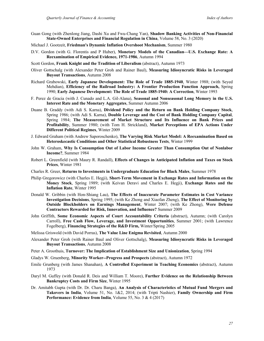- Guan Gong (with Zhenlong Jiang, Dashi Xu and Fwu-Chang Yan), **Shadow Banking Activities of Non-Financial State-Owned Enterprises and Financial Regulation in China**, Volume 58, No. 3 (2020)
- Michael J. Gootzeit, **Friedman's Dynamic Inflation Overshoot Mechanism**, Summer 1980
- D.V. Gordon (with G. Florentis and P Huber), **Monetary Models of the Canadian—U.S. Exchange Rate: A Reexamination of Empirical Evidence, 1971-1986**, Autumn 1994
- Scott Gordon, **Frank Knight and the Tradition of Liberalism** (abstract), Autumn 1973
- Oliver Gottschalg (with Alexander Peter Groh and Rainer Baul), **Measuring Idiosyncratic Risks in Leveraged Buyout Transactions**, Autumn 2008
- Richard Grabowski, **Early Japanese Development: The Role of Trade 1885-1940**, Winter 1988; (with Seyed Mehdian), **Efficiency of the Railroad Industry: A Frontier Production Function Approach,** Spring 1990; **Early Japanese Development: The Role of Trade 1885-1940: A Correction**, Winter 1993
- F. Perez de Gracia (with J. Cunado and L.A. Gil-Alana), **Seasonal and Nonseasonal Long Memory in the U.S. Interest Rate and the Monetary Aggregates**, Summer Autumn 2006
- Duane B. Graddy (with Adi S. Karna), **Dividend Policy and the Return on Bank Holding Company Stock**, Spring 1986; (with Adi S. Karna), **Double Leverage and the Cost of Bank Holding Company Capital**, Spring 1984; **The Measurement of Market Structure and Its Influence on Bank Prices and Profitability**, Summer 1980; (with Tom H. Strickland), **Market Perceptions of EPA Actions Under Different Political Regimes**, Winter 2009
- J. Edward Graham (with Andrew Saporoschenko), **The Varying Risk Market Model: A Reexamination Based on Heteroskecastic Conditions and Other Statistical Robustness Tests**, Winter 1999
- John W. Graham, **Why Is Consumption Out of Labor Income Greater Than Consumption Out of Nonlabor Income?**, Summer 1984
- Robert L. Greenfield (with Maury R. Randall), **Effects of Changes in Anticipated Inflation and Taxes on Stock Prices**, Winter 1981
- Charles R. Greer, **Returns to Investments in Undergraduate Education for Black Males**, Summer 1978
- Philip Gregorowicz (with Charles E. Hegji), **Short-Term Movement in Exchange Rates and Information on the Money Stock**, Spring 1989; (with Keivan Deravi and Charles E. Hegji), **Exchange Rates and the Inflation Rate**, Winter 1995
- Donald W. Gribbin (with Hon-Shiang Lau), **The Effects of Inaccurate Parameter Estimates in Cost Variance Investigation Decisions**, Spring 1995; (with Ke Zhong and Xiaofan Zheng), **The Effect of Monitoring by Outside Blockholders on Earnings Management**, Winter 2007; (with Ke Zhong), **Were Defense Contractors Rewarded for Risk, Innovation, and Influence?** Summer 2009
- John Griffith, **Some Economic Aspects of Court Accountability Criteria** (abstract), Autumn; (with Carolyn Carroll), **Free Cash Flow, Leverage, and Investment Opportunities**, Summer 2001; (with Lawrence Fogelberg), **Financing Strategies of the R&D Firm,** Winter/Spring 2005
- Melissa Griswold (with David Porras), **The Value Line Enigma Revisited**, Autumn 2000
- Alexander Peter Groh (with Rainer Baul and Oliver Gottschalg), **Measuring Idiosyncratic Risks in Leveraged Buyout Transactions**, Autumn 2008
- Peter A. Groothuis, **Turnover: The Implication of Establishment Size and Unionization**, Spring 1994
- Gladys W. Gruenberg, **Minority Worker--Progress and Prospects** (abstract), Autumn 1972
- Emile Grunberg (with James Shanahan), **A Controlled Experiment in Teaching Economics** (abstract), Autumn 1973
- Daryl M. Guffey (with Donald R. Deis and William T. Moore), **Further Evidence on the Relationship Between Bankruptcy Costs and Firm Size**, Winter 1995
- Dr. Amitabh Gupta (with Dr. Dr. Charu Banga), **An Analysis of Characteristics of Mutual Fund Mergers and Takovers in India**, Volume 51, No. 1&2, 2014; (with Tripti Nashier), **Family Ownership and Firm Performance: Evidence from India, Volume 55, No. 3 & 4 (2017)**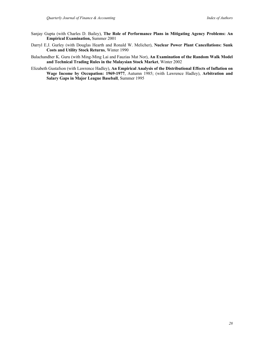- Sanjay Gupta (with Charles D. Bailey), **The Role of Performance Plans in Mitigating Agency Problems: An Empirical Examination,** Summer 2001
- Darryl E.J. Gurley (with Douglas Hearth and Ronald W. Melicher), **Nuclear Power Plant Cancellations: Sunk Costs and Utility Stock Returns**, Winter 1990
- Balachandher K. Guru (with Ming-Ming Lai and Fauzias Mat Nor), **An Examination of the Random Walk Model and Technical Trading Rules in the Malaysian Stock Market**, Winter 2002
- Elizabeth Gustafson (with Lawrence Hadley), **An Empirical Analysis of the Distributional Effects of Inflation on Wage Income by Occupation: 1969-1977**, Autumn 1985; (with Lawrence Hadley), **Arbitration and Salary Gaps in Major League Baseball**, Summer 1995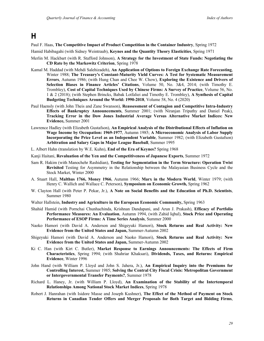### **H**

#### Paul F. Haas, **The Competitive Impact of Product Competition in the Container Industry**, Spring 1972

Hamid Habibagahi (with Sidney Weintraub), **Keynes and the Quantity Theory Elasticities**, Spring 1971

- Merlin M. Hackbart (with R. Stafford Johnson), **A Strategy for the Investment of State Funds: Negotiating the CD Rate by the Markowitz Criterion**, Spring 1978
- Kamal M. Haddad (with Mehdi Salehizadeh), **An Application of Options to Foreign Exchange Rate Forecasting**, Winter 1988; **The Treasury's Constant-Maturity Yield Curves: A Test for Systematic Measurement Errors**, Autumn 1986; (with Hung Chan and Chee W. Chow), **Exploring the Existence and Drivers of Selection Biases in Finance Articles' Citations**, Volume 50, No. 3&4, 2014; (with Timothy E. Trombley), **Cost of Capital Techniques Used by Chinese Firms: A Survey of Practice**, Volume 56, No. 1 & 2 (2018); (with Stephen Brincks, Babak Lotfaliei and Timothy E. Trombley), **A Synthesis of Capital Budgeting Techniques Around the World: 1990-2018**, Volume 58, No. 4 (2020)
- Paul Haensly (with John Theis and Zane Swanson), **Reassessment of Contagion and Competitive Intra-Industry Effects of Bankruptcy Announcements**, Summer 2001; (with Niranjan Tripathy and Daniel Peak), **Tracking Error in the Dow Jones Industrial Average Versus Alternative Market Indices: New Evidence,** Summer 2001
- Lawrence Hadley (with Elizabeth Gustafson), **An Empirical Analysis of the Distributional Effects of Inflation on Wage Income by Occupation: 1969-1977**, Autumn 1985; **A Microeconomic Analysis of Labor Supply Incorporating the Price Level as an Independent Variable**, Summer 1982; (with Elizabeth Gustafson) **Arbitration and Salary Gaps in Major League Baseball**, Summer 1995
- L. Albert Hahn (translation by W.E. Kuhn), **End of the Era of Keynes?** Spring 1968
- Kanji Haitani, **Revaluation of the Yen and the Competitiveness of Japanese Exports**, Summer 1972
- Sam R. Hakim (with Manochehr Rashidian), **Testing for Segmentation in the Term Structure: Operation Twist Revisited** Testing for Asymmetry in the Relationship between the Malayasian Business Cycle and the Stock Market, Winter 2000
- A. Stuart Hall, **Malthus 1766, Money 1966**, Autumn 1966; **Marx in the Modern World**, Winter 1979; (with Henry C. Wallich and Wallace C. Peterson), **Symposium on Economic Growth,** Spring 1962
- W. Clayton Hall (with Peter P. Pekar, Jr.), **A Note on Social Benefits and the Education of Ph.D. Scientists**, Summer 1980
- Walter Hallstein, **Industry and Agriculture in the European Economic Community,** Spring 1963
- Shahid Hamid (with Pornchai Chunhachinda, Krishnan Dandapani, and Arun J. Prakash), **Efficacy of Portfolio Performance Measures: An Evaluation**, Autumn 1994, (with Zahid Iqbal), **Stock Price and Operating Performance of ESOP Firms: A Time Series Analysis**, Summer 2000
- Naoko Hamori (with David A. Anderson and Shigeyuki Hamori), **Stock Returns and Real Activity: New Evidence from the United States and Japan,** Summer-Autumn 2002
- Shigeyuki Hamori (with David A. Anderson and Naoko Hamori), **Stock Returns and Real Activity: New Evidence from the United States and Japan,** Summer-Autumn 2002
- Ki C. Han (with Kirt C. Butler), **Market Response to Earnings Announcements: The Effects of Firm Characteristics**, Spring 1994; (with Shahriar Khaksari), **Dividends, Taxes, and Returns: Empirical Evidence**, Winter 1996
- John Hand (with William P. Lloyd and John S. Jahera, Jr.), **An Empirical Inquiry into the Premiums for Controlling Interest,** Summer 1985; **Solving the Central City Fiscal Crisis: Metropolitan Government or Intergovernmental Transfer Payments?**, Summer 1978
- Richard L. Haney, Jr. (with William P. Lloyd), **An Examination of the Stability of the Intertemporal Relationships Among National Stock Market Indices**, Spring 1978
- Robert J. Hanrahan (with Isidore Masse and Joseph Kushner), **The Effect of the Method of Payment on Stock Returns in Canadian Tender Offers and Merger Proposals for Both Target and Bidding Firms**,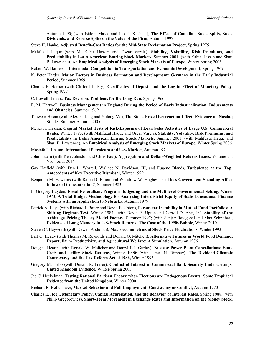Autumn 1990; (with Isidore Masse and Joseph Kushner), **The Effect of Canadian Stock Splits, Stock Dividends, and Reverse Splits on the Value of the Firm**, Autumn 1997

- Steve H. Hanke, **Adjusted Benefit-Cost Ratios for the Mid-State Reclamation Project**, Spring 1975
- Mahfuzul Haque (with M. Kabir Hassan and Oscar Varela), **Stability, Volatility, Risk Premiums, and Predictability in Latin American Emring Stock Markets**, Summer 2001; (with Kabir Hassan and Shari B. Lawrence), **An Empirical Analysis of Emerging Stock Markets of Europe**, Winter Spring 2006
- Robert W. Harbeson, **Intermodal Competition in Transportation and Economic Development**, Spring 1969
- K. Peter Harder, **Major Factors in Business Formation and Development: Germany in the Early Industrial Period**, Summer 1969
- Charles P. Harper (with Clifford L. Fry), **Certificates of Deposit and the Lag in Effect of Monetary Policy**, Spring 1977
- C. Lowell Harriss, **Tax Revision: Problems for the Long Run**, Spring 1966
- R. M. Hartwell, **Business Management in England During the Period of Early Industrialization: Inducements and Obstacles**, Summer 1969
- Tanweer Hasan (with Alex P. Tang and Yulong Ma), **The Stock Price Overreaction Effect: Evidence on Nasdaq Stocks**, Summer Autumn 2005
- M. Kabir Hassan, **Capital Market Tests of Risk-Exposure of Loan Sales Activities of Large U.S. Commercial Banks**, Winter 1993; (with Mahfuzul Haque and Oscar Varela), **Stability, Volatility, Risk Premiums, and Predictability in Latin American Emring Stock Markets**, Summer 2001; (with Mahfuzul Haque and Shari B. Lawrence), **An Empirical Analysis of Emerging Stock Markets of Europe**, Winter Spring 2006
- Mostafa F. Hassan, **International Petroleum and U.S. Market**, Autumn 1974
- John Hatem (with Ken Johnston and Chris Paul), **Aggregation and Dollar-Weighted Returns Issues**, Volume 53, No. 1 & 2, 2014
- Gay Hatfield (with Dan L. Worrell, Wallace N. Davidson, III, and Eugene Bland), **Turbulence at the Top: Antecedents of Key Executive Dismissal**, Winter 1999
- Benjamin M. Hawkins (with Ralph D. Elliott and Woodrow W. Hughes, Jr.), **Does Government Spending Affect Industrial Concentration?**, Summer 1983
- F. Gregory Hayden, **Fiscal Federalism: Program Budgeting and the Multilevel Governmental Setting**, Winter 1973; **A Total Budget Methodology for Analyzing Interdistrict Equity of State Educational Finance Systems with an Application to Nebraska**, Autumn 1979
- Patrick A. Hays (with Richard J. Bauer and David E. Upton), **Parameter Instability in Mutual Fund Portfolios: A Shifting Regimes Test**, Winter 1987; (with David E. Upton and Carroll D. Aby, Jr.), **Stability of the Arbitrage Pricing Theory Model Factors**, Summer 1997; (with Sanjay Rajagopal and Max Schreiber), **Evidence of Long Memory in U.S. Stock Returns: The Case of the 1990s Bubble**, Winter 2010
- Steven C. Hayworth (with Dewan Abdullah), **Macroeconometrics of Stock Price Fluctuations**, Winter 1993
- Earl O. Heady (with Thomas M. Reynolds and Donald O. Mitchell), **Alternative Futures in World Food Demand, Export, Farm Productivity, and Agricultural Welfare: A Simulation**, Autumn 1976
- Douglas Hearth (with Ronald W. Melicher and Darryl E.J. Gurley), **Nuclear Power Plant Cancellations: Sunk Costs and Utility Stock Returns**, Winter 1990; (with James N. Rimbey), **The Dividend-Clientele Controversy and the Tax Reform Act of 1986,** Winter 1993
- Gregory M. Hebb (with Donald R. Fraser), **Conflict of Interest in Commercial Bank Security Underwritings: United Kingdom Evidence**, Winter/Spring 2003
- Jac C. Heckelman, **Testing Rational Partisan Theory when Elections are Endogenous Events: Some Empirical Evidence from the United Kingdom**, Winter 2000
- Richard B. Heflebower, **Market Behavior and Full Employment: Consistency or Conflict**, Autumn 1970
- Charles E. Hegji, **Monetary Policy, Capital Aggregation, and the Behavior of Interest Rates**, Spring 1988; (with Philip Gregorowicz), **Short-Term Movement in Exchange Rates and Information on the Money Stock**,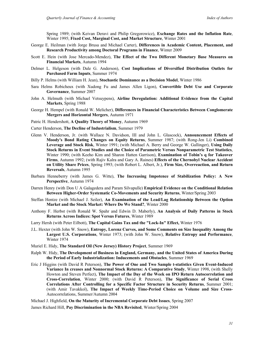Spring 1989; (with Keivan Deravi and Philip Gregorowicz), **Exchange Rates and the Inflation Rate**, Winter 1995; **Fixed Cost, Marginal Cost, and Market Structure**, Winter 2001

- George E. Heilman (with Jorge Brusa and Michael Carter), **Differences in Academic Content, Placement, and Research Productivity among Doctoral Programs in Finance**, Winter 2009
- Scott E. Hein (with Jose Mercado-Mendez), **The Effect of the Two Different Monetary Base Measures on Financial Markets**, Autumn 1994
- Delmer L. Helgeson (with Dale G. Anderson), **Cost Implications of Diversified Distribution Outlets for Purchased Farm Inputs**, Summer 1974
- Billy P. Helms (with William H. Jean), **Stochastic Dominance as a Decision Model**, Winter 1986
- Sara Helms Robicheux (with Xudong Fu and James Allen Ligon), **Convertible Debt Use and Corporate Governance**, Summer 2007
- John A. Helmuth (with Michael Vetsuypens), **Airline Deregulation: Additional Evidence from the Capital Markets**, Spring 1988
- George H. Hempel (with Ronald W. Melicher), **Differences in Financial Characteristics Between Conglomerate Mergers and Horizontal Mergers**, Autumn 1971
- Patric H. Hendershott, **A Quality Theory of Money**, Autumn 1969
- Carter Henderson, **The Decline of Industrialism**, Summer 1979
- Glenn V. Henderson, Jr. (with Wallace N. Davidson, III and John L. Glascock), **Announcement Effects of Moody's Bond Rating Changes on Equity Returns**, Summer 1987; (with Rong-Jen Li) **Combined Leverage and Stock Risk**, Winter 1991; (with Michael A. Berry and George W. Gallinger), **Using Daily Stock Returns in Event Studies and the Choice of Parametric Versus Nonparametric Test Statistics**, Winter 1990; (with Keeho Kim and Sharon Hatten Garrison), **Examination of Tobin's q for Takeover Firms**, Autumn 1992; (with Rajiv Kalra and Gary A. Raines) **Effects of the Chernobyl Nuclear Accident on Utility Share Prices**, Spring 1993; (with Robert L. Albert, Jr.), **Firm Size, Overreaction, and Return Reversals**, Autumn 1995
- Barbara Henneberry (with James G. Witte), **The Increasing Impotence of Stabilization Policy: A New Perspective**, Autumn 1974
- Darren Henry (with Don U A Galagedera and Param Silvapulle) **Empirical Evidence on the Conditional Relation Between Higher-Order Systematic Co-Movements and Security Returns**, Winter/Spring 2003
- Steffan Hentze (with Michael J. Seiler), **An Examination of the Lead/Lag Relationship Between the Option Market and the Stock Market: Where Do We Stand?**, Winter 2000
- Anthony F. Herbst (with Ronald W. Spahr and Edwin D. Maberly), **An Analysis of Daily Patterns in Stock Returns Across Indices: Spot Versus Futures**, Winter 1989
- Larry Hersh (with Peter Eilbott), **The Capital Gains Tax and the "Lock-In" Effect,** Winter 1976
- J.L. Hexter (with John W. Snow), **Entropy, Lorenz Curves, and Some Comments on Size Inequality Among the Largest U.S. Corporations**, Winter 1973; (with John W. Snow), **Relative Entropy and Performance**, Winter 1974
- Muriel E. Hidy, **The Standard Oil (New Jersey) History Project**, Summer 1969
- Ralph W. Hidy, **The Development of Business in England, Germany, and the United States of America During the Period of Early Industrialization: Inducements and Obstacles**, Summer 1969
- Eric J Higgins (with David R Peterson), **The Power of One and Two Sample t-statistics Given Event-Induced Variance In creases and Nonnormal Stock Returns: A Comparative Study**, Winter 1998, (with Shelly Howton and Steven Perfect), **The Impact of the Day of the Week on IPO Return Autocorrelation and Cross-Correlation**, Winter 2000; (with David R Peterson), **The Significance of Serial Cross Correlations After Controlling for a Specific Factor Structure in Security Returns**, Summer 2001; (with Amir Tavakkol), **The Impact of Weekly Time-Period Choice on Volume and Size Cross-**Autocorrelations, Summer/Autumn 2004

Michael J. Highfield, **On the Maturity of Incremental Corporate Debt Issues**, Spring 2007

James Richard Hill, **Pay Discrimination in the NBA Revisited**, Winter/Spring 2004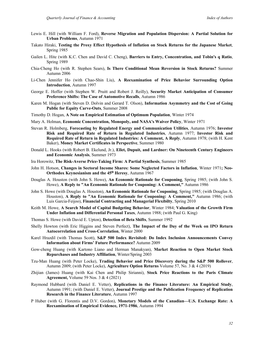- Lewis E. Hill (with William F. Ford), **Reverse Migration and Population Dispersion: A Partial Solution for Urban Problems**, Autumn 1971
- Takato Hiraki, **Testing the Proxy Effect Hypothesis of Inflation on Stock Returns for the Japanese Market**, Spring 1985
- Gailen L. Hite (with K.C. Chen and David C. Cheng), **Barriers to Entry, Concentration, and Tobin's q Ratio**, Spring 1989
- Chia-Cheng Ho (with R. Stephen Sears), **Is There Conditional Mean Reversion in Stock Returns?** Summer Autumn 2006
- Li-Chen Jennifer Ho (with Chao-Shin Liu), **A Reexamination of Price Behavior Surrounding Option Introduction**, Autumn 1997
- George E. Hoffer (with Stephen W. Pruitt and Robert J. Reilly), **Security Market Anticipation of Consumer Preference Shifts: The Case of Automotive Recalls**, Autumn 1986
- Karen M. Hogan (with Steven D. Dolvin and Gerard T. Olson), **Information Asymmetry and the Cost of Going Public for Equity Carve-Outs**, Summer 2008
- Timothy D. Hogan, **A Note on Empirical Estimation of Optimum Population**, Winter 1974
- Mary A. Holman, **Economic Concentration, Monopoly, and NASA's Waiver Policy**, Winter 1971
- Stevan R. Holmberg, **Forecasting by Regulated Energy and Communication Utilities**, Autumn 1976; **Investor Risk and Required Rate of Return in Regulated Industries**, Autumn 1977; **Investor Risk and Required Rate of Return in Regulated Industries: A Comment, A Reply**, Autumn 1978; (with H. Kent Baker), **Money Market Certificates in Perspective**, Summer 1980
- Donald L. Hooks (with Robert B. Ekelund, Jr.), **Ellet, Dupuit, and Lardner: On Nineteenth Century Engineers and Economic Analysis**, Summer 1973
- Ira Horowitz, **The Risk-Averse Price-Taking Firm: A Partial Synthesis**, Summer 1985
- John H. Hotson, **Changes in Sectoral Income Shares: Some Neglected Factors in Inflation**, Winter 1971**; Neo-Orthodox Keynesianism and the 45o Heresy**, Autumn 1967
- Douglas A. Houston (with John S. Howe), **An Economic Rationale for Couponing**, Spring 1985; (with John S. Howe), **A Reply to "An Economic Rationale for Couponing: A Comment,"** Autumn 1986
- John S. Howe (with Douglas A. Houston), **An Economic Rationale for Couponing**, Spring 1985; (with Douglas A. Houston), **A Reply to "An Economic Rationale for Couponing: A Comment,"** Autumn 1986; (with Luis Garcia-Feijoo), **Financial Contracting and Managerial Flexibilty**, Spring 2010
- Keith M. Howe, **A Search Model of Capital Budgeting Behavior**, Winter 1984; **Valuation of the Growth Firm Under Inflation and Differential Personal Taxes**, Autumn 1988; (with Paul G. King)
- Thomas S. Howe (with David E. Upton), **Detection of Beta Shifts**, Summer 1992
- Shelly Howton (with Eric Higgins and Steven Perfect), **The Impact of the Day of the Week on IPO Return Autocorrelation and Cross-Correlation**, Winter 2000
- Karel Hrazdil (with Thomas Scott), **S&P 500 Index Revisited: Do Index Inclusion Announcements Convey Information about Firms' Future Performance?** Autumn 2009
- Gow-cheng Huang (with Kartono Liano and Herman Manakyan), **Market Reaction to Open Market Stock Repurchases and Industry Affiliation**, Winter/Spring 2003
- Tzu-Man Huang (with Peter Locke), **Trading Behavior and Price Discovery during the S&P 500 Rollover**, Autumn 2009; (with Peter Locke), **Agriculture Option Returns** Volume 57, No. 3 & 4 (2019)
- Zhijian (James) Huang (with Kai Chen and Philip Sirianni), **Stock Price Reactions to the Paris Climate Agreement,** Volume 59 Nos. 3 & 4 (2021)
- Raymond Hubbard (with Daniel E. Vetter), **Replications in the Finance Literature: An Empirical Study**, Autumn 1991; (with Daniel E. Vetter), **Journal Prestige and the Publication Frequency of Replication Research in the Finance Literature**, Autumn 1997
- P Huber (with G. Florentis and D.V. Gordon), **Monetary Models of the Canadian—U.S. Exchange Rate: A Reexamination of Empirical Evidence, 1971-1986**, Autumn 1994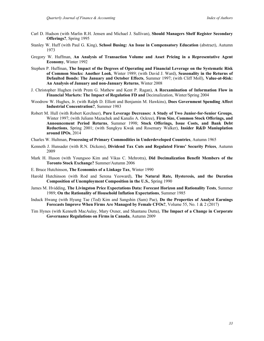- Carl D. Hudson (with Marlin R.H. Jensen and Michael J. Sullivan), **Should Managers Shelf Register Secondary Offerings?**, Spring 1995
- Stanley W. Huff (with Paul G. King), **School Busing: An Issue in Compensatory Education** (abstract), Autumn 1973
- Gregory W. Huffman, **An Analysis of Transaction Volume and Asset Pricing in a Representative Agent Economy**, Winter 1992
- Stephen P. Huffman, **The Impact of the Degrees of Operating and Financial Leverage on the Systematic Risk of Common Stocks: Another Look**, Winter 1989; (with David J. Ward), **Seasonality in the Returns of Defaulted Bonds: The January and October Effects**, Summer 1997; (with Cliff Moll), **Value-at-Risk: An Analysis of January and non-January Returns**, Winter 2008
- J. Christopher Hughen (with Prem G. Mathew and Kent P. Ragan), **A Reexamination of Information Flow in Financial Markets: The Impact of Regulation FD and** Decimalization, Winter/Spring 2004
- Woodrow W. Hughes, Jr. (with Ralph D. Elliott and Benjamin M. Hawkins), **Does Government Spending Affect Industrial Concentration?**, Summer 1983
- Robert M. Hull (with Robert Kerchner), **Pure Leverage Decreases: A Study of Two Junior-for-Senior Groups**, Winter 1997; (with Juliann Mazachek and Kanalis A. Ockree), **Firm Size, Common Stock Offerings, and Announcement Period Returns**, Summer 1998; **Stock Offerings, Issue Costs, and Bank Debt Reductions**, Spring 2001; (with Sungkyu Kwak and Rosemary Walker), **Insider R&D Maniuplation around IPOs**, 2014
- Charles W. Hultman, **Processing of Primary Commodities in Underdeveloped Countries**, Autumn 1965
- Kenneth J. Hunsader (with R.N. Dickens), **Dividend Tax Cuts and Regulated Firms' Security Prices**, Autumn 2009
- Mark H. Huson (with Youngsoo Kim and Vikas C. Mehrotra), **Did Decimalization Benefit Members of the Toronto Stock Exchange?** Summer/Autumn 2006
- E. Bruce Hutchinson, **The Economics of a Linkage Tax**, Winter 1990
- Harold Hutchinson (with Rod and Serena Yeoward), **The Natural Rate, Hysteresis, and the Duration Composition of Unemployment Composition in the U.S.**, Spring 1990
- James M. Hvidding, **The Livingston Price Expectations Data: Forecast Horizon and Rationality Tests**, Summer 1989; **On the Rationality of Household Inflation Expectations**, Summer 1985
- Induck Hwang (with Hyung Tae (Ted) Kim and Sangshin (Sam) Pae), **Do the Properties of Analyst Earnings Forecasts Improve When Firms Are Managed by Female CFOs?**, Volume 55, No. 1 & 2 (2017)
- Tim Hynes (with Kenneth MacAulay, Mary Oxner, and Shantanu Dutta), **The Impact of a Change in Corporate Governance Regulations on Firms in Canada**, Autumn 2009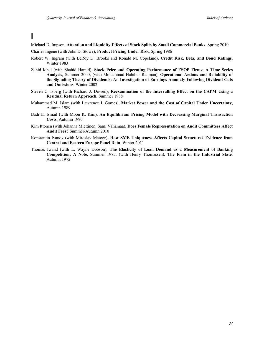## **I**

Michael D. Impson, **Attention and Liquidity Effects of Stock Splits by Small Commercial Banks**, Spring 2010

- Charles Ingene (with John D. Stowe), **Product Pricing Under Risk**, Spring 1986
- Robert W. Ingram (with LeRoy D. Brooks and Ronald M. Copeland), **Credit Risk, Beta, and Bond Ratings**, Winter 1983
- Zahid Iqbal (with Shahid Hamid), **Stock Price and Operating Performance of ESOP Firms: A Time Series Analysis**, Summer 2000; (with Mohammad Habibur Rahman), **Operational Actions and Reliability of the Signaling Theory of Dividends: An Investigation of Earnings Anomaly Following Dividend Cuts and Omissions**, Winter 2002
- Steven C. Isberg (with Richard J. Dowen), **Reexamination of the Intervalling Effect on the CAPM Using a Residual Return Approach**, Summer 1988
- Muhammad M. Islam (with Lawrence J. Gomes), **Market Power and the Cost of Capital Under Uncertainty,**  Autumn 1989
- Badr E. Ismail (with Moon K. Kim), **An Equilibrium Pricing Model with Decreasing Marginal Transaction Costs**, Autumn 1990
- Kim Ittonen (with Johanna Miettinen, Sami Vähämaa), **Does Female Representation on Audit Committees Affect Audit Fees?** Summer/Autumn 2010
- Konstantin Ivanov (with Miroslav Mateev), **How SME Uniqueness Affects Capital Structure? Evidence from Central and Eastern Europe Panel Data**, Winter 2011
- Thomas Iwand (with L. Wayne Dobson), **The Elasticity of Loan Demand as a Measurement of Banking Competition: A Note,** Summer 1975; (with Henry Thomassen), **The Firm in the Industrial State**, Autumn 1972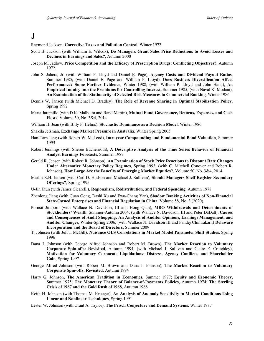### **J**

Raymond Jackson, **Corrective Taxes and Pollution Control**, Winter 1972

- Scott B. Jackson (with William E. Wilcox), **Do Managers Grant Sales Price Reductions to Avoid Losses and Declines in Earnings and Sales?**, Autumn 2000
- Joseph M. Jadlow, **Price Competition and the Efficacy of Prescription Drugs: Conflicting Objectives?**, Autumn 1972
- John S. Jahera, Jr. (with William P. Lloyd and Daniel E. Page), **Agency Costs and Dividend Payout Ratios**, Summer 1985; (with Daniel E. Page and William P. Lloyd), **Does Business Diversification Affect Performance? Some Further Evidence**, Winter 1988; (with William P. Lloyd and John Hand), **An Empirical Inquiry into the Premiums for Controlling Interest,** Summer 1985; (with Naval K. Modani), **An Examination of the Stationarity of Selected Risk Measures in Commercial Banking**, Winter 1986
- Dennis W. Jansen (with Michael D. Bradley), **The Role of Revenue Sharing in Optimal Stabilization Policy**, Spring 1992
- Maria Jaramillo (with D.K. Malhotra and Rand Martin), **Mutual Fund Governance, Returns, Expenses, and Cash Flows**, Volume 50, No. 3&4, 2014
- William H. Jean (with Billy P. Helms), **Stochastic Dominance as a Decision Model**, Winter 1986
- Shakila Jeisman, **Exchange Market Pressure in Australia**, Winter Spring 2005
- Han-Tarn Jeng (with Robert W. McLeod), **Intrayear Compounding and Fundamental Bond Valuation**, Summer 1995
- Robert Jennings (with Sheree Buchenroth), **A Descriptive Analysis of the Time Series Behavior of Financial Analyst Earnings Forecasts**, Summer 1987
- Gerald R. Jensen (with Robert R. Johnson), **An Examination of Stock Price Reactions to Discount Rate Changes Under Alternative Monetary Policy Regimes**, Spring 1993; (with C. Mitchell Conover and Robert R. Johnson), **How Large Are the Benefits of Emerging Market Equities?**, Volume 50, No. 3&4, 2014
- Marlin R.H. Jensen (with Carl D. Hudson and Michael J. Sullivan), **Should Managers Shelf Register Secondary Offerings?**, Spring 1995
- U-Jin Jhun (with James Cicarelli), **Regionalism, Redistribution, and Federal Spending**, Autumn 1978
- Zhenlong Jiang (with Guan Gong, Dashi Xu and Fwu-Chang Yan), **Shadow Banking Activities of Non-Financial State-Owned Enterprises and Financial Regulation in China**, Volume 58, No. 3 (2020)
- Pornsit Jiraporn (with Wallace N. Davidson, III and Hong Qian), **MBO Withdrawals and Determinants of Stockholders' Wealth**, Summer-Autumn 2004; (with Wallace N. Davidson, III and Peter DaDalt), **Causes and Consequences of Audit Shopping: An Analysis of Auditor Opinions, Earnings Management, and Auditor Changes**, Winter-Spring 2006; (with Wallace N. Davidson III and Pandej Chintrakarn) **Delaware Incorporation and the Board of Directors**, Summer 2009
- T. Johnsen (with Jeff I. McGill), **Nuisance OLS Correlations in Market Model Parameter Shift Studies**, Spring 1996
- Dana J. Johnson (with George Alfred Johnson and Robert M. Brown), **The Market Reaction to Voluntary Corporate Spin-offs: Revisited**, Autumn 1994; (with Michael J. Sullivan and Claire E. Crutchley), **Motivation for Voluntary Corporate Liquidations: Distress, Agency Conflicts, and Shareholder Gain**, Spring 1997
- George Alfred Johnson (with Robert M. Brown and Dana J. Johnson), **The Market Reaction to Voluntary Corporate Spin-offs: Revisited**, Autumn 1994
- Harry G. Johnson, **The American Tradition in Economics**, Summer 1977; **Equity and Economic Theory,**  Summer 1975; **The Monetary Theory of Balance-of-Payments Policies**, Autumn 1974; **The Sterling Crisis of 1967 and the Gold Rush of 1968**, Autumn 1968
- Keith H. Johnson (with Thomas M. Krueger), **An Analysis of Anomaly Sensitivity to Market Conditions Using Linear and Nonlinear Techniques**, Spring 1991
- Lester W. Johnson (with Grant A. Taylor), **The Frisch Conjecture and Demand Systems**, Winter 1987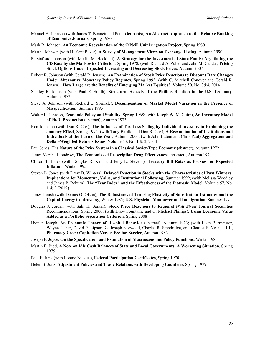- Manuel H. Johnson (with James T. Bennett and Peter Germanis), **An Abstract Approach to the Relative Ranking of Economics Journals**, Spring 1980
- Mark R. Johnson, **An Economic Reevaluation of the O'Neill Unit Irrigation Project**, Spring 1980

Martha Johnson (with H. Kent Baker), **A Survey of Management Views on Exchange Listing**, Autumn 1990

- R. Stafford Johnson (with Merlin M. Hackbart), **A Strategy for the Investment of State Funds: Negotiating the CD Rate by the Markowitz Criterion**, Spring 1978, (with Richard A. Zuber and John M. Gandar, **Pricing Stock Options Under Expected Increasing and Decreasing Stock Prices**, Autumn 2007
- Robert R. Johnson (with Gerald R. Jensen), **An Examination of Stock Price Reactions to Discount Rate Changes Under Alternative Monetary Policy Regimes**, Spring 1993; (with C. Mitchell Conover and Gerald R. Jensen), **How Large are the Benefits of Emerging Market Equities?**, Volume 50, No. 3&4, 2014
- Stanley R. Johnson (with Paul E. Smith), **Structural Aspects of the Phillips Relation in the U.S. Economy**, Autumn 1972
- Steve A. Johnson (with Richard L. Sprinkle), **Decomposition of Market Model Variation in the Presence of Misspecification**, Summer 1993
- Walter L. Johnson, **Economic Policy and Stability**, Spring 1968; (with Joseph W. McGuire), **An Inventory Model of Ph.D. Production** (abstract), Autumn 1973
- Ken Johnston (with Don R. Cox), **The Influence of Tax-Loss Selling by Individual Investors in Explaining the January Effect**, Spring 1996; (with Tony Barilla and Don R. Cox), **A Reexamination of Institutions and Individuals at the Turn of the Year**, Autumn 2000; (with John Hatem and Chris Paul) **Aggregation and Dollar-Weighted Returns Issues**, Volume 53, No. 1 & 2, 2014
- Paul Jonas, **The Nature of the Price System in a Classical Soviet-Type Economy** (abstract), Autumn 1972
- James Marshall Jondrow, **The Economics of Prescription Drug Effectiveness** (abstract), Autumn 1974
- Clifton T. Jones (with Douglas R. Kahl and Jerry L. Stevens), **Treasury Bill Rates as Proxies for Expected Inflation**, Winter 1995
- Steven L. Jones (with Drew B. Winters), **Delayed Reaction in Stocks with the Characteristics of Past Winners: Implications for Momentun, Value, and Institutional Following**, Summer 1999; (with Melissa Woodley and James P. Reburn), **The "Fear Index" and the Effectiveness of the Piotroski Model**, Volume 57, No. 1 & 2 (2019)
- James Jonish (with Dennis O. Olson), **The Robustness of Translog Elasticity of Substitution Estimates and the Capital-Energy Controversy**, Winter 1985; **U.S. Physician Manpower and Immigration**, Summer 1971
- Douglas J. Jordan (with Salil K. Sarkar), **Stock Price Reactions to Regional** *Wall Street* **Journal Securities**  Recommendations, Spring 2000; (with Drew Fountaine and G. Michael Phillips), **Using Economic Value Added as a Portfolio Separation Criterion**, Spring 2008
- Hyman Joseph, **An Economic Theory of Hospital Behavior** (abstract), Autumn 1973; (with Leon Burmeister, Wayne Fisher, David P. Lipson, G. Joseph Norwood, Charles R. Standridge, and Charles E. Yesalis, III), **Pharmacy Costs: Capitation Versus Fee-for-Service**, Autumn 1983
- Joseph P. Joyce, **On the Specification and Estimation of Macroeconomic Policy Functions**, Winter 1986
- Martin E. Judd, **A Note on Idle Cash Balances of State and Local Governments: A Worsening Situation**, Spring 1975
- Paul E. Junk (with Lonnie Nickles), **Federal Participation Certificates**, Spring 1970
- Helen B. Junz, **Adjustment Policies and Trade Relations with Developing Countries**, Spring 1979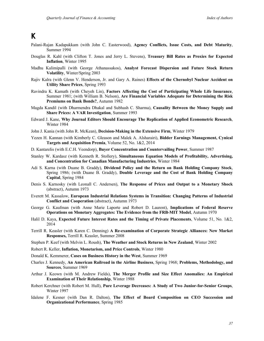## **K**

- Palani-Rajan Kadapakkam (with John C. Easterwood), **Agency Conflicts, Issue Costs, and Debt Maturity**, Summer 1994
- Douglas R. Kahl (with Clifton T. Jones and Jerry L. Stevens), **Treasury Bill Rates as Proxies for Expected Inflation**, Winter 1995
- Madhu Kalimipalli (with George Athanassakos), **Analyst Forecast Dispersion and Future Stock Return Volatility**, Winter/Spring 2003
- Rajiv Kalra (with Glenn V. Henderson, Jr. and Gary A. Raines) **Effects of the Chernobyl Nuclear Accident on Utility Share Prices**, Spring 1993
- Ravindra K. Kamath (with Cheyeh Lin), **Factors Affecting the Cost of Participating Whole Life Insurance**, Summer 1981; (with William B. Nelson), **Are Financial Variables Adequate for Determining the Risk Premiums on Bank Bonds?**, Autumn 1982
- Magda Kandil (with Dharmendra Dhakal and Subhash C. Sharma), **Causality Between the Money Supply and Share Prices: A VAR Investigation**, Summer 1993
- Edward J. Kane, **Why Journal Editors Should Encourage The Replication of Applied Econometric Research**, Winter 1984
- John J. Kania (with John R. McKean), **Decision-Making in the Extensive Firm**, Winter 1979
- Yezen H. Kannan (with Kimberly C. Gleason and Malek A. Alsharairi), **Bidder Earnings Management, Cynical Targets and Acquisition Premia**, Volume 52, No. 1&2, 2014
- D. Kantarelis (with E.C.H. Veendorp), **Buyer Concentration and Countervailing Power**, Summer 1987
- Stanley W. Kardasz (with Kenneth R. Stollery), **Simultaneous Equation Models of Profitability, Advertising, and Concentration for Canadian Manufacturing Industries**, Winter 1984
- Adi S. Karna (with Duane B. Graddy), **Dividend Policy and the Return on Bank Holding Company Stock**, Spring 1986; (with Duane B. Graddy), **Double Leverage and the Cost of Bank Holding Company Capital**, Spring 1984
- Denis S. Karnosky (with Leonall C. Andersen), **The Response of Prices and Output to a Monetary Shock** (abstract), Autumn 1973
- Everett M. Kassalow, **European Industrial Relations Systems in Transition: Changing Patterns of Industrial Conflict and Cooperation** (abstract), Autumn 1973
- George G. Kaufman (with Anne Marie Laporte and Robert D. Laurent), **Implications of Federal Reserve Operations on Monetary Aggregates: The Evidence from the FRB-MIT Model**, Autumn 1970
- Halil D. Kaya, **Expected Future Interest Rates and the Timing of Private Placements**, Volume 51, No. 1&2, 2014
- Terrill R. Keasler (with Karen C. Denning) **A Re-examination of Corporate Strategic Alliances: New Market Responses,** Terrill R. Keasler, Summer 2008
- Stephen P. Keef (with Melvin L. Roush), **The Weather and Stock Returns in New Zealand**, Winter 2002
- Robert R. Keller, **Inflation, Monetarism, and Price Controls**, Winter 1980
- Donald K. Kemmerer, **Cases on Business History in the West**, Summer 1969
- Charles J. Kennedy, **An American Railroad in the Airline Business**, Spring 1968; **Problems, Methodology, and Sources**, Summer 1969
- Arthur J. Keown (with M. Andrew Fields), **The Merger Profile and Size Effect Anomalies: An Empirical Examination of Their Relationship**, Winter 1988
- Robert Kerchner (with Robert M. Hull), **Pure Leverage Decreases: A Study of Two Junior-for-Senior Groups**, Winter 1997
- Idalene F. Kesner (with Dan R. Dalton), **The Effect of Board Composition on CEO Succession and Organizational Performance**, Spring 1985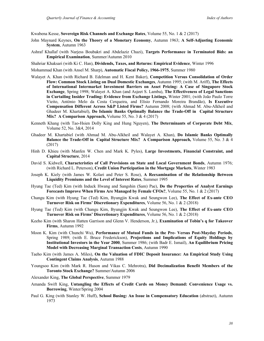Kwabena Kesse, **Sovereign Risk Channels and Exchange Rates**, Volume 55, No. 1 & 2 (2017)

- John Maynard Keynes, **On the Theory of a Monetary Economy**, Autumn 1963; **A Self-Adjusting Economic System**, Autumn 1963
- Ashraf Khallaf (with Narjess Boubakri and Abdelaziz Chazi), **Targets Performance in Terminated Bids: an Empirical Examination**, Summer/Autumn 2010
- Shahriar Khaksari (with Ki C. Han), **Dividends, Taxes, and Returns: Empirical Evidence**, Winter 1996

Mohammad Khan (with Ansel M. Sharp), **Automatic Fiscal Policy, 1966-1975**, Summer 1980

- Walayet A. Khan (with Richard B. Edelman and H. Kent Baker), **Competition Versus Consolidation of Order Flow: Common Stock Listing on Dual Domestic Exchanges**, Autumn 1995; (with M. Ariff), **The Effects of International Intermarket Investment Barriers on Asset Pricing: A Case of Singapore Stock Exchange**, Spring 1998; Walayet A. Khan (and Asjeet S. Lamba), **The Effectiveness of Legal Sanctions in Curtailing Insider Trading: Evidence from Exchange Listings,** Winter 2001; (with João Paulo Torre Vieito, António Melo da Costa Cerqueira, and Elísio Fernando Moreira Brandão), **Is Executive Compensation Different Across S&P Listed Firms?** Autumn 2008; (with Ahmad M. Abu-Alkheil and Ghadeer M. Khartabiel), **Do Islamic Banks Optimally Balance the Trade-Off in Capital Structure Mix? A Comparison Approach,** Volume 55, No. 3 & 4 (2017)
- Kenneth Khang (with Tao-Hsien Dolly King and Hung Nguyen), **The Determinants of Corporate Debt Mix**, Volume 52, No. 3&4, 2014
- Ghadeer M. Khartabiel (with Ahmad M. Abu-Alkheil and Walayet A. Khan), **Do Islamic Banks Optimally Balance the Trade-Off in Capital Structure Mix? A Comparison Approach,** Volume 55, No. 3 & 4 (2017)
- Hinh D. Khieu (with Manfen W. Chen and Mark K. Pyles), **Large Investments, Financial Constraint, and Capital Structure**, 2014
- David S. Kidwell, **Characteristics of Call Provisions on State and Local Government Bonds**, Autumn 1976; (with Richard L. Peterson), **Credit Union Participation in the Mortgage Markets**, Winter 1983
- Joseph K. Kiely (with James W. Kolari and Peter S. Rose), **A Reexamination of the Relationship Between Liquidity Premiums and the Level of Interest Rates**, Summer 1995
- Hyung Tae (Ted) Kim (with Induck Hwang and Sangshin (Sam) Pae), **Do the Properties of Analyst Earnings Forecasts Improve When Firms Are Managed by Female CFOs?**, Volume 55, No. 1 & 2 (2017)
- Changu Kim (with Hyung Tae (Ted) Kim, Byungjin Kwak and Seungwon Lee), **The Effect of Ex-ante CEO Turnover Risk on Firms' Discretionary Expenditures**, Volume 56, No. 1 & 2 (2018)
- Hyung Tae (Ted) Kim (with Changu Kim, Byungjin Kwak and Seungwon Lee), **The Effect of Ex-ante CEO Turnover Risk on Firms' Discretionary Expenditures**, Volume 56, No. 1 & 2 (2018)
- Keeho Kim (with Sharon Hatten Garrison and Glenn V. Henderson, Jr.), **Examination of Tobin's q for Takeover Firms**, Autumn 1992
- Moon K. Kim (with Chunchi Wu), **Performance of Mutual Funds in the Pre- Versus Post-Mayday Periods**, Spring 1989; (with E. Bruce Frederickson), **Projections and Implications of Equity Holdings by Institutional Investors in the Year 2000**, Summer 1986; (with Badr E. Ismail), **An Equilibrium Pricing Model with Decreasing Marginal Transaction Costs**, Autumn 1990
- Taeho Kim (with James A. Miles), **On the Valuation of FDIC Deposit Insurance: An Empirical Study Using Contingent Claims Analysis**, Autumn 1988
- Youngsoo Kim (with Mark R. Huson and Vikas C. Mehrotra), **Did Decimalization Benefit Members of the Toronto Stock Exchange?** Summer/Autumn 2006
- Alexander King, **The Global Perspective**, Summer 1979
- Amanda Swift King, **Untangling the Effects of Credit Cards on Money Demand: Convenience Usage vs. Borrowing**, Winter/Spring 2004
- Paul G. King (with Stanley W. Huff), **School Busing: An Issue in Compensatory Education** (abstract), Autumn 1973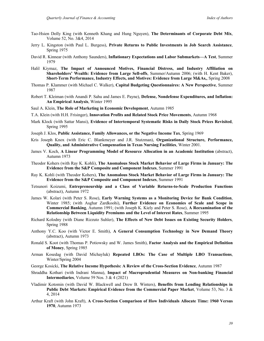- Tao-Hsien Dolly King (with Kenneth Khang and Hung Nguyen), **The Determinants of Corporate Debt Mix**, Volume 52, No. 3&4, 2014
- Jerry L. Kingston (with Paul L. Burgess), **Private Returns to Public Investments in Job Search Assistance**, Spring 1975
- David R. Kinnear (with Anthony Saunders), **Inflationary Expectations and Labor Submarkets—A Test**, Summer 1979
- Halil Kiymaz, **The Impact of Announced Motives, Financial Distress, and Industry Affiliation on Shareholders' Wealth: Evidence from Large Sell-offs**, Summer/Autumn 2006; (with H. Kent Baker), **Short-Term Performance, Industry Effects, and Motives: Evidence from Large M&As,**, Spring 2008
- Thomas P. Klammer (with Michael C. Walker), **Capital Budgeting Questionnaires: A New Perspective**, Summer 1987
- Robert T. Kleiman (with Anandi P. Sahu and James E. Payne), **Defense, Nondefense Expenditures, and Inflation: An Empirical Analysis**, Winter 1995
- Saul A. Klein, **The Role of Marketing in Economic Development**, Autumn 1985
- T.A. Klein (with H.H. Frisinger), **Innovation Profits and Related Stock Price Movements**, Autumn 1968
- Mark Klock (with Sattar Mansi), **Evidence of Intertemporal Systematic Risks in Daily Stock Prices Revisited**, Spring 1995
- Joseph J. Klos, **Public Assistance, Family Allowances, or the Negative Income Tax**, Spring 1969
- Kris Joseph Knox (with Eric C. Blankmeyer and J.R. Stutzman), **Organizational Structure, Performance, Quality, and Administrative Compensation in Texas Nursing Facilities**, Winter 2001.
- James V. Koch, **A Linear Programming Model of Resource Allocation in an Academic Institution** (abstract), Autumn 1973
- Theodor Kohers (with Ray K. Kohli), **The Anomalous Stock Market Behavior of Large Firms in January: The Evidence from the S&P Composite and Component Indexes**, Summer 1991
- Ray K. Kohli (with Theodor Kohers), **The Anomalous Stock Market Behavior of Large Firms in January: The Evidence from the S&P Composite and Component Indexes**, Summer 1991
- Tetsunori Koizumi, **Entrepreneurship and a Class of Variable Returns-to-Scale Production Functions** (abstract), Autumn 1972
- James W. Kolari (with Peter S. Rose), **Early Warning Systems as a Monitoring Device for Bank Condition**, Winter 1985; (with Asghar Zardkoohi), **Further Evidence on Economies of Scale and Scope in Commercial Banking**, Autumn 1991; (with Joseph K. Kiely and Peter S. Rose), **A Reexamination of the Relationship Between Liquidity Premiums and the Level of Interest Rates**, Summer 1995
- Richard Kolodny (with Diane Rizzuto Suhler), **The Effects of New Debt Issues on Existing Security Holders**, Spring 1988
- Anthony Y.C. Koo (with Victor E. Smith), **A General Consumption Technology in New Demand Theory** (abstract), Autumn 1973
- Ronald S. Koot (with Thomas P. Potiowsky and W. James Smith), **Factor Analysis and the Empirical Definition of Money**, Spring 1985
- Arman Kosedag (with David Michayluk) **Repeated LBOs: The Case of Multiple LBO Transactions**, Winter/Spring 2004
- George Kosicki, **The Relative Income Hypothesis: A Review of the Cross-Section Evidence**, Autumn 1987
- Shraddha Kothari (with Indrani Manna), **Impact of Macroprudential Measures on Non-banking Financial Intermediaries**, Volume 59 Nos. 3 & 4 (2021)
- Vladimir Kotomin (with David W. Blackwell and Drew B. Winters), **Benefits from Lending Relationships in Public Debt Markets: Empirical Evidence from the Commercial Paper Market**, Volume 53, No. 3 & 4, 2014
- Arthur Kraft (with John Kraft), **A Cross-Section Comparison of How Individuals Allocate Time: 1960 Versus 1970**, Autumn 1973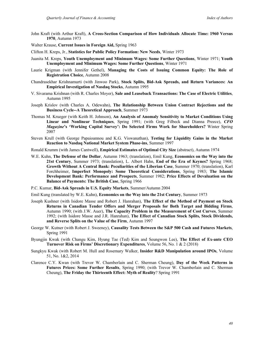John Kraft (with Arthur Kraft), **A Cross-Section Comparison of How Individuals Allocate Time: 1960 Versus 1970**, Autumn 1973

Walter Krause, **Current Issues in Foreign Aid,** Spring 1963

- Clifton H. Kreps, Jr., **Statistics for Public Policy Formation: New Needs**, Winter 1973
- Juanita M. Kreps, **Youth Unemployment and Minimum Wages: Some Further Questions**, Winter 1971; **Youth Unemployment and Minimum Wages: Some Further Questions**, Winter 1971
- Laurie Krigman (with Jennifer Gethel), **Managing the Costs of Issuing Common Equity: The Role of Registration Choice**, Autumn 2008
- Chandrasekhar Krishnamurti (with Jinwoo Park), **Stock Splits, Bid-Ask Spreads, and Return Variances: An Empirical Investigation of Nasdaq Stocks**, Autumn 1995
- V. Sivarama Krishnan (with R. Charles Moyer), **Sale and Leaseback Transactions: The Case of Electric Utilities**, Autumn 1995
- Joseph Krislov (with Charles A. Odewahn), **The Relationship Between Union Contract Rejections and the Business Cycle--A Theoretical Approach**, Summer 1973
- Thomas M. Krueger (with Keith H. Johnson), **An Analysis of Anomaly Sensitivity to Market Conditions Using Linear and Nonlinear Techniques**, Spring 1991; (with Greg Filbeck and Dianna Preece), *CFO Magazine***'s 'Working Capital Survey': Do Selected Firms Work for Shareholders?** Winter Spring 2007
- Steven Krull (with George Papaioannou and K.G. Viswanathan), **Testing for Liquidity Gains in the Market Reaction to Nasdaq National Market System Phase-ins**, Summer 1997

Ronald Krumm (with James Cantwell), **Empirical Estimates of Optimal City Size** (abstract), Autumn 1974

- W.E. Kuhn, **The Defense of the Dollar**, Autumn 1963; (translation), Emil Kung, **Economics on the Way into the 21st Century**, Summer 1973; (translation), L. Albert Hahn, **End of the Era of Keynes?** Spring 1968; **Growth Without A Central Bank: Peculiarities of the Liberian Case**, Summer 1970; (translation), Karl Forchheimer, **Imperfect Monopoly: Some Theoretical Considerations**, Spring 1983; **The Islamic Development Bank: Performance and Prospects**, Summer 1982; **Price Effects of Devaluation on the Balance of Payments: The British Case**, Spring 1966
- P.C. Kumar, **Bid-Ask Spreads in U.S. Equity Markets**, Summer/Autumn 2004
- Emil Kung (translated by W.E. Kuhn), **Economics on the Way into the 21st Century**, Summer 1973
- Joseph Kushner (with Isidore Masse and Robert J. Hanrahan), **The Effect of the Method of Payment on Stock Returns in Canadian Tender Offers and Merger Proposals for Both Target and Bidding Firms**, Autumn 1990; (with J.W. Auer), **The Capacity Problem in the Measurement of Cost Curves**, Summer 1992; (with Isidore Masse and J.R. Hanrahan), **The Effect of Canadian Stock Splits, Stock Dividends, and Reverse Splits on the Value of the Firm**, Autumn 1997
- George W. Kutner (with Robert J. Sweeney), **Causality Tests Between the S&P 500 Cash and Futures Markets**, Spring 1991
- Byungjin Kwak (with Changu Kim, Hyung Tae (Ted) Kim and Seungwon Lee), **The Effect of Ex-ante CEO Turnover Risk on Firms' Discretionary Expenditures**, Volume 56, No. 1 & 2 (2018)
- Sungkyu Kwak (with Robert M. Hull and Rosemary Walker, **Insider R&D Manipulation around IPOs**, Volume 51, No. 1&2, 2014
- Clarence C.Y. Kwan (with Trevor W. Chamberlain and C. Sherman Cheung), **Day of the Week Patterns in Futures Prices: Some Further Results**, Spring 1990; (with Trevor W. Chamberlain and C. Sherman Cheung), **The Friday the Thirteenth Effect: Myth of Reality**? Spring 1991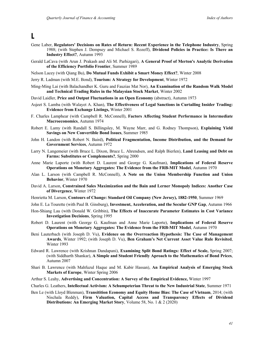#### **L**

- Gene Laber, **Regulators' Decisions on Rates of Return: Recent Experience in the Telephone Industry**, Spring 1988; (with Stephen J. Dempsey and Michael S. Rozeff), **Dividend Policies in Practice: Is There an Industry Effect?**, Autumn 1993
- Gerald LaCava (with Arun J. Prakash and Ali M. Parhizgari), **A General Proof of Merton's Analytic Derivation of the Efficiency Portfolio Frontier**, Summer 1989
- Nelson Lacey (with Qiang Bu), **Do Mutual Funds Exhibit a Smart Money Effect?**, Winter 2008
- Jerry R. Ladman (with M.E. Bond), **Tourism: A Strategy for Development**, Winter 1972
- Ming-Ming Lai (with Balachandher K. Guru and Fauzias Mat Nor), **An Examination of the Random Walk Model and Technical Trading Rules in the Malaysian Stock Market**, Winter 2002
- David Laidler, **Price and Output Fluctuations in an Open Economy** (abstract), Autumn 1973
- Asjeet S. Lamba (with Walayet A. Khan), **The Effectiveness of Legal Sanctions in Curtailing Insider Trading: Evidence from Exchange Listings,** Winter 2001
- F. Charles Lamphear (with Campbell R. McConnell), **Factors Affecting Student Performance in Intermediate Macroeconomics**, Autumn 1974
- Robert E. Lamy (with Randall S. Billingsley, M. Wayne Marr, and G. Rodney Thompson), **Explaining Yield Savings on New Convertible Bond Issues**, Summer 1985
- John H. Landon (with Robert N. Baird), **Political Fragmentation, Income Distribution, and the Demand for Government Services**, Autumn 1972
- Larry N. Langemeier (with Bruce L. Dixon, Bruce L. Ahrendsen, and Ralph Bierlen), **Land Leasing and Debt on Farms: Substitutes or Complements?**, Spring 2000
- Anne Marie Laporte (with Robert D. Laurent and George G. Kaufman), **Implications of Federal Reserve Operations on Monetary Aggregates: The Evidence from the FRB-MIT Model**, Autumn 1970
- Alan L. Larson (with Campbell R. McConnell), **A Note on the Union Membership Function and Union Behavior**, Winter 1970
- David A. Larson, **Constrained Sales Maximization and the Bain and Lerner Monopoly Indices: Another Case of Divergence**, Winter 1972
- Henrietta M. Larson, **Contours of Change: Standard Oil Company (New Jersey), 1882-1950**, Summer 1969
- John E. La Tourette (with Paul B. Ginsburg), **Investment, Acceleration, and the Secular GNP Gap**, Autumn 1966
- Hon-Shiang Lau (with Donald W. Gribbin), **The Effects of Inaccurate Parameter Estimates in Cost Variance Investigation Decisions**, Spring 1995
- Robert D. Laurent (with George G. Kaufman and Anne Marie Laporte), **Implications of Federal Reserve Operations on Monetary Aggregates: The Evidence from the FRB-MIT Model**, Autumn 1970
- Beni Lauterbach (with Joseph D. Vu), **Evidence on the Overreaction Hypothesis: The Case of Management Awards**, Winter 1992; (with Joseph D. Vu), **Ben Graham's Net Current Asset Value Rule Revisited**, Winter 1993
- Edward R. Lawrence (with Krishnan Dandapani), **Examining Split Bond Ratings: Effect of Scale,** Spring 2007; (with Siddharth Shankar), **A Simple and Student Friendly Aproach to the Mathematics of Bond Prices**, Autumn 2007
- Shari B. Lawrence (with Mahfuzul Haque and M. Kabir Hassan), **An Empirical Analysis of Emerging Stock Markets of Europe**, Winter Spring 2006
- Arthur S. Leahy, **Advertising and Concentration: A Survey of the Empirical Evidence,** Winter 1997
- Charles G. Leathers, **Intellectual Activism: A Schumpeterian Threat to the New Industrial State**, Summer 1971
- Ben Le (with Lloyd Blenman), **Transitition Economy and Equity Home Bias: The Case of Vietnam**, 2014; (with Nischala Reddy), **Firm Valuation, Capital Access and Transparency Effects of Dividend Distributions: An Emerging Market Story**, Volume 58, No. 1 & 2 (2020)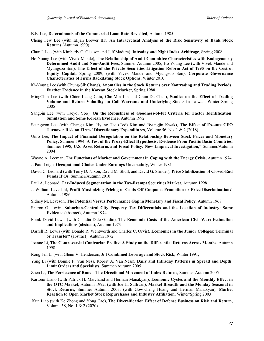B.E. Lee, **Determinants of the Commercial Loan Rate Revisited**, Autumn 1985

- Cheng Few Lee (with Elijah Brewer III), **An Intracyclical Analysis of the Risk Sensitivity of Bank Stock Returns** (Autumn 1990)
- Chun I. Lee (with Kimberly C. Gleason and Jeff Madura), **Intraday and Night Index Arbitrage**, Spring 2008
- Ho Young Lee (with Vivek Mande), **The Relationship of Audit Committee Characteristics with Endogenously Determined Audit and Non-Audit Fees**, Summer Autumn 2005; Ho Young Lee (with Vivek Mande and Myungsoo Son), **The Effect of the Private Securities Litigation Reform Act of 1995 on the Cost of Equity Capital,** Spring 2009; (with Vivek Mande and Myungsoo Son), **Corporate Governance Characteristics of Firms Backdating Stock Options**, Winter 2010
- Ki-Young Lee (with Chung-Sik Chang), **Anomalies in the Stock Returns over Nontrading and Trading Periods: Further Evidence in the Korean Stock Market**, Spring 1988
- MingChih Lee (with Chien-Liang Chiu, Cho-Min Lin and Chun-Da Chen), **Studies on the Effect of Trading Volume and Return Volatility on Call Warrants and Underlying Stocks in** Taiwan, Winter Spring 2005
- Sangbin Lee (with Taeyol Yoo), **On the Robustness of Goodness-of-Fit Criteria for Factor Identification: Simulation and Some Korean Evidence**, Autumn 1992
- Seungwon Lee (with Changu Kim, Hyung Tae (Ted) Kim and Byungjin Kwak), **The Effect of Ex-ante CEO Turnover Risk on Firms' Discretionary Expenditures**, Volume 56, No. 1 & 2 (2018)
- Unro Lee, **The Impact of Financial Deregulation on the Relationship Between Stock Prices and Monetary Policy,** Summer 1994; **A Test of the Proxy-Effect Hypothesis: Evidence From Pacific Basin Countries**, Summer 1998; **U.S. Asset Returns and Fiscal Policy: New Empirical Investigation,"** Summer/Autumn 2004
- Wayne A. Leeman, **The Functions of Market and Government in Coping with the Energy Crisis**, Autumn 1974
- J. Paul Leigh, **Occupational Choice Under Earnings Uncertainty**, Winter 1981
- David C. Leonard (with Terry D. Nixon, David M. Shull, and David G. Shrider), **Price Stabilization of Closed-End Funds IPOs**, Summer/Autumn 2010
- Paul A. Leonard, **Tax-Induced Segmentation in the Tax-Exempt Securities Market**, Autumn 1998
- J. William Levedahl, **Profit Maximizing Pricing of Cents Off Coupons: Promotion or Price Discrimination?**, Autumn 1986
- Sidney M. Leveson, **The Potential Versus Performance Gap in Monetary and Fiscal Policy**, Autumn 1968
- Sharon G. Levin, **Suburban-Central City Property Tax Differentials and the Location of Industry: Some Evidence** (abstract), Autumn 1974
- Frank David Lewis (with Claudia Dale Goldin), **The Economic Costs of the American Civil War: Estimation and Implications** (abstract), Autumn 1973
- Darrell R. Lewis (with Donald R. Wentworth and Charles C. Orvis), **Economics in the Junior Colleges: Terminal or Transfer?** (abstract), Autumn 1972
- Joanne Li, **The Controversial Contrarian Profits: A Study on the Differential Returns Across Months**, Autumn 1998
- Rong-Jen Li (with Glenn V. Henderson, Jr.) **Combined Leverage and Stock Risk**, Winter 1991;
- Yang Li (with Bonnie F. Van Ness, Robert A. Van Ness), **Daily and Intraday Patterns in Spread and Depth: Limit Orders and Specialists,** Summer/Autumn 2005
- Zhen Li, **The Persistence of Runs—The Directional Movement of Index Returns**, Summer Autumn 2005
- Kartono Liano (with Patrick H. Marchand and Herman Manakyan), **Economic Cycles and the Monthly Effect in the OTC Market**, Autumn 1992; (with Joe H. Sullivan), **Market Breadth and the Monday Seasonal in Stock Returns,** Summer Autumn 2003; (with Gow-cheng Huang and Herman Manakyan), **Market Reaction to Open Market Stock Repurchases and Industry Affiliation**, Winter/Spring 2003
- Kun Liao (with Ke Zhong and Yong Cao), **The Diversification Effect of Defense Business on Risk and Return**, Volume 58, No. 1 & 2 (2020)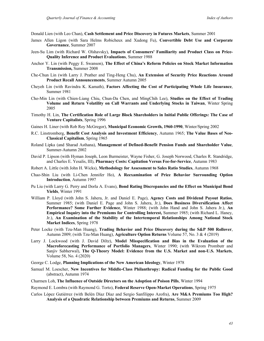Donald Lien (with Leo Chan), **Cash Settlement and Price Discovery in Futures Markets**, Summer 2001

- James Allen Ligon (with Sara Helms Robicheux and Xudong Fu), **Convertible Debt Use and Corporate Governance**, Summer 2007
- Jeen-Su Lim (with Richard W. Olshavsky), **Impacts of Consumers' Familiarity and Product Class on Price-Quality Inference and Product Evaluations**, Summer 1988
- Anchor Y. Lin (with Peggy E. Swanson), **The Effect of China's Reform Policies on Stock Market Information Transmission***,* Summer 2008
- Che-Chun Lin (with Larry J. Prather and Ting-Heng Chu), **An Extension of Security Price Reactions Around Product Recall Announcements**, Summer Autumn 2005
- Cheyeh Lin (with Ravindra K. Kamath), **Factors Affecting the Cost of Participating Whole Life Insurance**, Summer 1981
- Cho-Min Lin (with Chien-Liang Chiu, Chun-Da Chen, and MingChih Lee), **Studies on the Effect of Trading Volume and Return Volatility on Call Warrants and Underlying Stocks in Taiwan**, Winter Spring 2005
- Timothy H. Lin, **The Certification Role of Large Block Shareholders in Initial Public Offerings: The Case of Venture Capitalists**, Spring 1996
- Gaines H. Liner (with Rob Roy McGregor), **Municipal Economic Growth, 1960-1990**, Winter/Spring 2002
- R.C. Linstromberg, **Benefit Cost Analysis and Investment Efficiency**, Autumn 1965; **The Value Bases of Neo-Classical Capitalism**, Spring 1965
- Roland Lipka (and Sharad Asthana), **Management of Defined-Benefit Pension Funds and Shareholder Value**, Summer-Autumn 2002
- David P. Lipson (with Hyman Joseph, Leon Burmeister, Wayne Fisher, G. Joseph Norwood, Charles R. Standridge, and Charles E. Yesalis, III), **Pharmacy Costs: Capitation Versus Fee-for-Service**, Autumn 1983
- Robert A. Little (with John H. Wicks), **Methodology for Assessment to Sales Ratio Studies**, Autumn 1968
- Chao-Shin Liu (with Li-Chen Jennifer Ho), **A Reexamination of Price Behavior Surrounding Option Introduction**, Autumn 1997
- Pu Liu (with Larry G. Perry and Dorla A. Evans), **Bond Rating Discrepancies and the Effect on Municipal Bond Yields**, Winter 1991
- William P. Lloyd (with John S. Jahera, Jr. and Daniel E. Page), **Agency Costs and Dividend Payout Ratios**, Summer 1985; (with Daniel E. Page and John S. Jahera, Jr.), **Does Business Diversification Affect Performance? Some Further Evidence**, Winter 1988; (with John Hand and John S. Jahera Jr.), **An Empirical Inquiry into the Premiums for Controlling Interest,** Summer 1985; (with Richard L. Haney, Jr.), **An Examination of the Stability of the Intertemporal Relationships Among National Stock Market Indices**, Spring 1978
- Peter Locke (with Tzu-Man Huang), **Trading Behavior and Price Discovery during the S&P 500 Rollover**, Autumn 2009; (with Tzu-Man Huang), **Agriculture Option Returns** Volume 57, No. 3 & 4 (2019)
- Larry J. Lockwood (with J. David Diltz), **Model Misspecification and Bias in the Evaluation of the Macroforecasting Performance of Portfolio Managers**, Winter 1990; (with Wikrom Prombutr and Sanjiv Sabherwal), **The Q-Theory Model: Evidence from the U.S. Market and non-U.S. Markets**, Volume 58, No. 4 (2020)
- George C. Lodge, **Planning Implications of the New American Ideology**, Winter 1978
- Samuel M. Loescher, **New Incentives for Middle-Class Philanthropy: Radical Funding for the Public Good** (abstract), Autumn 1974
- Charmen Loh, **The Influence of Outside Directors on the Adoption of Poison Pills**, Winter 1994
- Raymond E. Lombra (with Raymond G. Torto), **Federal Reserve Open-Market Operations**, Spring 1975
- Carlos López Gutiérrez (with Belén Díaz Díaz and Sergio Sanfilippo Azofra), **Are M&A Premiums Too High? Analysis of a Quadratic Relationship between Premiums and Returns**, Summer 2009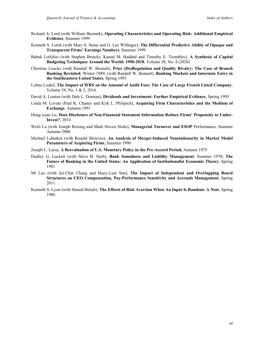- Richard A. Lord (with William Beranek), **Operating Characteristics and Operating Risk: Additional Empirical Evidence**, Summer 1999
- Kenneth S. Lorek (with Mary S. Stone and G. Lee Willinger), **The Differential Predictive Ability of Opaque and Transparent Firms' Earnings Numbers**, Summer 1999
- Babak Lotfaliei (with Stephen Brincks, Kamal M. Haddad and Timothy E. Trombley), **A Synthesis of Capital Budgeting Techniques Around the World: 1990-2018**, Volume 58, No. 4 (2020)
- Christine Loucks (with Randall W. Bennett), **Price (De)Regulation and Quality Rivalry: The Case of Branch Banking Revisited**, Winter 1989; (with Randall W. Bennett), **Banking Markets and Interstate Entry in the Southeastern United States**, Spring 1993
- Lobna Loukil, **The Impact of IFRS on the Amount of Audit Fees: The Case of Large French Listed Company**, Volume 54, No. 1 & 2, 2016
- David A. Louton (with Dale L. Domian), **Dividends and Investment: Further Empirical Evidence**, Spring 1995
- Linda M. Lovata (Paul K. Chaney and Kirk L. Philipich), **Acquiring Firm Characteristics and the Medium of Exchange**, Autumn 1991
- Hung-yuan Lu, **Does Disclosure of Non-Financial Statement Information Reduce Firms' Propensity to Under-Invest?**, 2014
- Weili Lu (with Joseph Reising and Mark Hoven Stohs), **Managerial Turnover and ESOP** Performance, Summer Autumn 2006
- Michael Lubatkin (with Ronald Shrieves), **An Analysis of Merger-Induced Nonstationarity in Market Model Parameters of Acquiring Firms**, Summer 1990
- Joseph L. Lucia, **A Reevaluation of U.S. Monetary Policy in the Pre-Accord Period,** Autumn 1975
- Dudley G. Luckett (with Steve B. Steib), **Bank Soundness and Liability Management**, Summer 1978; **The Future of Banking in the United States: An Application of Institutionalist Economic Theory**, Spring 1981
- Mi Luo (with Jui-Chin Chang and Huey-Lian Sun), **The Impact of Independent and Overlapping Board Structures on CEO Compensation, Pay-Performance Sensitivity and Accruals Management**, Spring 2011
- Kenneth S. Lyon (with Hamid Beladi), **The Effects of Risk Aversion When An Input Is Random: A Note**, Spring 1986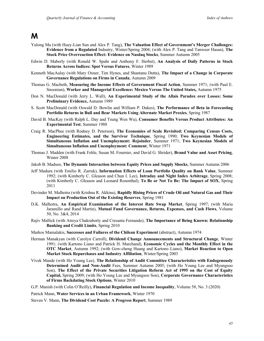## **M**

- Yulong Ma (with Huey-Lian Sun and Alex P. Tang), **The Valuation Effect of Government's Merger Challenges: Evidence from a Regulated** Indsutry, Winter/Spring 2004; (with Alex P. Tang and Tanweer Hasan), **The Stock Price Overreaction Effect: Evidence on Nasdaq Stocks**, Summer Autumn 2005
- Edwin D. Maberly (with Ronald W. Spahr and Anthony F. Herbst), **An Analysis of Daily Patterns in Stock Returns Across Indices: Spot Versus Futures**, Winter 1989
- Kenneth MacAulay (with Mary Oxner, Tim Hynes, and Shantanu Dutta), **The Impact of a Change in Corporate Governance Regulations on Firms in Canada**, Autumn 2009
- Thomas G. Macbeth, **Measuring the Income Effects of Government Fiscal Action**, Summer 1971; (with Paul E. Snoonian), **Worker and Managerial Excellence: Mexico Versus The United States,** Autumn 1975
- Don N. MacDonald (with Jerry L. Wall), **An Experimental Study of the Allais Paradox over Losses: Some Preliminary Evidence,** Autumn 1989
- S. Scott MacDonald (with Oswald D. Bowlin and William P. Dukes), **The Performance of Beta in Forecasting Portfolio Returns in Bull and Bear Markets Using Alternate Market Proxies**, Spring 1987
- David B. MacKay (with Ralph L. Day and Tsung Wen Wu), **Consumer Benefits Versus Product Attributes: An Experimental Test**, Summer 1988
- Craig R. MacPhee (with Rodney D. Peterson), **The Economies of Scale Revisited: Comparing Census Costs, Engineering Estimates, and the Survivor Technique**, Spring 1990; **Two Keynesian Models of Simultaneous Inflation and Unemployment: Rejoinder**, Summer 1971; **Two Keynesian Models of Simultaneous Inflation and Unemployment: Comment**, Winter 1971
- Thomas J. Madden (with Frank Fehle, Susan M. Fournier, and David G. Shrider), **Brand Value and Asset Pricing**, Winter 2008
- Jakob B. Madsen, **The Dynamic Interaction between Equity Prices and Supply Shocks**, Summer Autumn 2006
- Jeff Madura (with Emilio R. Zarruk), **Information Effects of Loan Portfolio Quality on Bank Value**, Summer 1992; (with Kimberly C. Gleason and Chun I. Lee), **Intraday and Night Index Arbitrage**, Spring 2008; (with Kimberly C. Gleason and Leonard Rosenthal), **To Be or Not To Be: The Impact of SOX**, Spring 2011
- Devinder M. Malhotra (with Krishna R. Akkina), **Rapidly Rising Prices of Crude Oil and Natural Gas and Their Impact on Production Out of the Existing Reserves**, Spring 1981
- D.K. Malhotra, **An Empirical Examination of the Interest Rate Swap Market**, Spring 1997; (with Maria Jaramillo and Rand Martin), **Mutual Fund Governance, Returns, Expenses, and Cash Flows**, Volume 50, No. 3&4, 2014
- Rajiv Mallick (with Atreya Chakraborty and Cresanta Fernando), **The Importance of Being Known: Relationship Banking and Credit Limits**, Spring 2010
- Markos Mamalakis, **Successes and Failures of the Chilean Experiment** (abstract), Autumn 1974
- Herman Manakyan (with Carolyn Carroll), **Dividend Change Announcements and Structural Change**, Winter 1991; (with Kartono Liano and Patrick H. Marchand), **Economic Cycles and the Monthly Effect in the OTC Market**, Autumn 1992; (with Gow-cheng Huang and Kartono Liano), **Market Reaction to Open Market Stock Repurchases and Industry Affiliation**, Winter/Spring 2003
- Vivek Mande (with Ho Young Lee), **The Relationship of Audit Committee Characteristics with Endogenously Determined Audit and Non-Audit** Fees, Summer Autumn 2005; (with Ho Young Lee and Myungsoo Son), **The Effect of the Private Securities Litigation Reform Act of 1995 on the Cost of Equity Capital,** Spring 2009; (with Ho Young Lee and Myungsoo Son), **Corporate Governance Characteristics of Firms Backdating Stock Options**, Winter 2010

G.P. Manish (with Colin O'Reilly), **Financial Regulation and Income Inequality**, Volume 58, No. 3 (2020)

Patrick Mann, **Water Services in an Urban Framework**, Winter 1970

Steven V. Mann, **The Dividend Cost Puzzle: A Progress Report**, Summer 1989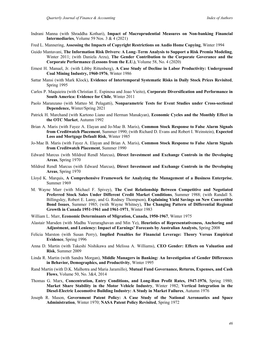- Indrani Manna (with Shraddha Kothari), **Impact of Macroprudential Measures on Non-banking Financial Intermediaries**, Volume 59 Nos. 3 & 4 (2021)
- Fred L. Mannering, **Assessing the Impacts of Copyright Restrictions on Audio Home Copying**, Winter 1994
- Guido Mantavani, **The Information Risk Drivers: A Long–Term Analysis to Support a Risk Premia Modeling**, Winter 2011; (with Daniela Arzu), **The Gender Contribution to the Corporate Goverance and the Corporate Performance (Lessons from the E.U.)**, Volume 58, No. 4 (2020)
- Ernest H. Manuel, Jr. (with Libby Rittenberg), **A Case Study of Decline in Labor Productivity: Underground Coal Mining Industry, 1960-1976**, Winter 1986
- Sattar Mansi (with Mark Klock), **Evidence of Intertemporal Systematic Risks in Daily Stock Prices Revisited**, Spring 1995
- Carlos P. Maquieira (with Christian E. Espinosa and Joao Vieito), **Corporate Diversification and Performance in South America: Evidence for Chile**, Winter 2011
- Paolo Maranzano (with Matteo M. Pelagatti), **Nonparametric Tests for Event Studies under Cross-sectional Dependence,** Winter/Spring 2021
- Patrick H. Marchand (with Kartono Liano and Herman Manakyan), **Economic Cycles and the Monthly Effect in the OTC Market**, Autumn 1992
- Brian A. Maris (with Fayez A. Elayan and Jo-Mae B. Maris), **Common Stock Response to False Alarm Signals from Creditwatch Placement**, Summer 1990; (with Richard D. Evans and Robert I. Weinstein), **Expected Loss and Mortgage Default Risk**, Winter 1985
- Jo-Mae B. Maris (with Fayez A. Elayan and Brian A. Maris), **Common Stock Response to False Alarm Signals from Creditwatch Placement**, Summer 1990
- Edward Marcus (with Mildred Rendl Marcus), **Direct Investment and Exchange Controls in the Developing Areas**, Spring 1970
- Mildred Rendl Marcus (with Edward Marcus), **Direct Investment and Exchange Controls in the Developing Areas**, Spring 1970
- Lloyd K. Marquis, **A Comprehensive Framework for Analyzing the Management of a Business Enterprise**, Summer 1969
- M. Wayne Marr (with Michael F. Spivey), **The Cost Relationship Between Competitive and Negotiated Preferred Stock Sales Under Different Credit Market Conditions**, Summer 1988; (with Randall S. Billingsley, Robert E. Lamy, and G. Rodney Thompson), **Explaining Yield Savings on New Convertible Bond Issues**, Summer 1985; (with Wayne Whitney), **The Changing Pattern of Differential Regional Growth in Canada 1951-1961 and 1961-1971**, Winter 1983
- William L. Marr, **Economic Determinants of Migration, Canada, 1950-1967**, Winter 1975
- Alastair Marsden (with Madhu Veeraraghavan and Min Ye), **Heuristics of Representativeness, Anchoring and Adjustment, and Leniency: Impact of Earnings' Forecasts by Australian Analysts,** Spring 2008
- Felicia Marston (with Susan Perry), **Implied Penalties for Financial Leverage: Theory Versus Empirical Evidence**, Spring 1996
- Anna D. Martin (with Takeshi Nishikawa and Melissa A. Williams), **CEO Gender: Effects on Valuation and Risk**, Summer 2009
- Linda R. Martin (with Sandra Morgan), **Middle Managers in Banking: An Investigation of Gender Differences in Behavior, Demographics, and Productivity**, Winter 1995
- Rand Martin (with D.K. Malhotra and Maria Jaramillo), **Mutual Fund Governance, Returns, Expenses, and Cash Flows**, Volume 50, No. 3&4, 2014
- Thomas G. Marx, **Concentration, Entry Conditions, and Long-Run Profit Rates, 1947-1976**, Spring 1980; **Market Share Stability in the Motor Vehicle Industry**, Winter 1982; **Vertical Integration in the Diesel-Electric Locomotive Building Industry: A Study in Market Failures**, Autumn 1976
- Joseph R. Mason, **Government Patent Policy: A Case Study of the National Aeronautics and Space Administration**, Winter 1970; **NASA Patent Policy Revisited**, Spring 1972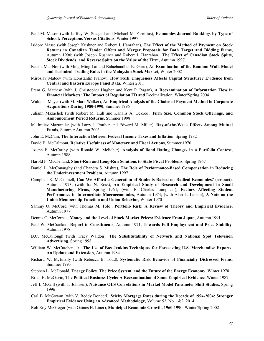- Paul M. Mason (with Jeffrey W. Steagall and Michael M. Fabritius), **Economics Journal Rankings by Type of School: Perceptions Versus Citations**, Winter 1997
- Isidore Masse (with Joseph Kushner and Robert J. Hanrahan), **The Effect of the Method of Payment on Stock Returns in Canadian Tender Offers and Merger Proposals for Both Target and Bidding Firms**, Autumn 1990; (with Joseph Kushner and Robert J. Hanrahan), **The Effect of Canadian Stock Splits, Stock Dividends, and Reverse Splits on the Value of the Firm**, Autumn 1997
- Fauzia Mat Nor (with Ming-Ming Lai and Balachandher K. Guru), **An Examination of the Random Walk Model and Technical Trading Rules in the Malaysian Stock Market**, Winter 2002
- Miroslav Mateev (with Konstantin Ivanov), **How SME Uniqueness Affects Capital Structure? Evidence from Central and Eastern Europe Panel Data**, Winter 2011
- Prem G. Mathew (with J. Christopher Hughen and Kent P. Ragan), **A Reexamination of Information Flow in Financial Markets: The Impact of Regulation FD and** Decimalization, Winter/Spring 2004
- Walter J. Mayer (with M. Mark Walker), **An Empirical Analysis of the Choice of Payment Method in Corporate Acquisitions During 1980-1990**, Summer 1996
- Juliann Mazachek (with Robert M. Hull and Kanalis A. Ockree), **Firm Size, Common Stock Offerings, and Announcement Period Returns**, Summer 1998
- M. Imtiaz Mazumder (with Larry J. Prather and Edward M. Miller), **Day-of-the-Week Effects Among Mutual Funds**, Summer Autumn 2003
- John E. McCain, **The Interaction Between Federal Income Taxes and Inflation**, Spring 1982
- David B. McCalmont, **Relative Usefulness of Monetary and Fiscal Actions**, Summer 1970
- Joseph E. McCarthy (with Ronald W. Melicher), **Analysis of Bond Rating Changes in a Portfolio Context**, Autumn 1988
- Harold F. McClelland, **Short-Run and Long-Run Solutions to State Fiscal Problems**, Spring 1967
- Daniel L. McConaughy (and Chandra S. Mishra), **The Role of Performance-Based Compensation in Reducing the Underinvestment Problem**, Autumn 1997
- Campbell R. McConnell, **Can We Afford a Generation of Students Raised on Radical Economics?** (abstract), Autumn 1973; (with Ira N. Ross), **An Empirical Study of Research and Development in Small Manufacturing Firms**, Spring 1964; (with F. Charles Lamphear), **Factors Affecting Student Performance in Intermediate Macroeconomics**, Autumn 1974; (with Alan L. Larson), **A Note on the Union Membership Function and Union Behavior**, Winter 1970
- Sammy O. McCord (with Thomas M. Tole), **Portfolio Risk: A Review of Theory and Empirical Evidence**, Autumn 1977
- Dennis C. McCornac, **Money and the Level of Stock Market Prices: Evidence From Japan**, Autumn 1991
- Paul W. McCracken, **Report to Constituents**, Autumn 1971; **Towards Full Employment and Price Stability**, Autumn 1978
- B.C. McCullough (with Tracy Waldon), **The Substitutability of Network and National Spot Television Advertising**, Spring 1998
- William W. McCutchen, Jr., **The Use of Box Jenkins Techniques for Forecasting U.S. Merchandise Exports: An Update and Extension**, Autumn 1984
- Richard W. McEnally (with Rebecca B. Todd), **Systematic Risk Behavior of Financially Distressed Firms**, Summer 1993
- Stephen L. McDonald, **Energy Policy, The Price System, and the Future of the Energy Economy**, Winter 1978
- Brian H. McGavin, **The Political Business Cycle: A Reexamination of Some Empirical Evidence**, Winter 1987
- Jeff I. McGill (with T. Johnsen), **Nuisance OLS Correlations in Market Model Parameter Shift Studies**, Spring 1996
- Carl B. McGowan (with V. Reddy Dondeti), **Sticky Mortgage Rates during the Decade of 1994-2004: Stronger Empirical Evidence Using an Advanced Methodology**, Volume 52, No. 1&2, 2014
- Rob Roy McGregor (with Gaines H. Liner), **Municipal Economic Growth, 1960-1990**, Winter/Spring 2002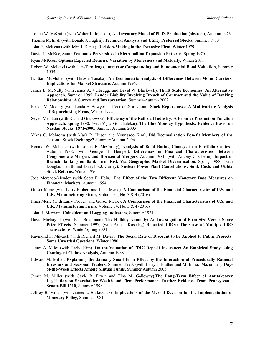Joseph W. McGuire (with Walter L. Johnson), **An Inventory Model of Ph.D. Production** (abstract), Autumn 1973

Thomas McInish (with Donald J. Puglisi), **Technical Analysis and Utility Preferred Stocks**, Summer 1980

John R. McKean (with John J. Kania), **Decision-Making in the Extensive Firm**, Winter 1979

David L. McKee, **Some Economic Perversities in Metropolitan Expansion Patterns**, Spring 1970

Ryan McKeon, **Options Expected Returns: Variation by Moneyness and Maturity**, Winter 2011

- Robert W. McLeod (with Han-Tarn Jeng), **Intrayear Compounding and Fundamental Bond Valuation**, Summer 1995
- B. Starr McMullen (with Hiroshi Tanaka), **An Econometric Analysis of Differences Between Motor Carriers: Implications for Market Structure**, Autumn 1995.
- James E. McNulty (with James A. Verbrugge and David W. Blackwell), **Thrift Scale Economies: An Alternative Approach**, Summer 1995; **Lender Liability Involving Breach of Contract and the Value of Banking Relationships: A Survey and Interpretation**, Summer-Autumn 2002
- Prasad V. Medury (with Linda E. Bowyer and Venkat Srinivasan), **Stock Repurchases: A Multivariate Analysis of Repurchasing Firms**, Winter 1992
- Seyed Mehdian (with Richard Grabowski), **Efficiency of the Railroad Industry: A Frontier Production Function Approach,** Spring 1990; (with Vijay Gondhalekar), **The Blue Monday Hypothesis: Evidence Based on Nasdaq Stocks, 1971-2000**, Summer Autumn 2003
- Vikas C. Mehrotra (with Mark R. Huson and Youngsoo Kim), **Did Decimalization Benefit Members of the Toronto Stock Exchange?** Summer/Autumn 2006
- Ronald W. Melicher (with Joseph E. McCarthy), **Analysis of Bond Rating Changes in a Portfolio Context**, Autumn 1988; (with George H. Hempel), **Differences in Financial Characteristics Between Conglomerate Mergers and Horizontal Mergers**, Autumn 1971; (with Antony C. Cherin), **Impact of Branch Banking on Bank Firm Risk Via Geographic Market Diversification**, Spring 1988; (with Douglas Hearth and Darryl E.J. Gurley), **Nuclear Power Plant Cancellations: Sunk Costs and Utility Stock Returns**, Winter 1990
- Jose Mercado-Mendez (with Scott E. Hein), **The Effect of the Two Different Monetary Base Measures on Financial Markets**, Autumn 1994
- Gulser Meric (with Larry Prober and Ilhan Meric), **A Comparison of the Financial Characteristics of U.S. and U.K. Manufacturing Firms,** Volume 54, No. 3 & 4 (2016)
- Ilhan Meric (with Larry Prober and Gulser Meric), **A Comparison of the Financial Characteristics of U.S. and U.K. Manufacturing Firms,** Volume 54, No. 3 & 4 (2016)
- John H. Merriam, **Coincident and Lagging Indicators**, Summer 1971
- David Michayluk (with Paul Brockman), **The Holiday Anomaly: An Investigation of Firm Size Versus Share Price Effects**, Summer 1997; (with Arman Kosedag) **Repeated LBOs: The Case of Multiple LBO Transactions**, Winter/Spring 2004
- Raymond F. Mikesell (with Richard M. Davis), **The Social Rate of Discount to be Applied to Public Projects: Some Unsettled Questions**, Winter 1980
- James A. Miles (with Taeho Kim), **On the Valuation of FDIC Deposit Insurance: An Empirical Study Using Contingent Claims Analysis**, Autumn 1988
- Edward M. Miller, **Explaining the January Small Firm Effect by the Interaction of Procedurally Rational Investors and Seasonal Traders**, Summer 1990; (with Larry J. Prather and M. Imtiaz Mazumder), **Dayof-the-Week Effects Among Mutual Funds**, Summer Autumn 2003
- James M. Miller (with Gayle R. Erwin and Tina M. Galloway),**The Long-Term Effect of Antitakeover Legislation on Shareholder Wealth and Firm Performance: Further Evidence From Pennsylvania Senate Bill 1310**, Summer 1998
- Jeffrey B. Miller (with James L. Butkiewicz), **Implications of the Merrill Decision for the Implementation of Monetary Policy**, Summer 1981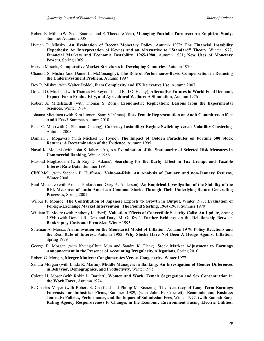- Robert E. Miller (W. Scott Bauman and E. Theodore Veit), **Managing Portfolio Turnover: An Empirical Study,**  Summer Autumn 2005
- Hyman P. Minsky, **An Evaluation of Recent Monetary Policy**, Autumn 1972; **The Financial Instability Hypothesis: An Interpretation of Keynes and an Alternative to "Standard" Theory**, Winter 1977; **Financial Markets and Economic Instability, 1965-1980**, Autumn 1981; **New Uses of Monetary Powers**, Spring 1969
- Marvin Miracle, **Comparative Market Structures in Developing Countries**, Autumn 1970
- Chandra S. Mishra (and Daniel L. McConaughy), **The Role of Performance-Based Compensation in Reducing the Underinvestment Problem**, Autumn 1997
- Dev R. Mishra (with Walter Dolde), **Firm Complexity and FX Derivative Use**, Autumn 2007
- Donald O. Mitchell (with Thomas M. Reynolds and Earl O. Heady), **Alternative Futures in World Food Demand, Export, Farm Productivity, and Agricultural Welfare: A Simulation**, Autumn 1976
- Robert A. Mittelstaedt (with Thomas S. Zorn), **Econometric Replication: Lessons from the Experimental Sciences**, Winter 1984
- Johanna Miettinen (with Kim Ittonen, Sami Vähämaa), **Does Female Representation on Audit Committees Affect Audit Fees?** Summer/Autumn 2010
- Peter C. Miu (with C. Sherman Cheung), **Currency Instability: Regime Switching versus Volatility Clustering**, Autumn 2008
- Damian J. Mogavero (with Michael F. Toyne), **The Impact of Golden Parachutes on Fortune 500 Stock Returns: A Reexamination of the Evidence**, Autumn 1995
- Naval K. Modani (with John S. Jahera, Jr.), **An Examination of the Stationarity of Selected Risk Measures in Commercial Banking**, Winter 1986
- Masoud Moghaddam (with Roy D. Adams), **Searching for the Darby Effect in Tax Exempt and Taxable Interest Rate Data**, Summer 1991
- Cliff Moll (with Stephen P. Huffman), **Value-at-Risk: An Analysis of January and non-January Returns**, Winter 2008
- Raul Moncarz (with Arun J. Prakash and Gary A. Anderson), **An Empirical Investigation of the Stability of the Risk Measures of Latin-American Common Stocks Through Their Underlying Return-Generating Processes**, Spring 2001
- Wilbur F. Monroe, **The Contribution of Japanese Exports to Growth in Output**, Winter 1973; **Evaluation of Foreign-Exchange Market Intervention: The Pound Sterling, 1964-1968**, Summer 1970
- William T. Moore (with Anthony K. Byrd), **Valuation Effects of Convertible Security Calls: An Update**, Spring 1994; (with Donald R. Deis and Daryl M. Guffey ), **Further Evidence on the Relationship Between Bankruptcy Costs and Firm Size**, Winter 1995
- Suleman A. Moosa, **An Innovation on the Monetarist Model of Inflation**, Autumn 1979; **Policy Reactions and the Real Rate of Interest**, Autumn 1982; **Why Stocks Have Not Been A Hedge Against Inflation**, Spring 1979
- George E. Morgan (with Kyung-Chun Mun and Sandra K. Fleak), **Stock Market Adjustment to Earnings Announcement in the Presence of Accounting Irregularity Allegations**, Spring 2010
- Robert G. Morgan, **Merger Motives: Conglomerates Versus Congenerics**, Winter 1977
- Sandra Morgan (with Linda R. Martin), **Middle Managers in Banking: An Investigation of Gender Differences in Behavior, Demographics, and Productivity**, Winter 1995
- Colette H. Moser (with Robin L. Bartlett), **Women and Work: Female Segregation and Sex Concentration in the Work Force**, Autumn 1974
- R. Charles Moyer (with Robert E. Chatfield and Phillip M. Sisneros), **The Accuracy of Long-Term Earnings Forecasts for Industrial Firms**, Summer 1989; (with John H. Crockett), **Economic and Business Journals: Policies, Performance, and the Impact of Submission Fees**, Winter 1977; (with Ramesh Rao), **Rating Agency Responsiveness to Changes in the Economic Environment Facing Electric Utilities**,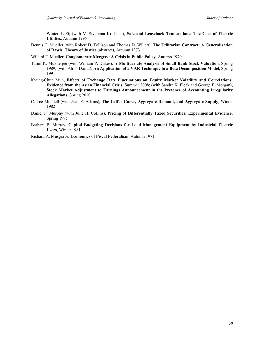Winter 1990; (with V. Sivarama Krishnan), **Sale and Leaseback Transactions: The Case of Electric Utilities**, Autumn 1995

- Dennis C. Mueller (with Robert D. Tollison and Thomas D. Willett), **The Utilitarian Contract: A Generalization of Rawls' Theory of Justice** (abstract), Autumn 1973
- Willard F. Mueller, **Conglomerate Mergers: A Crisis in Public Policy**, Autumn 1970
- Tarun K. Mukherjee (with William P. Dukes), **A Multivariate Analysis of Small Bank Stock Valuation**, Spring 1989; (with Ali F. Darrat), **An Application of a VAR Technique to a Beta Decomposition Model**, Spring 1991
- Kyung-Chun Mun, **Effects of Exchange Rate Fluctuations on Equity Market Volatility and Correlations: Evidence from the Asian Financial Crisis**, Summer 2008; (with Sandra K. Fleak and George E. Morgan), **Stock Market Adjustment to Earnings Announcement in the Presence of Accounting Irregularity Allegations**, Spring 2010
- C. Lee Mundell (with Jack E. Adams), **The Laffer Curve, Aggregate Demand, and Aggregate Supply**, Winter 1982
- Daniel P. Murphy (with Julie H. Collins), **Pricing of Differentially Taxed Securities: Experimental Evidence**, Spring 1995
- Barbara B. Murray, **Capital Budgeting Decisions for Load Management Equipment by Industrial Electric Users**, Winter 1981

Richard A. Musgrave, **Economics of Fiscal Federalism**, Autumn 1971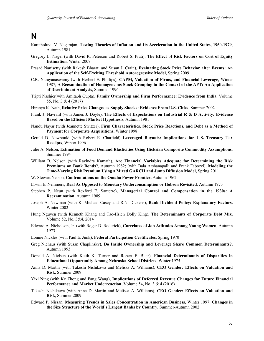#### **N**

- Karatholuvu V. Nagarajan, **Testing Theories of Inflation and Its Acceleration in the United States, 1960-1979**, Autumn 1981
- Gregory L. Nagel (with David R. Peterson and Robert S. Prati), **The Effect of Risk Factors on Cost of Equity Estimation**, Winter 2007
- Prasad Nanisetty (with Rakesh Bharati and Susan J. Crain), **Evaluating Stock Price Behavior after Events: An Application of the Self-Exciting Threshold Autoregressive Model**, Spring 2009
- C.R. Narayanaswamy (with Herbert E. Phillips), **CAPM, Valuation of Firms, and Financial Leverage**, Winter 1987; **A Reexamination of Homogeneous Stock Grouping in the Context of the APT: An Application of Discriminant Analysis**, Summer 1996
- Tripti Nashier(with Amitabh Gupta), **Family Ownership and Firm Performance: Evidence from India**, Volume 55, No. 3 & 4 (2017)
- Hiranya K. Nath, **Relative Price Changes as Supply Shocks: Evidence From U.S. Cities**, Summer 2002
- Frank J. Navratil (with James J. Doyle), **The Effects of Expectations on Industrial R & D Activity: Evidence Based on the Efficient Market Hypothesis**, Autumn 1981
- Nandu Nayar (with Jeannette Switzer), **Firm Characteristics, Stock Price Reactions, and Debt as a Method of Payment for Corporate Acquisitions**, Winter 1998
- Gerald D. Newbould (with Robert E. Chatfield) **Leveraged Buyouts: Implications for U.S. Treasury Tax Receipts**, Winter 1996
- Julie A. Nelson, **Estimation of Food Demand Elasticities Using Hicksian Composite Commodity Assumptions**, Summer 1994
- William B. Nelson (with Ravindra Kamath), **Are Financial Variables Adequate for Determining the Risk Premiums on Bank Bonds?**, Autumn 1982; (with Bala Arshanapalli and Frank Fabozzi), **Modeling the Time-Varying Risk Premium Using a Mixed GARCH and Jump Diffusion Model**, Spring 2011
- W. Stewart Nelson, **Confrontations on the Omaha Power Frontier,** Autumn 1962
- Erwin E. Nemmers, **Real As Opposed to Monetary Underconsumption or Hobson Revisited**, Autumn 1973
- Stephen P. Neun (with Rexford E. Santerre), **Managerial Control and Compensation in the 1930s: A Reexamination,** Autumn 1989
- Joseph A. Newman (with K. Michael Casey and R.N. Dickens), **Bank Dividend Policy: Explanatory Factors,** Winter 2002
- Hung Nguyen (with Kenneth Khang and Tao-Hsien Dolly King), **The Determinants of Corporate Debt Mix**, Volume 52, No. 3&4, 2014
- Edward A. Nicholson, Jr. (with Roger D. Roderick), **Correlates of Job Attitudes Among Young Women**, Autumn 1973
- Lonnie Nickles (with Paul E. Junk), **Federal Participation Certificates**, Spring 1970
- Greg Niehaus (with Susan Chaplinsky), **Do Inside Ownership and Leverage Share Common Determinants?**, Autumn 1993
- Donald A. Nielsen (with Keith K. Turner and Robert F. Blair), **Financial Determinants of Disparities in Educational Opportunity Among Nebraska School Districts**, Winter 1975
- Anna D. Martin (with Takeshi Nishikawa and Melissa A. Williams), **CEO Gender: Effects on Valuation and Risk**, Summer 2009
- Yixi Ning (with Ke Zhong and Fang Wang), **Implications of Deferred Revenue Changes for Future Financial Performance and Market Underreaction,** Volume 54, No. 3 & 4 (2016)
- Takeshi Nishikawa (with Anna D. Martin and Melissa A. Williams), **CEO Gender: Effects on Valuation and Risk**, Summer 2009
- Edward P. Nissan, **Measuring Trends in Sales Concentration in American Business**, Winter 1997; **Changes in the Size Structure of the World's Largest Banks by Country,** Summer-Autumn 2002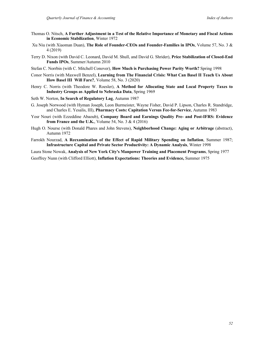- Thomas O. Nitsch, **A Further Adjustment in a Test of the Relative Importance of Monetary and Fiscal Actions in Economic Stabilization**, Winter 1972
- Xu Niu (with Xiaoman Duan), **The Role of Founder-CEOs and Founder-Families in IPOs**, Volume 57, No. 3 & 4 (2019)
- Terry D. Nixon (with David C. Leonard, David M. Shull, and David G. Shrider), **Price Stabilization of Closed-End Funds IPOs**, Summer/Autumn 2010
- Stefan C. Norrbin (with C. Mitchell Conover), **How Much is Purchasing Power Parity Worth?** Spring 1998
- Conor Norris (with Maxwell Benzel), **Learning from The Financial Crisis: What Can Basel II Teach Us About How Basel III Will Fare?**, Volume 58, No. 3 (2020)
- Henry C. Norris (with Theodore W. Roesler), **A Method for Allocating State and Local Property Taxes to Industry Groups as Applied to Nebraska Data**, Spring 1969
- Seth W. Norton, **In Search of Regulatory Lag**, Autumn 1987
- G. Joseph Norwood (with Hyman Joseph, Leon Burmeister, Wayne Fisher, David P. Lipson, Charles R. Standridge, and Charles E. Yesalis, III), **Pharmacy Costs: Capitation Versus Fee-for-Service**, Autumn 1983
- Yosr Nouri (with Ezzeddine Abaoub), **Company Board and Earnings Quality Pre- and Post-IFRS: Evidence from France and the U.K.**, Volume 54, No. 3 & 4 (2016)
- Hugh O. Nourse (with Donald Phares and John Stevens), **Neighborhood Change: Aging or Arbitrage** (abstract), Autumn 1972
- Farrokh Nourzad, **A Reexamination of the Effect of Rapid Military Spending on Inflation**, Summer 1987; **Infrastructure Capital and Private Sector Productivity: A Dynamic Analysis**, Winter 1998

Laura Stone Nowak, **Analysis of New York City's Manpower Training and Placement Programs**, Spring 1977

Geoffrey Nunn (with Clifford Elliott), **Inflation Expectations: Theories and Evidence,** Summer 1975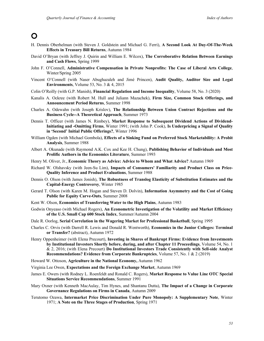## **O**

- H. Dennis Oberhelman (with Steven J. Goldstein and Michael G. Ferri), **A Second Look At Day-Of-The-Week Effects in Treasury Bill Returns**, Autumn 1984
- David O'Bryan (with Jeffrey J. Quirin and William E. Wilcox), **The Corroborative Relation Between Earnings and Cash Flows**, Spring 1999
- John F. O'Connell, **Administrative Compensation in Private Nonprofits: The Case of Liberal Arts College**, Winter/Spring 2005
- Vincent O'Connell (with Naser Abughazaleh and Jimé Princen), **Audit Quality, Auditor Size and Legal Environments**, Volume 53, No. 3 & 4, 2015
- Colin O'Reilly (with G.P. Manish), **Financial Regulation and Income Inequality**, Volume 58, No. 3 (2020)
- Kanalis A. Ockree (with Robert M. Hull and Juliann Mazachek), **Firm Size, Common Stock Offerings, and Announcement Period Returns**, Summer 1998
- Charles A. Odewahn (with Joseph Krislov), **The Relationship Between Union Contract Rejections and the Business Cycle--A Theoretical Approach**, Summer 1973
- Dennis T. Officer (with James N. Rimbey), **Market Response to Subsequent Dividend Actions of Dividend-Initiating and -Omitting Firms**, Winter 1991; (with John P. Cook), **Is Underpricing a Signal of Quality in 'Second' Initial Public Offerings?**, Winter 1996
- William Ogden (with Michael Gombola), **Effects of a Sinking Fund on Preferred Stock Marketability: A Probit Analysis**, Summer 1988
- Albert A. Okunade (with Raymond A.K. Cox and Kee H. Chung), **Publishing Behavior of Individuals and Most Prolific Authors in the Economics Literature**, Summer 1993
- Henry M. Oliver, Jr., **Economic Theory as Advice: Advice to Whom and What Advice?** Autumn 1969
- Richard W. Olshavsky (with Jeen-Su Lim), **Impacts of Consumers' Familiarity and Product Class on Price-Quality Inference and Product Evaluations**, Summer 1988
- Dennis O. Olson (with James Jonish), **The Robustness of Translog Elasticity of Substitution Estimates and the Capital-Energy Controversy**, Winter 1985
- Gerard T. Olson (with Karen M. Hogan and Steven D. Dolvin), **Information Asymmetry and the Cost of Going Public for Equity Carve-Outs**, Summer 2008
- Kent W. Olson, **Economics of Transferring Water to the High Plains**, Autumn 1983
- Godwin Onyeaso (with Michael Rogers), **An Econometric Investigation of the Volatility and Market Efficiency of the U.S. Small Cap 600 Stock Index**, Summer/Autumn 2004
- Dale R. Oorlog, **Serial Correlation in the Wagering Market for Professional Basketball**, Spring 1995
- Charles C. Orvis (with Darrell R. Lewis and Donald R. Wentworth), **Economics in the Junior Colleges: Terminal or Transfer?** (abstract), Autumn 1972
- Henry Oppenheimer (with Elena Precourt), **Investing in Shares of Bankrupt Firms: Evidence from Investments by Institutional Investors Shortly before, during, and after Chapter 11 Proceedings**, Volume 54, No. 1 & 2, 2016; (with Elena Precourt) **Do Institutional Investors Trade Consistently with Sell-side Analyst Recommendations? Evidence from Corporate Bankruptcies**, Volume 57, No. 1 & 2 (2019)
- Howard W. Ottoson, **Agriculture in the National Economy,** Autumn 1962
- Virginia Lee Owen, **Expectations and the Foreign Exchange Market**, Autumn 1969
- James E. Owers (with Rodney L. Roenfeldt and Ronald C. Rogers), **Market Response to Value Line OTC Special Situations Service Recommendations**, Summer 1991
- Mary Oxner (with Kenneth MacAulay, Tim Hynes, and Shantanu Dutta), **The Impact of a Change in Corporate Governance Regulations on Firms in Canada**, Autumn 2009
- Terutomo Ozawa, **Intermarket Price Discrimination Under Pure Monopoly: A Supplementary Note**, Winter 1971; **A Note on the Three Stages of Production**, Spring 1971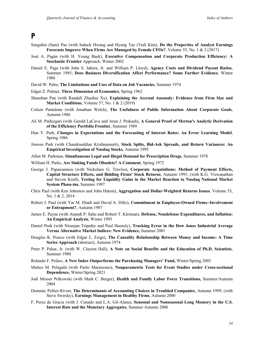**P**

- Sangshin (Sam) Pae (with Induck Hwang and Hyung Tae (Ted) Kim), **Do the Properties of Analyst Earnings Forecasts Improve When Firms Are Managed by Female CFOs?**, Volume 55, No. 1 & 2 (2017)
- José A. Pagán (with H. Young Baek), **Executive Compensation and Corporate Production Efficiency: A Stochastic Frontier** Approach, Winter 2002
- Daniel E. Page (with John S. Jahera, Jr. and William P. Lloyd), **Agency Costs and Dividend Payout Ratios**, Summer 1985; **Does Business Diversification Affect Performance? Some Further Evidence**, Winter 1988
- David W. Palm, **The Limitations and Uses of Data on Job Vacancies**, Summer 1974
- Edgar Z. Palmer, **Three Dimension of Economics**, Spring 1962
- Shanshan Pan (with Randall Zhaohui Xu), **Explaining the Accrual Anomaly: Evidence from Firm Size and Market Conditions**, Volume 57, No. 1 & 2 (2019)
- Coleen Pantalone (with Jonathan Welch), **The Usefulness of Public Information About Corporate Goals**, Autumn 1986
- Ali M. Parhizgari (with Gerald LaCava and Arun J. Prakash), **A General Proof of Merton's Analytic Derivation of the Efficiency Portfolio Frontier**, Summer 1989
- Hun Y. Park, **Changes in Expectations and the Forecasting of Interest Rates: An Error Learning Model**, Spring 1986
- Jinwoo Park (with Chandrasekhar Krishnamurti), **Stock Splits, Bid-Ask Spreads, and Return Variances: An Empirical Investigation of Nasdaq Stocks**, Autumn 1995
- Allen M. Parkman, **Simultaneous Legal and Illegal Demand for Prescription Drugs**, Summer 1978
- William H. Parks, **Are Sinking Funds Obsolete? A Comment**, Spring 1972
- George J. Papaioannou (with Nickolaos G. Travlos), **Corporate Acquisitions: Method of Payment Effects, Capital Structure Effects, and Bidding Firms' Stock Returns**, Autumn 1991; (with K.G. Viswanathan and Steven Krull), **Testing for Liquidity Gains in the Market Reaction to Nasdaq National Market System Phase-ins**, Summer 1997
- Chris Paul (with Ken Johnston and John Hatem), **Aggregation and Dollar-Weighted Returns Issues**, Volume 53, No. 1 & 2, 2014
- Robert J. Paul (with Yar M. Ebadi and David A. Diltz), **Commitment in Employee-Owned Firms--Involvement or Entrapment?**, Autumn 1987
- James E. Payne (with Anandi P. Sahu and Robert T. Kleiman), **Defense, Nondefense Expenditures, and Inflation: An Empirical Analysis**, Winter 1995
- Daniel Peak (with Niranjan Tripathy and Paul Haensly), **Tracking Error in the Dow Jones Industrial Average Versus Alternative Market Indices: New Evidence,** Summer 2001
- Douglas K. Pearce (with Edgar L. Feige), **The Causality Relationship Between Money and Income: A Time Series Approach** (abstract), Autumn 1974
- Peter P. Pekar, Jr. (with W. Clayton Hall), **A Note on Social Benefits and the Education of Ph.D. Scientists**, Summer 1980
- Rolando F. Peláez, **A New Index Outperforms the Purchasing Managers' Fund,** Winter/Spring 2003
- Matteo M. Pelagatti (with Paolo Maranzano), **Nonparametric Tests for Event Studies under Cross-sectional Dependence,** Winter/Spring 2021
- Jodi Messer Pelkowski (with Mark C. Berger), **Health and Family Labor Force Transitions,** Summer/Autumn 2004
- Dominic Peltier-Rivert, **The Determinants of Accounting Choices in Troubled Companies**, Autumn 1999; (with Steve Swirsky), **Earnings Management in Healthy Firms**, Autumn 2000
- F. Perez de Gracia (with J. Cunado and L.A. Gil-Alana), **Seasonal and Nonseasonal Long Memory in the U.S. Interest Rate and the Monetary Aggregates**, Summer Autumn 2006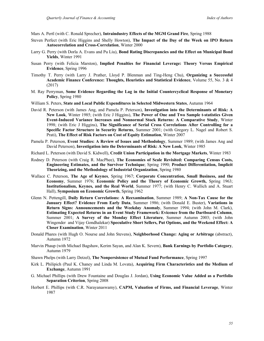Mars A. Pertl (with C. Ronald Sprecher), **Intraindustry Effects of the MGM Grand Fire**, Spring 1988

- Steven Perfect (with Eric Higgins and Shelly Howton), **The Impact of the Day of the Week on IPO Return Autocorrelation and Cross-Correlation**, Winter 2000
- Larry G. Perry (with Dorla A. Evans and Pu Liu), **Bond Rating Discrepancies and the Effect on Municipal Bond Yields**, Winter 1991
- Susan Perry (with Felicia Marston), **Implied Penalties for Financial Leverage: Theory Versus Empirical Evidence**, Spring 1996
- Timothy T. Perry (with Larry J. Prather, Lloyd P. Blenman and Ting-Heng Chu), **Organizing a Successful Academic Finance Conference: Thoughts, Heuristics and Statistical Evidence**, Volume 55, No. 3 & 4 (2017)
- M. Ray Perryman, **Some Evidence Regarding the Lag in the Initial Countercyclical Response of Monetary Policy**, Spring 1980
- William S. Peters, **State and Local Public Expenditures in Selected Midwestern States**, Autumn 1964
- David R. Peterson (with James Ang, and Pamela P. Peterson), **Investigation into the Determinants of Risk: A New Look**, Winter 1985; (with Eric J Higgins), **The Power of One and Two Sample t-statistics Given Event-Induced Variance Increases and Nonnormal Stock Returns: A Comparative Study**, Winter 1998; (with Eric J Higgins), **The Significance of Serial Cross Correlations After Controlling for a Specific Factor Structure in Security Returns**, Summer 2001; (with Gregory L. Nagel and Robert S. Prati), **The Effect of Risk Factors on Cost of Equity Estimation**, Winter 2007
- Pamela P. Peterson, **Event Studies: A Review of Issues and Methodology**, Summer 1989; (with James Ang and David Peterson), **Investigation into the Determinants of Risk: A New Look**, Winter 1985
- Richard L. Peterson (with David S. Kidwell), **Credit Union Participation in the Mortgage Markets**, Winter 1983
- Rodney D. Peterson (with Craig R. MacPhee), **The Economies of Scale Revisited: Comparing Census Costs, Engineering Estimates, and the Survivor Technique**; Spring 1990; **Product Differentiation, Implicit Theorizing, and the Methodology of Industrial Organization**, Spring 1980
- Wallace C. Peterson, **The Age of Keynes**, Spring 1967; **Corporate Concentration, Small Business, and the Economy**, Summer 1976; **Economic Policy and the Theory of Economic Growth,** Spring 1963; **Institutionalism, Keynes, and the Real World**, Summer 1977; (with Henry C. Wallich and A. Stuart Hall), **Symposium on Economic Growth**, Spring 1962
- Glenn N. Pettengill, **Daily Return Correlations: A Reexamination**, Summer 1989; **A Non-Tax Cause for the January Effect? Evidence From Early Data**, Summer 1986; (with Donald E. Buster), **Variations in Return Signs: Announcements and the Weekday Anomaly**, Summer 1994; (with John M. Clark), **Estimating Expected Returns in an Event Study Framework: Evicence from the Dartboard Column**, Summer 2001; **A Survey of the Monday Effect Literature**, Summer Autumn 2003; (with John Wingender and Vijay Gondhalekar) **Speculative Short Sellers, Put Options, and the Weekend Effect: A Closer Examination**, Winter 2011
- Donald Phares (with Hugh O. Nourse and John Stevens), **Neighborhood Change: Aging or Arbitrage** (abstract), Autumn 1972
- Marvin Phaup (with Michael Bagshaw, Kerim Sayan, and Alan K. Severn), **Bank Earnings by Portfolio Category**, Autumn 1979
- Shawn Phelps (with Larry Detzel), **The Nonpersistence of Mutual Fund Performance**, Spring 1997
- Kirk L. Philipich (Paul K. Chaney and Linda M. Lovata), **Acquiring Firm Characteristics and the Medium of Exchange**, Autumn 1991
- G. Michael Phillips (with Drew Fountaine and Douglas J. Jordan), **Using Economic Value Added as a Portfolio Separation Criterion**, Spring 2008
- Herbert E. Phillips (with C.R. Narayanaswamy), **CAPM, Valuation of Firms, and Financial Leverage**, Winter 1987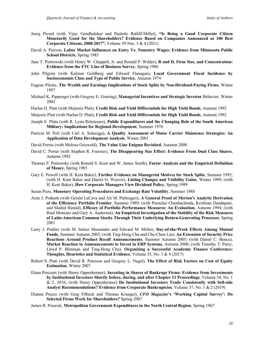- Joerg Picard (with Vijay Gondhalekar and Paulette Ratliff-Miller), **"Is Being a Good Corporate Citizen Monetarily Good for the Shareholders? Evidence Based on Companies Announced as 100 Best Corporate Citizens, 2008-2017",** Volume 59 Nos. 3 & 4 (2021)
- David A. Pierson, **Labor Market Influences on Entry Vs. Nonentry Wages: Evidence from Minnesota Public School Districts**, Spring 1983
- Jane T. Pietrowski (with Henry W. Chappell, Jr. and Ronald P. Wilder), **R and D, Firm Size, and Concentration: Evidence from the FTC Line of Business Survey**, Spring 1986
- John Pilgrim (with Kalman Goldberg and Edward Flanagan), **Local Government Fiscal Incidence by Socioeconomic Class and Type of Public Service**, Autumn 1974
- Eugene Pilotte, **The Wealth and Earnings Implications of Stock Splits by Non-Dividend-Paying Firms**, Winter 1997
- Michael K. Pippenger (with Gregory E. Goering), **Managerial Incentives and Strategic Investor** Behavior, Winter 2002
- Harlan D. Platt (with Marjorie Platt), **Credit Risk and Yield Differentials for High Yield Bonds**, Autumn 1992

Marjorie Platt (with Harlan D. Platt), **Credit Risk and Yield Differentials for High Yield Bonds**, Autumn 1992

- Joseph E. Pluta (with R. Lynn Rittenoure), **Public Expenditures and the Changing Role of the South American Military: Implications for Regional Development**, Summer 1978
- Patricia M. Poli (with Carl A. Scheraga), **A Quality Assessment of Motor Carrier Maintence Strategies: An Application of Data Development Analysis**, Winter 2001
- David Porras (with Melissa Griswold), **The Value Line Enigma Revisited**, Autumn 2000
- David C. Porter (with Stephen R. Foerster), **The Disappearing Size Effect: Evidence From Dual Class Shares**, Autumn 1992
- Thomas P. Potiowsky (with Ronald S. Koot and W. James Smith), **Factor Analysis and the Empirical Definition of Money**, Spring 1985
- Gary E. Powell (with H. Kent Baker), **Further Evidence on Managerial Motives for Stock Splits**, Summer 1993; (with H. Kent Baker and Daniel G. Weaver), **Listing Changes and Visibility Gains**, Winter 1999; (with H. Kent Baker), **How Corporate Managers View Dividend Policy**, Spring 1999
- Susan Pozo, **Monetary Operating Procedures and Exchange Rate Volatility**, Summer 1988
- Arun J. Prakash (with Gerald LaCava and Ali M. Parhizgari), **A General Proof of Merton's Analytic Derivation of the Efficiency Portfolio Frontier**, Summer 1989; (with Pornchai Chunhachinda, Krishnan Dandapani, and Shahid Hamid), **Efficacy of Portfolio Performance Measures: An Evaluation**, Autumn 1994; (with Raul Moncarz and Gary A. Anderson), **An Empirical Investigation of the Stability of the Risk Measures of Latin-American Common Stocks Through Their Underlying Return-Generating Processes**, Spring 2001
- Larry J. Prather (with M. Imtiaz Mazumder and Edward M. Miller), **Day-of-the-Week Effects Among Mutual Funds**, Summer Autumn 2003; (with Ting-Heng Chu and Che-Chun Lin), **An Extension of Security Price Reactions Around Product Recall Announcements**, Summer Autumn 2005; (with Daniel C. Benco), **Market Reaction to Announcements to Invest in ERP Systems**, Autumn 2008; (with Timothy T. Perry, Lloyd P. Blenman and Ting-Heng Chu), **Organizing a Successful Academic Finance Conference: Thoughts, Heuristics and Statistical Evidence**, Volume 55, No. 3 & 4 (2017)
- Robert S. Prati (with David R. Peterson and Gregory L. Nagel), **The Effect of Risk Factors on Cost of Equity Estimation**, Winter 2007
- Elena Precourt (with Henry Oppenheimer), **Investing in Shares of Bankrupt Firms: Evidence from Investments by Institutional Investors Shortly before, during, and after Chapter 11 Proceedings**, Volume 54, No. 1 & 2, 2016; (with Henry Oppenheimer) **Do Institutional Investors Trade Consistently with Sell-side Analyst Recommendations? Evidence from Corporate Bankruptcies**, Volume 57, No. 1 & 2 (2019)
- Dianna Preece (with Greg Filbeck and Thomas Krueger), *CFO Magazine***'s 'Working Capital Survey': Do Selected Firms Work for Shareholders?** Spring 2007
- James R. Prescott, **Metropolitan Government Expenditures in the North Central Region**, Spring 1967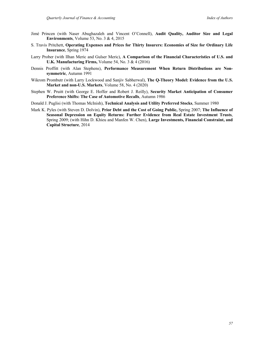- Jimé Princen (with Naser Abughazaleh and Vincent O'Connell), **Audit Quality, Auditor Size and Legal Environments**, Volume 53, No. 3 & 4, 2015
- S. Travis Pritchett, **Operating Expenses and Prices for Thirty Insurers: Economies of Size for Ordinary Life Insurance**, Spring 1974
- Larry Prober (with Ilhan Meric and Gulser Meric), **A Comparison of the Financial Characteristics of U.S. and U.K. Manufacturing Firms,** Volume 54, No. 3 & 4 (2016)
- Dennis Proffitt (with Alan Stephens), **Performance Measurement When Return Distributions are Nonsymmetric**, Autumn 1991
- Wikrom Prombutr (with Larry Lockwood and Sanjiv Sabherwal), **The Q-Theory Model: Evidence from the U.S. Market and non-U.S. Markets**, Volume 58, No. 4 (2020)
- Stephen W. Pruitt (with George E. Hoffer and Robert J. Reilly), **Security Market Anticipation of Consumer Preference Shifts: The Case of Automotive Recalls**, Autumn 1986
- Donald J. Puglisi (with Thomas McInish), **Technical Analysis and Utility Preferred Stocks**, Summer 1980
- Mark K. Pyles (with Steven D. Dolvin), **Prior Debt and the Cost of Going Public,** Spring 2007; **The Influence of Seasonal Depression on Equity Returns: Further Evidence from Real Estate Investment Trusts**, Spring 2009; (with Hihn D. Khieu and Manfen W. Chen), **Large Investments, Financial Constraint, and Capital Structure**, 2014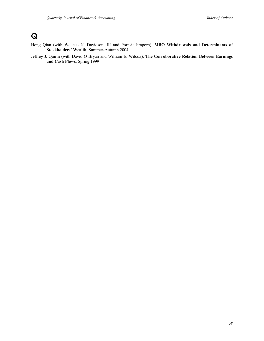# **Q**

- Hong Qian (with Wallace N. Davidson, III and Pornsit Jiraporn), **MBO Withdrawals and Determinants of Stockholders' Wealth**, Summer-Autumn 2004
- Jeffrey J. Quirin (with David O'Bryan and William E. Wilcox), **The Corroborative Relation Between Earnings and Cash Flows**, Spring 1999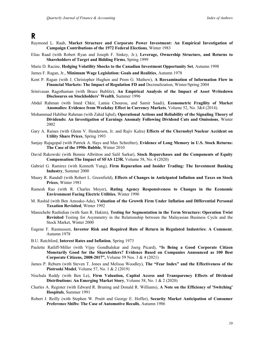**R**

- Raymond L. Raab, **Market Structure and Corporate Power Investment: An Empirical Investigation of Campaign Contributions of the 1972 Federal Elections**, Winter 1983
- Elias Raad (with Robert Ryan and Joseph F. Sinkey, Jr.), **Leverage, Ownership Structure, and Returns to Shareholders of Target and Bidding Firms**, Spring 1999
- Marie D. Racine, **Hedging Volatility Shocks to the Canadian Investment Opportunity Set**, Autumn 1998
- James F. Ragan, Jr., **Minimum Wage Legislation: Goals and Realities**, Autumn 1978
- Kent P. Ragan (with J. Christopher Hughen and Prem G. Mathew), **A Reexamination of Information Flow in Financial Markets: The Impact of Regulation FD and** Decimalization, Winter/Spring 2004
- Srinivasan Ragothaman (with Bruce Bublitz), **An Empirical Analysis of the Impact of Asset Writedown Disclosures on Stockholders' Wealth**, Summer 1996
- Abdul Rahman (with Imed Chkir, Lamia Chourou, and Samir Saadi), **Econometric Fragility of Market Anomalies: Evidence from Weekday Effect in Currency Markets**, Volume 52, No. 3&4 (2014).
- Mohammad Habibur Rahman (with Zahid Iqbal), **Operational Actions and Reliability of the Signaling Theory of Dividends: An Investigation of Earnings Anomaly Following Dividend Cuts and Omissions**, Winter 2002
- Gary A. Raines (with Glenn V. Henderson, Jr. and Rajiv Kalra) **Effects of the Chernobyl Nuclear Accident on Utility Share Prices**, Spring 1993
- Sanjay Rajagopal (with Patrick A. Hays and Max Schreiber), **Evidence of Long Memory in U.S. Stock Returns: The Case of the 1990s Bubble**, Winter 2010
- David Rakowski (with Bonnie Albritton and Salil Sarkar), **Stock Repurchases and the Components of Equity Compensation:The Impact of SFAS 123R**, Volume 58, No. 4 (2020)
- Gabriel G. Ramirez (with Kenneth Yung), **Firm Repuration and Insider Trading: The Investment Banking Industry**, Summer 2000
- Maury R. Randall (with Robert L. Greenfield), **Effects of Changes in Anticipated Inflation and Taxes on Stock Prices**, Winter 1981
- Ramesh Rao (with R. Charles Moyer), **Rating Agency Responsiveness to Changes in the Economic Environment Facing Electric Utilities**, Winter 1990
- M. Rashid (with Ben Amoako-Adu), **Valuation of the Growth Firm Under Inflation and Differential Personal Taxation Revisited**, Winter 1992
- Manochehr Rashidian (with Sam R. Hakim), **Testing for Segmentation in the Term Structure: Operation Twist Revisited** Testing for Asymmetry in the Relationship between the Malayasian Business Cycle and the Stock Market, Winter 2000
- Eugene F. Rasmussen, **Investor Risk and Required Rate of Return in Regulated Industries: A Comment**, Autumn 1978
- B.U. Ratchford, **Interest Rates and Inflation**, Spring 1973
- Paulette Ratliff-Miller (with Vijay Gondhalekar and Joerg Picard), **"Is Being a Good Corporate Citizen Monetarily Good for the Shareholders? Evidence Based on Companies Announced as 100 Best Corporate Citizens, 2008-2017",** Volume 59 Nos. 3 & 4 (2021)
- James P. Reburn (with Steven T. Jones and Melissa Woodley), **The "Fear Index" and the Effectiveness of the Piotroski Model**, Volume 57, No. 1 & 2 (2019)
- Nischala Reddy (with Ben Le), **Firm Valuation, Capital Access and Transparency Effects of Dividend Distributions: An Emerging Market Story**, Volume 58, No. 1 & 2 (2020)
- Charles A. Register (with Edward R. Bruning and Donald R. Williams), **A Note on the Efficiency of 'Switching' Hospitals**, Summer 1991
- Robert J. Reilly (with Stephen W. Pruitt and George E. Hoffer), **Security Market Anticipation of Consumer Preference Shifts: The Case of Automotive Recalls**, Autumn 1986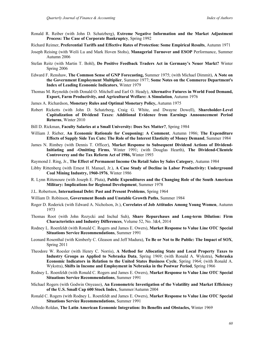- Ronald R. Reiber (with John D. Schatzberg), **Extreme Negative Information and the Market Adjustment Process: The Case of Corporate Bankruptcy**, Spring 1992
- Richard Reimer, **Preferential Tariffs and Effective Rates of Protection: Some Empirical Results**, Autumn 1971
- Joseph Reising (with Weili Lu and Mark Hoven Stohs), **Managerial Turnover and ESOP** Performance, Summer Autumn 2006
- Stefan Reitz (with Martin T. Bohl), **Do Positive Feedback Traders Act in Germany's Neuer Markt?** Winter Spring 2006
- Edward F. Renshaw, **The Common Sense of GNP Forecasting,** Summer 1975; (with Michael Dimmit), **A Note on the Government Employment Multiplier**, Summer 1977; **Some Notes on the Commerce Department's Index of Leading Economic Indicators**, Winter 1979
- Thomas M. Reynolds (with Donald O. Mitchell and Earl O. Heady), **Alternative Futures in World Food Demand, Export, Farm Productivity, and Agricultural Welfare: A Simulation**, Autumn 1976
- James A. Richardson, **Monetary Rules and Optimal Monetary Policy,** Autumn 1975
- Robert Ricketts (with John D. Schatzberg, Craig G. White, and Dwayne Dowell), **Shareholder-Level Capitalization of Dividend Taxes: Additional Evidence from Earnings Announcement Period Returns**, Winter 2010
- Bill D. Rickman, **Faculty Salaries at a Small University: Does Sex Matter?**, Spring 1984
- William J. Rieber, **An Economic Rationale for Couponing: A Comment**, Autumn 1986; **The Expenditure Effects of Supply Side Tax Cuts: The Role of the Interest Elasticity of Money Demand**, Summer 1984
- James N. Rimbey (with Dennis T. Officer), **Market Response to Subsequent Dividend Actions of Dividend-Initiating and -Omitting Firms**, Winter 1991; (with Douglas Hearth), **The Dividend-Clientele Controversy and the Tax Reform Act of 1986,** Winter 1993
- Raymond J. Ring, Jr., **The Effect of Permanent Income On Retail Sales by Sales Category**, Autumn 1984
- Libby Rittenberg (with Ernest H. Manuel, Jr.), **A Case Study of Decline in Labor Productivity: Underground Coal Mining Industry, 1960-1976**, Winter 1986
- R. Lynn Rittenoure (with Joseph E. Pluta), **Public Expenditures and the Changing Role of the South American Military: Implications for Regional Development**, Summer 1978
- J.L. Robertson, **International Debt: Past and Present Problems**, Spring 1964
- William D. Robinson, **Government Bonds and Unstable Growth Paths**, Summer 1984
- Roger D. Roderick (with Edward A. Nicholson, Jr.), **Correlates of Job Attitudes Among Young Women**, Autumn 1973
- Thomas Root (with John Rozycki and Inchul Suh), **Share Repurchases and Long-term Dilution: Firm Characteristics and Industry Differences**, Volume 52, No. 3&4, 2014
- Rodney L. Roenfeldt (with Ronald C. Rogers and James E. Owers), **Market Response to Value Line OTC Special Situations Service Recommendations**, Summer 1991
- Leonard Rosenthal (with Kimberly C. Gleason and Jeff Madura), **To Be or Not to Be Public: The Impact of SOX**, Spring 2011
- Theodore W. Roesler (with Henry C. Norris), **A Method for Allocating State and Local Property Taxes to Industry Groups as Applied to Nebraska Data**, Spring 1969; (with Ronald A. Wykstra), **Nebraska Economic Indicators in Relation to the United States Business Cycle**, Spring 1964; (with Ronald A. Wykstra), **Shifts in Income and Employment in Nebraska in the Postwar Period**, Spring 1966
- Rodney L. Roenfeldt (with Ronald C. Rogers and James E. Owers), **Market Response to Value Line OTC Special Situations Service Recommendations**, Summer 1991
- Michael Rogers (with Godwin Onyeaso), **An Econometric Investigation of the Volatility and Market Efficiency of the U.S. Small Cap 600 Stock Index**, Summer/Autumn 2004
- Ronald C. Rogers (with Rodney L. Roenfeldt and James E. Owers), **Market Response to Value Line OTC Special Situations Service Recommendations**, Summer 1991
- Alfredo Roldan, **The Latin American Economic Integration: Its Benefits and Obstacles,** Winter 1969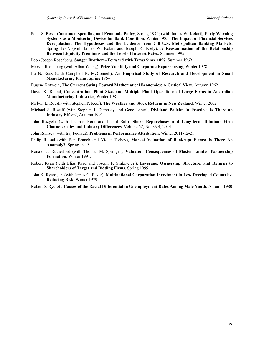- Peter S. Rose, **Consumer Spending and Economic Policy**, Spring 1974; (with James W. Kolari), **Early Warning Systems as a Monitoring Device for Bank Condition**, Winter 1985; **The Impact of Financial Services Deregulation: The Hypotheses and the Evidence from 240 U.S. Metropolitan Banking Markets**, Spring 1987; (with James W. Kolari and Joseph K. Kiely), **A Reexamination of the Relationship Between Liquidity Premiums and the Level of Interest Rates**, Summer 1995
- Leon Joseph Rosenberg, **Sanger Brothers--Forward with Texas Since 1857**, Summer 1969
- Marvin Rosenberg (with Allan Young), **Price Volatility and Corporate Repurchasing**, Winter 1978
- Ira N. Ross (with Campbell R. McConnell), **An Empirical Study of Research and Development in Small Manufacturing Firms**, Spring 1964
- Eugene Rotwein, **The Current Swing Toward Mathematical Economics: A Critical View,** Autumn 1962
- David K. Round, **Concentration, Plant Size, and Multiple Plant Operations of Large Firms in Australian Manufacturing Industries**, Winter 1981
- Melvin L. Roush (with Stephen P. Keef), **The Weather and Stock Returns in New Zealand**, Winter 2002
- Michael S. Rozeff (with Stephen J. Dempsey and Gene Laber), **Dividend Policies in Practice: Is There an Industry Effect?**, Autumn 1993
- John Rozycki (with Thomas Root and Inchul Suh), **Share Repurchases and Long-term Dilution: Firm Characteristics and Industry Differences**, Volume 52, No. 3&4, 2014
- John Rumsey (with Iraj Fooladi), **Problems in Performance Attribution**, Winter 2011-12-21
- Philip Russel (with Ben Branch and Violet Torbey), **Market Valuation of Bankrupt Firms: Is There An Anomaly?**, Spring 1999
- Ronald C. Rutherford (with Thomas M. Springer), **Valuation Consequences of Master Limited Partnership Formation**, Winter 1994.
- Robert Ryan (with Elias Raad and Joseph F. Sinkey, Jr.), **Leverage, Ownership Structure, and Returns to Shareholders of Target and Bidding Firms**, Spring 1999
- John K. Ryans, Jr. (with James C. Baker), **Multinational Corporation Investment in Less Developed Countries: Reducing Risk**, Winter 1979
- Robert S. Rycroft, **Causes of the Racial Differential in Unemployment Rates Among Male Youth**, Autumn 1980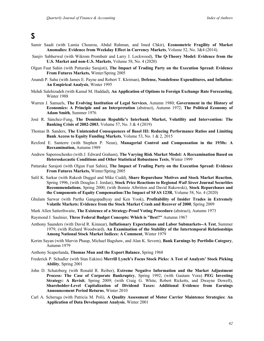### **S**

- Samir Saadi (with Lamia Chourou, Abdul Rahman, and Imed Chkir), **Econometric Fragility of Market Anomalies: Evidence from Weekday Effect in Currency Markets**, Volume 52, No. 3&4 (2014).
- Sanjiv Sabherwal (with Wikrom Prombutr and Larry J. Lockwood), **The Q-Theory Model: Evidence from the U.S. Market and non-U.S. Markets**, Volume 58, No. 4 (2020)
- Olgun Fuat Sahin (with Pattarake Sarajoti), **The Impact of Trading Party on the Execution Spread: Evidence From Futures Markets,** Winter/Spring 2005
- Anandi P. Sahu (with James E. Payne and Robert T. Kleiman), **Defense, Nondefense Expenditures, and Inflation: An Empirical Analysis**, Winter 1995
- Mehdi Salehizadeh (with Kamal M. Haddad), **An Application of Options to Foreign Exchange Rate Forecasting**, Winter 1988
- Warren J. Samuels, **The Evolving Institution of Legal Services**, Autumn 1980; **Government in the History of Economics: A Principle and an Interpretation** (abstract), Autumn 1972; **The Political Economy of Adam Smith**, Summer 1976
- José R. Sánchez-Fung, **The Dominican Republic's Interbank Market, Volatility and Intervention: The Banking Crisis of 2002-2003**, Volume 57, No. 3 & 4 (2019)
- Thomas B. Sanders, **The Unintended Consequences of Basel III: Reducing Performance Ratios and Limiting Bank Access to Equity Funding Markets**, Volume 53, No. 1 & 2, 2015
- Rexford E. Santerre (with Stephen P. Neun), **Managerial Control and Compensation in the 1930s: A Reexamination,** Autumn 1989
- Andrew Saporoschenko (with J. Edward Graham), **The Varying Risk Market Model: A Reexamination Based on Heteroskecastic Conditions and Other Statistical Robustness Tests**, Winter 1999
- Pattarake Sarajoti (with Olgun Fuat Sahin), **The Impact of Trading Party on the Execution Spread: Evidence From Futures Markets,** Winter/Spring 2005
- Salil K. Sarkar (with Rakesh Duggal and Mike Cudd), **Share Repurchase Motives and Stock Market Reaction**, Spring 1996, (with Douglas J. Jordan), **Stock Price Reactions to Regional** *Wall Street* **Journal Securities Recommendations**, Spring 2000; (with Bonnie Albritton and David Rakowski), **Stock Repurchases and the Components of Equity Compensation:The Impact of SFAS 123R**, Volume 58, No. 4 (2020)
- Ghulam Sarwar (with Partha Gangopadhyay and Ken Yook), **Profitability of Insider Trades in Extremely Volatile Markets: Evidence from the Stock Market Crash and Recover of 2000**, Spring 2009
- Mark Allen Satterthwaite, **The Existence of a Strategy-Proof Voting Procedure** (abstract), Autumn 1973
- Raymond J. Saulnier, **Three Federal Budget Concepts: Which is "Best?"** Autumn 1967
- Anthony Saunders (with David R. Kinnear), **Inflationary Expectations and Labor Submarkets--A Test**, Summer 1979; (with Richard Woodward), **An Examination of the Stability of the Intertemporal Relationships Among National Stock Market Indices: A Comment**, Winter 1979
- Kerim Sayan (with Marvin Phaup, Michael Bagshaw, and Alan K. Severn), **Bank Earnings by Portfolio Category**, Autumn 1979
- Anthony Scaperlanda, **Thomas Mun and the Export Balance**, Spring 1968
- Frederick P. Schadler (with Stan Eakins) **Merrill Lynch's Focus Stock Picks: A Test of Analysts' Stock Picking Ability**, Spring 2001
- John D. Schatzberg (with Ronald R. Reiber), **Extreme Negative Information and the Market Adjustment Process: The Case of Corporate Bankruptcy**, Spring 1992; (with Gautam Vora) **PEG Investing Strategy: A Revisit**, Spring 2009; (with Craig G. White, Robert Ricketts, and Dwayne Dowell), **Shareholder-Level Capitalization of Dividend Taxes: Additional Evidence from Earnings Announcement Period Returns**, Winter 2010
- Carl A. Scheraga (with Patricia M. Poli), **A Quality Assessment of Motor Carrier Maintence Strategies: An Application of Data Development Analysis**, Winter 2001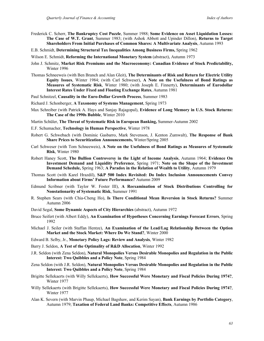- Frederick C. Scherr, **The Bankruptcy Cost Puzzle**, Summer 1988; **Some Evidence on Asset Liquidation Losses: The Case of W.T. Grant**, Summer 1983; (with Ashok Abbott and Upinder Dillon), **Returns to Target Shareholders From Initial Purchases of Common Shares: A Multivariate Analysis**, Autumn 1993
- E.B. Schmidt, **Determining Structural Tax Inequalities Among Business Firms,** Spring 1962
- Wilson E. Schmidt, **Reforming the International Monetary System** (abstract), Autumn 1973
- John J. Schmitz, **Market Risk Premiums and the Macroeconomy: Canadian Evidence of Stock Predictability,** Winter 1996
- Thomas Schneeweis (with Ben Branch and Alan Gleit), **The Determinants of Risk and Return for Electric Utility Equity Issues**, Winter 1984; (with Carl Schweser), **A Note on the Usefulness of Bond Ratings as Measures of Systematic Risk**, Winter 1980; (with Joseph E. Finnerty), **Determinants of Eurodollar Interest Rates Under Fixed and Floating Exchange Rates**, Autumn 1981
- Paul Schnitzel, **Causality in the Euro-Dollar Growth Process**, Summer 1983
- Richard J. Schonberger, **A Taxonomy of Systems Management**, Spring 1973
- Max Schreiber (with Patrick A. Hays and Sanjay Rajagopal), **Evidence of Long Memory in U.S. Stock Returns: The Case of the 1990s Bubble**, Winter 2010
- Martin Schüler, **The Threat of Systematic Risk in European Banking,** Summer-Autumn 2002
- E.F. Schumacher, **Technology in Human Perspective**, Winter 1978
- Robert G. Schwebach (with Dominic Gasbarro, Mark Stevenson, J. Kenton Zumwalt), **The Response of Bank Share Prices to Securitization Announcements,** Winter/Spring 2005
- Carl Schweser (with Tom Schneeweis), **A Note on the Usefulness of Bond Ratings as Measures of Systematic Risk**, Winter 1980
- Robert Haney Scott, **The Bullion Controversy in the Light of Income Analysis**, Autumn 1964; **Evidence On Investment Demand and Liquidity Preference**, Spring 1971; **Note on the Shape of the Investment Demand Schedule,** Spring 1963; **A Paradox in the Relation of Wealth to Utility**, Autumn 1979
- Thomas Scott (with Karel Hrazdil), **S&P 500 Index Revisited: Do Index Inclusion Announcements Convey Information about Firms' Future Performance?** Autumn 2009
- Edmund Scribner (with Taylor W. Foster III), **A Reexamination of Stock Distributions Controlling for Nonstationarity of Systematic Risk**, Summer 1991
- R. Stephen Sears (with Chia-Cheng Ho), **Is There Conditional Mean Reversion in Stock Returns?** Summer Autumn 2006
- David Segal, **Some Dynamic Aspects of City Hierarchies** (abstract), Autumn 1972
- Bruce Seifert (with Albert Eddy), **An Examination of Hypotheses Concerning Earnings Forecast Errors**, Spring 1992
- Michael J. Seiler (with Staffan Hentze), **An Examination of the Lead/Lag Relationship Between the Option Market and the Stock Market: Where Do We Stand?**, Winter 2000
- Edward B. Selby, Jr., **Monetary Policy Lags: Review and Analysis**, Winter 1982
- Barry J. Seldon, **A Test of the Optimality of R&D Allocation**, Winter 1992
- J.R. Seldon (with Zena Seldon), **Natural Monopolies Versus Desirable Monopolies and Regulation in the Public Interest: Two Quibbles and a Policy Note**, Spring 1984
- Zena Seldon (with J.R. Seldon), **Natural Monopolies Versus Desirable Monopolies and Regulation in the Public Interest: Two Quibbles and a Policy Note**, Spring 1984
- Brigitte Sellekaerts (with Willy Sellekaerts), **How Successful Were Monetary and Fiscal Policies During 1974?**, Winter 1977
- Willy Sellekaerts (with Brigitte Sellekaerts), **How Successful Were Monetary and Fiscal Policies During 1974?**, Winter 1977
- Alan K. Severn (with Marvin Phaup, Michael Bagshaw, and Kerim Sayan), **Bank Earnings by Portfolio Category**, Autumn 1979; **Taxation of Federal Land Banks: Competitive Effects**, Autumn 1986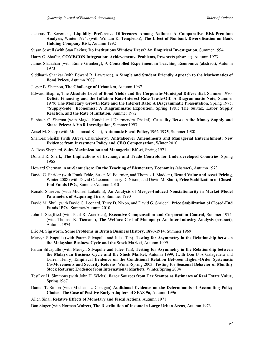- Jacobus T. Severiens, **Liquidity Preference Differences Among Nations: A Comparative Risk-Premium Analysis**, Winter 1974; (with William K. Templeton), **The Effect of Nonbank Diversification on Bank Holding Company Risk**, Autumn 1992
- Susan Sewell (with Stan Eakins) **Do Institutions Window Dress? An Empirical Investigation**, Summer 1994
- Harry G. Shaffer, **COMECON Integration: Achievements, Problems, Prospects** (abstract), Autumn 1973
- James Shanahan (with Emile Grunberg), **A Controlled Experiment in Teaching Economics** (abstract), Autumn 1973
- Siddharth Shankar (with Edward R. Lawrence), **A Simple and Student Friendly Aproach to the Mathematics of Bond Prices**, Autumn 2007
- Jasper B. Shannon, **The Challenge of Urbanism**, Autumn 1967
- Edward Shapiro, **The Absolute Level of Bond Yields and the Corporate-Municipal Differential**, Summer 1970; **Deficit Financing and the Inflation Rate-Interest Rate Trade-Off: A Diagrammatic Note**, Summer 1979; **The Monetary Growth Rate and the Interest Rate: A Diagrammatic Presentation**, Spring 1975; **"Supply-Side" Economics: A Diagrammatic Exposition**, Spring 1981; **The Surtax, Labor Supply Reaction, and the Rate of Inflation**, Summer 1972
- Subhash C. Sharma (with Magda Kandil and Dharmendra Dhakal), **Causality Between the Money Supply and Share Prices: A VAR Investigation**, Summer 1993
- Ansel M. Sharp (with Mohammad Khan), **Automatic Fiscal Policy, 1966-1975**, Summer 1980
- Shahbaz Sheikh (with Atreya Chakraborty), **Antitakeover Amendments and Managerial Entrenchment: New Evidence from Investment Policy and CEO Compensation**, Winter 2010
- A. Ross Shepherd, **Sales Maximization and Managerial Effort**, Spring 1971
- Donald R. Sherk, **The Implications of Exchange and Trade Controls for Underdeveloped Countries**, Spring 1965
- Howard Sherman, **Anti-Samuelson: On the Teaching of Elementary Economics** (abstract), Autumn 1973
- David G. Shrider (with Frank Fehle, Susan M. Fournier, and Thomas J. Madden), **Brand Value and Asset Pricing**, Winter 2008 (with David C. Leonard, Terry D. Nixon, and David M. Shull), **Price Stabilization of Closed-End Funds IPOs**, Summer/Autumn 2010
- Ronald Shrieves (with Michael Lubatkin), **An Analysis of Merger-Induced Nonstationarity in Market Model Parameters of Acquiring Firms**, Summer 1990
- David M. Shull (with David C. Leonard, Terry D. Nixon, and David G. Shrider), **Price Stabilization of Closed-End Funds IPOs**, Summer/Autumn 2010
- John J. Siegfried (with Paul R. Auerbach), **Executive Compensation and Corporation Control**, Summer 1974; (with Thomas K. Tiemann), **The Welfare Cost of Monopoly: An Inter-Industry Analysis** (abstract), Autumn 1974
- Eric M. Sigsworth, **Some Problems in British Business History, 1870-1914**, Summer 1969
- Mervyn Silvapulle (with Param Silvapulle and Julee Tan), **Testing for Asymmetry in the Relationship between the Malaysian Business Cycle and the Stock Market**, Autumn 1999.
- Param Silvapulle (with Mervyn Silvapulle and Julee Tan), **Testing for Asymmetry in the Relationship between the Malaysian Business Cycle and the Stock Market**, Autumn 1999; (with Don U A Galagedera and Darren Henry) **Empirical Evidence on the Conditional Relation Between Higher-Order Systematic Co-Movements and Security Returns**, Winter/Spring 2003; **Testing for Seasonal Behavior of Monthly Stock Returns: Evidence from International Markets**, Winter/Spring 2004
- TestLee H. Simmons (with John H. Wicks), **Error Sources from Tax Stamps as Estimates of Real Estate Value**, Spring 1967
- Daniel T. Simon (with Michael L. Costigan) **Additional Evidence on the Determinants of Accounting Policy Choice: The Case of Positive Early Adopters of SFAS 96**, Autumn 1996
- Allen Sinai, **Relative Effects of Monetary and Fiscal Actions**, Autumn 1971

Dan Singer (with Norman Walzer), **The Distribution of Income in Large Urban Areas**, Autumn 1973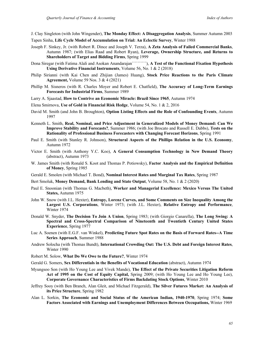J. Clay Singleton (with John Wingender), **The Monday Effect: A Disaggregation Analysis**, Summer Autumn 2003

- Tapen Sinha, **Life Cycle Model of Accumulation on Trial: An Eclectic Survey**, Winter 1988
- Joseph F. Sinkey, Jr. (with Robert R. Dince and Joseph V. Terza), **A Zeta Analysis of Failed Commercial Banks**, Autumn 1987; (with Elias Raad and Robert Ryan), **Leverage, Ownership Structure, and Returns to Shareholders of Target and Bidding Firms**, Spring 1999
- Dona Siregar (with Fatima Alali and Asokan Anandarajan``````````), **A Test of the Functional Fixation Hypothesis Using Derivative Financial Instruments**, Volume 56, No. 1 & 2 (2018)
- Philip Sirianni (with Kai Chen and Zhijian (James) Huang), **Stock Price Reactions to the Paris Climate Agreement,** Volume 59 Nos. 3 & 4 (2021)
- Phillip M. Sisneros (with R. Charles Moyer and Robert E. Chatfield), **The Accuracy of Long-Term Earnings Forecasts for Industrial Firms**, Summer 1989
- Larry A. Sjaastad, **How to Contrive an Economic Miracle: Brazil Since 1965**, Autumn 1974
- Elena Smirnova, **Use of Gold in Financial Risk Hedge**, Volume 54, No. 1 & 2, 2016
- David M. Smith (and John B. Broughton), **Option Listing Effects and the Role of Confounding Events**, Autumn 1997
- Kenneth L. Smith, **Real, Nominal, and Price Adjustment in Generalized Models of Money Demand: Can We Improve Stability and Forecasts?**, Summer 1986; (with Joe Brocato and Russell E. Dabbs), **Tests on the Rationality of Professional Business Forecasters with Changing Forecast Horizons**, Spring 1991
- Paul E. Smith (with Stanley R. Johnson), **Structural Aspects of the Phillips Relation in the U.S. Economy**, Autumn 1972
- Victor E. Smith (with Anthony Y.C. Koo), **A General Consumption Technology in New Demand Theory** (abstract), Autumn 1973
- W. James Smith (with Ronald S. Koot and Thomas P. Potiowsky), **Factor Analysis and the Empirical Definition of Money**, Spring 1985
- Gerald E. Smolen (with Michael T. Bond), **Nominal Interest Rates and Marginal Tax Rates**, Spring 1987
- Bert Smoluk, **Money Demand, Bank Lending and State Output**, Volume 58, No. 1 & 2 (2020)
- Paul E. Snoonian (with Thomas G. Macbeth), **Worker and Managerial Excellence: Mexico Versus The United States,** Autumn 1975
- John W. Snow (with J.L. Hexter), **Entropy, Lorenz Curves, and Some Comments on Size Inequality Among the Largest U.S. Corporations**, Winter 1973; (with J.L. Hexter), **Relative Entropy and Performance**, Winter 1974
- Donald W. Snyder, **The Decision To Join A Union**, Spring 1983; (with Giorgio Canarella), **The Long Swing: A Spectral and Cross-Spectral Comparison of Nineteenth and Twentieth Century United States Experience**, Spring 1977
- Luc A. Soenen (with E.G.F. van Winkel), **Predicting Future Spot Rates on the Basis of Forward Rates--A Time Series Approach**, Summer 1988
- Andrew Solocha (with Thomas Bundt), **International Crowding Out: The U.S. Debt and Foreign Interest Rates**, Winter 1990
- Robert M. Solow, **What Do We Owe to the Future?**, Winter 1974
- Gerald G. Somers, **Sex Differentials in the Benefits of Vocational Education** (abstract), Autumn 1974
- Myungsoo Son (with Ho Young Lee and Vivek Mande), **The Effect of the Private Securities Litigation Reform Act of 1995 on the Cost of Equity Capital,** Spring 2009; (with Ho Young Lee and Ho Young Lee), **Corporate Governance Characteristics of Firms Backdating Stock Options**, Winter 2010
- Jeffrey Sooy (with Ben Branch, Alan Gleit, and Michael Fitzgerald), **The Silver Futures Market: An Analysis of its Price Structure**, Spring 1982
- Alan L. Sorkin, **The Economic and Social Status of the American Indian, 1940-1970**, Spring 1974; **Some Factors Associated with Earnings and Unemployment Differences Between Occupations,** Winter 1969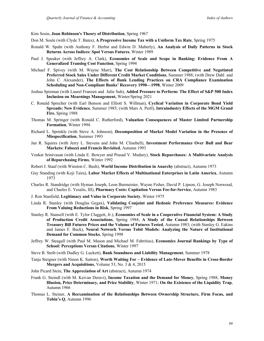Kim Sosin, **Joan Robinson's Theory of Distribution**, Spring 1967

- Don M. Soule (with Clyde T. Bates), **A Progressive Income Tax with a Uniform Tax Rate**, Spring 1975
- Ronald W. Spahr (with Anthony F. Herbst and Edwin D. Maberly), **An Analysis of Daily Patterns in Stock Returns Across Indices: Spot Versus Futures**, Winter 1989
- Paul J. Speaker (with Jeffrey A. Clark), **Economies of Scale and Scope in Banking: Evidence From A Generalized Translog Cost Function**, Spring 1994
- Michael F. Spivey (with M. Wayne Marr), **The Cost Relationship Between Competitive and Negotiated Preferred Stock Sales Under Different Credit Market Conditions**, Summer 1988; (with Drew Dahl and John C. Alexander), **The Effects of Bank Lending Practices on CRA Compliance Examination Scheduling and Non-Compliant Banks' Recovery 1990—1998**, Winter 2009
- Joshua Spizman (with Laurel Franzen and Julie Suh), **Added Pressure to Perform: The Effect of S&P 500 Index Inclusion on Mearnings Management,** Winter/Spring 2021
- C. Ronald Sprecher (with Earl Benson and Elliott S. Willman), **Cyclical Variation in Corporate Bond Yield Spreads: New Evidence**, Summer 1985; (with Mars A. Pertl), **Intraindustry Effects of the MGM Grand Fire**, Spring 1988
- Thomas M. Springer (with Ronald C. Rutherford), **Valuation Consequences of Master Limited Partnership Formation**, Winter 1994.
- Richard L. Sprinkle (with Steve A. Johnson), **Decomposition of Market Model Variation in the Presence of Misspecification**, Summer 1993
- Jan R. Squires (with Jerry L. Stevens and John M. Clinebell), **Investment Performance Over Bull and Bear Markets: Fabozzi and Francis Revisited**, Autumn 1993
- Venkat Srinivasan (with Linda E. Bowyer and Prasad V. Medury), **Stock Repurchases: A Multivariate Analysis of Repurchasing Firms**, Winter 1992
- Robert J. Staaf (with Winston C. Bush), **World Income Distribution in Anarchy** (abstract), Autumn 1973
- Guy Standing (with Koji Taira), **Labor Market Effects of Multinational Enterprises in Latin America**, Autumn 1973
- Charles R. Standridge (with Hyman Joseph, Leon Burmeister, Wayne Fisher, David P. Lipson, G. Joseph Norwood, and Charles E. Yesalis, III), **Pharmacy Costs: Capitation Versus Fee-for-Service**, Autumn 1983
- J. Ron Stanfield, **Legitimacy and Value in Corporate Society**, Winter 1975
- Linda R. Stanley (with Douglas Gegax), **Validating Conjoint and Hedonic Preference Measures: Evidence From Valuing Reductions in Risk**, Spring 1997
- Stanley R. Stansell (with E. Tylor Claggett, Jr.), **Economies of Scale in a Cooperative Financial System: A Study of Production Credit Associations**, Spring 1984; **A Study of the Causal Relationships Between Treasury Bill Futures Prices and the Volume of Futures Tested**, Autumn 1983; (with Stanley G. Eakins and James F. Buck), **Neural Network Versus Tobit Models: Analyzing the Nature of Institutional Demand for Common Stocks**, Spring 1998
- Jeffrey W. Steagall (with Paul M. Mason and Michael M. Fabritius), **Economics Journal Rankings by Type of School: Perceptions Versus Citations**, Winter 1997
- Steve B. Steib (with Dudley G. Luckett), **Bank Soundness and Liability Management**, Summer 1978
- Tanja Steigner (with Ninon K. Sutton), **Worth Waiting For – Evidence of Late-Mover Benefits in Cross-Border Mergers and Acquisitions**, Volume 53, No. 3 & 4, 2015
- John Picard Stein, **The Appreciation of Art** (abstract), Autumn 1974
- Frank G. Steindl (with M. Keivan Deravi), **Income Taxation and the Demand for Money**, Spring 1988; **Money Illusion, Price Determinacy, and Price Stability**, Winter 1971; **On the Existence of the Liquidity Trap**, Autumn 1966
- Thomas L. Steiner, **A Reexamination of the Relationships Between Ownership Structure, Firm Focus, and Tobin's Q**, Autumn 1996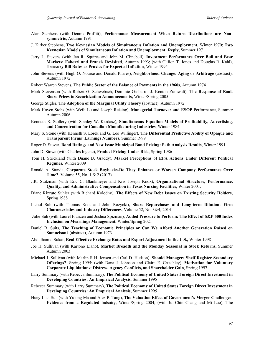- Alan Stephens (with Dennis Proffitt), **Performance Measurement When Return Distributions are Nonsymmetric**, Autumn 1991
- J. Kirker Stephens, **Two Keynesian Models of Simultaneous Inflation and Unemployment**, Winter 1970; **Two Keynesian Models of Simultaneous Inflation and Unemployment: Reply**, Summer 1971
- Jerry L. Stevens (with Jan R. Squires and John M. Clinebell), **Investment Performance Over Bull and Bear Markets: Fabozzi and Francis Revisited**, Autumn 1993; (with Clifton T. Jones and Douglas R. Kahl), **Treasury Bill Rates as Proxies for Expected Inflation**, Winter 1995
- John Stevens (with Hugh O. Nourse and Donald Phares), **Neighborhood Change: Aging or Arbitrage** (abstract), Autumn 1972
- Robert Warren Stevens, **The Public Sector of the Balance of Payments in the 1960s**, Autumn 1974
- Mark Stevenson (with Robert G. Schwebach, Dominic Gasbarro, J. Kenton Zumwalt), **The Response of Bank Share Prices to Securitization Announcements,** Winter/Spring 2005
- George Stigler, **The Adoption of the Marginal Utility Theory** (abstract), Autumn 1972
- Mark Hoven Stohs (with Weili Lu and Joseph Reising), **Managerial Turnover and ESOP** Performance, Summer Autumn 2006
- Kenneth R. Stollery (with Stanley W. Kardasz), **Simultaneous Equation Models of Profitability, Advertising, and Concentration for Canadian Manufacturing Industries**, Winter 1984
- Mary S. Stone (with Kenneth S. Lorek and G. Lee Willinger), **The Differential Predictive Ability of Opaque and Transparent Firms' Earnings Numbers**, Summer 1999
- Roger D. Stover, **Bond Ratings and New Issue Municipal Bond Pricing: Path Analysis Results**, Winter 1991
- John D. Stowe (with Charles Ingene), **Product Pricing Under Risk**, Spring 1986
- Tom H. Strickland (with Duane B. Graddy), **Market Perceptions of EPA Actions Under Different Political Regimes**, Winter 2009
- Ronald A. Stunda, **Corporate Stock Buybacks-Do They Enhance or Worsen Company Performance Over Time?**, Volume 55, No. 1 & 2 (2017)
- J.R. Stutzman (with Eric C. Blankmeyer and Kris Joseph Knox), **Organizational Structure, Performance, Quality, and Administrative Compensation in Texas Nursing Facilities**, Winter 2001.
- Diane Rizzuto Suhler (with Richard Kolodny), **The Effects of New Debt Issues on Existing Security Holders**, Spring 1988
- Inchul Suh (with Thomas Root and John Rozycki), **Share Repurchases and Long-term Dilution: Firm Characteristics and Industry Differences**, Volume 52, No. 3&4, 2014
- Julie Suh (with Laurel Franzen and Joshua Spizman), **Added Pressure to Perform: The Effect of S&P 500 Index Inclusion on Mearnings Management,** Winter/Spring 2021
- Daniel B. Suits, **The Teaching of Economic Principles or Can We Afford Another Generation Raised on Samuelson?** (abstract), Autumn 1973
- Abdulhamid Sukar, **Real Effective Exchange Rates and Export Adjustment in the U.S.,** Winter 1998
- Joe H. Sullivan (with Kartono Liano), **Market Breadth and the Monday Seasonal in Stock Returns,** Summer Autumn 2003
- Michael J. Sullivan (with Marlin R.H. Jensen and Carl D. Hudson), **Should Managers Shelf Register Secondary Offerings?**, Spring 1995; (with Dana J. Johnson and Claire E. Crutchley), **Motivation for Voluntary Corporate Liquidations: Distress, Agency Conflicts, and Shareholder Gain**, Spring 1997
- Larry Summary (with Rebecca Summary), **The Political Economy of United States Foreign Direct Investment in Developing Countries: An Empirical Analysis**, Summer 1995
- Rebecca Summary (with Larry Summary), **The Political Economy of United States Foreign Direct Investment in Developing Countries: An Empirical Analysis**, Summer 1995
- Huey-Lian Sun (with Yulong Ma and Alex P. Tang), **The Valuation Effect of Government's Merger Challenges: Evidence from a Regulated** Indsutry, Winter/Spring 2004; (with Jui-Chin Chang and Mi Luo), **The**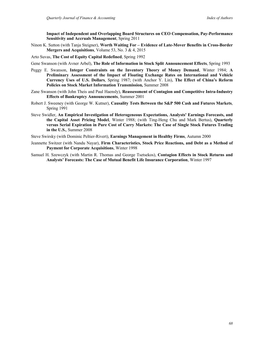**Impact of Independent and Overlapping Board Structures on CEO Compensation, Pay-Performance Sensitivity and Accruals Management**, Spring 2011

Ninon K. Sutton (with Tanja Steigner), **Worth Waiting For – Evidence of Late-Mover Benefits in Cross-Border Mergers and Acquisitions**, Volume 53, No. 3 & 4, 2015

Arto Suvas, **The Cost of Equity Capital Redefined**, Spring 1992

- Gene Swanson (with Avner Arbel), **The Role of Information in Stock Split Announcement Effects**, Spring 1993
- Peggy E. Swanson, **Integer Constraints on the Inventory Theory of Money Demand**, Winter 1984; **A Preliminary Assessment of the Impact of Floating Exchange Rates on International and Vehicle Currency Uses of U.S. Dollars**, Spring 1987; (with Anchor Y. Lin), **The Effect of China's Reform Policies on Stock Market Information Transmission***,* Summer 2008
- Zane Swanson (with John Theis and Paul Haensly), **Reassessment of Contagion and Competitive Intra-Industry Effects of Bankruptcy Announcements**, Summer 2001
- Robert J. Sweeney (with George W. Kutner), **Causality Tests Between the S&P 500 Cash and Futures Markets**, Spring 1991
- Steve Swidler, **An Empirical Investigation of Heterogeneous Expectations, Analysts' Earnings Forecasts, and the Capital Asset Pricing Model**, Winter 1988; (with Ting-Heng Chu and Mark Bertus), **Quarterly versus Serial Expiration in Pure Cost of Carry Markets: The Case of Single Stock Futures Trading in the U.S.**, Summer 2008
- Steve Swirsky (with Dominic Peltier-Rivert), **Earnings Management in Healthy Firms**, Autumn 2000
- Jeannette Switzer (with Nandu Nayar), **Firm Characteristics, Stock Price Reactions, and Debt as a Method of Payment for Corporate Acquisitions**, Winter 1998
- Samuel H. Szewczyk (with Martin R. Thomas and George Tsetsekos), **Contagion Effects in Stock Returns and Analysts' Forecasts: The Case of Mutual Benefit Life Insurance Corporation**, Winter 1997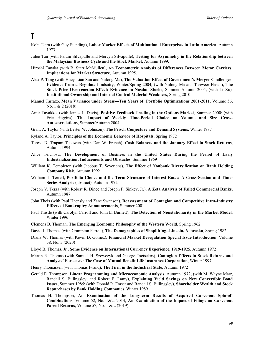### **T**

- Kohi Taira (with Guy Standing), **Labor Market Effects of Multinational Enterprises in Latin America**, Autumn 1973
- Julee Tan (with Param Silvapulle and Mervyn Silvapulle), **Testing for Asymmetry in the Relationship between the Malaysian Business Cycle and the Stock Market**, Autumn 1999.
- Hiroshi Tanaka (with B. Starr McMullen), **An Econometric Analysis of Differences Between Motor Carriers: Implications for Market Structure**, Autumn 1995.
- Alex P. Tang (with Huey-Lian Sun and Yulong Ma), **The Valuation Effect of Government's Merger Challenges: Evidence from a Regulated** Indsutry, Winter/Spring 2004; (with Yulong Ma and Tanweer Hasan), **The Stock Price Overreaction Effect: Evidence on Nasdaq Stocks**, Summer Autumn 2005; (with Li Xu), **Institutional Ownership and Internal Control Material Weakness**, Spring 2010
- Manuel Tarrazo, **Mean Variance under Stress—Ten Years of Portfolio Optimizations 2001-2011**, Volume 56, No. 1 & 2 (2018)
- Amir Tavakkol (with James L. Davis), **Positive Feedback Trading in the Options Market**, Summer 2000; (with Eric Higgins), **The Impact of Weekly Time-Period Choice on Volume and Size Cross-Autocorrelations**, Summer/Autumn 2004
- Grant A. Taylor (with Lester W. Johnson), **The Frisch Conjecture and Demand Systems**, Winter 1987
- Ryland A. Taylor, **Principles of the Economic Behavior of Hospitals**, Spring 1972
- Teresa D. Trapani Teeuwen (with Dan W. French), **Cash Balances and the January Effect in Stock Returns**, Autumn 1994
- Alice Teichova, **The Development of Business in the United States During the Period of Early Industrialization: Inducements and Obstacles**, Summer 1969
- William K. Templeton (with Jacobus T. Severiens), **The Effect of Nonbank Diversification on Bank Holding Company Risk**, Autumn 1992
- William T. Terrell, **Portfolio Choice and the Term Structure of Interest Rates: A Cross-Section and Time-Series Analysis** (abstract), Autumn 1972
- Joseph V. Terza (with Robert R. Dince and Joseph F. Sinkey, Jr.), **A Zeta Analysis of Failed Commercial Banks**, Autumn 1987
- John Theis (with Paul Haensly and Zane Swanson), **Reassessment of Contagion and Competitive Intra-Industry Effects of Bankruptcy Announcements**, Summer 2001
- Paul Thistle (with Carolyn Carroll and John E. Burnett), **The Detection of Nonstationarity in the Market Model**, Winter 1996
- Clemens B. Thoman, **The Emerging Economic Philosophy of the Western World**, Spring 1962
- David J. Thomas (with Crumpton Farrell), **The Demographics of Shoplifting--Lincoln, Nebraska**, Spring 1982
- Diana W. Thomas (with Kevin D. Gomez), **Financial Market Deregulation Special Issue Introduction**, Volume 58, No. 3 (2020)
- Lloyd B. Thomas, Jr., **Some Evidence on International Currency Experience, 1919-1925**, Autumn 1972
- Martin R. Thomas (with Samuel H. Szewczyk and George Tsetsekos), **Contagion Effects in Stock Returns and Analysts' Forecasts: The Case of Mutual Benefit Life Insurance Corporation**, Winter 1997
- Henry Thomassen (with Thomas Iwand), **The Firm in the Industrial State**, Autumn 1972
- Gerald E. Thompson, **Linear Programming and Microeconomic Analysis**, Autumn 1972; (with M. Wayne Marr, Randall S. Billingsley, and Robert E. Lamy), **Explaining Yield Savings on New Convertible Bond Issues**, Summer 1985; (with Donald R. Fraser and Randall S. Billingsley), **Shareholder Wealth and Stock Repurchases by Bank Holding Companies**, Winter 1989
- Thomas H. Thompson, **An Examination of the Long-term Results of Acquired Carve-out Spin-off Combinations**, Volume 52, No. 1&2, 2014; **An Examination of the Impact of Filings on Carve-out Parent Returns**, Volume 57, No. 1 & 2 (2019)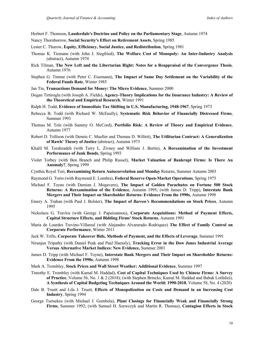Herbert F. Thomson, **Lauderdale's Doctrine and Policy on the Parliamentary Stage**, Autumn 1974

- Nancy Thornborrow, **Social Security's Effect on Retirement Assets**, Spring 1985
- Lester C. Thurow, **Equity, Efficiency, Social Justice, and Redistribution**, Spring 1981
- Thomas K. Tiemann (with John J. Siegfried), **The Welfare Cost of Monopoly: An Inter-Industry Analysis** (abstract), Autumn 1974
- Rick Tilman, **The New Left and the Libertarian Right: Notes for a Reappraisal of the Convergence Thesis**, Autumn 1976
- Stephen G. Timme (with Peter C. Eisemann), **The Impact of Same Day Settlement on the Variability of the Federal Funds Rate**, Winter 1985
- Jan Tin, **Transactions Demand for Money: The Micro Evidence**, Summer 2000
- Dogan Tirtiroglu (with Joseph A. Fields), **Agency-Theory Implications for the Insurance Industry: A Review of the Theoretical and Empirical Research**, Winter 1991
- Ralph H. Todd, **Evidence of Immediate Tax Shifting in U.S. Manufacturing, 1948-1967**, Spring 1973
- Rebecca B. Todd (with Richard W. McEnally), **Systematic Risk Behavior of Financially Distressed Firms**, Summer 1993
- Thomas M. Tole (with Sammy O. McCord), **Portfolio Risk: A Review of Theory and Empirical Evidence**, Autumn 1977
- Robert D. Tollison (with Dennis C. Mueller and Thomas D. Willett), **The Utilitarian Contract: A Generalization of Rawls' Theory of Justice** (abstract), Autumn 1973
- Khalil M. Torabzadeh (with Terry L. Zivney and William J. Bertin), **A Reexamination of the Investment Performance of Junk Bonds**, Spring 1993
- Violet Torbey (with Ben Branch and Philip Russel), **Market Valuation of Bankrupt Firms: Is There An Anomaly?**, Spring 1999
- Cynthia Royal Tori, **Reexamining Return Autocorrelation and Monday** Returns, Summer Autumn 2003
- Raymond G. Torto (with Raymond E. Lombra), **Federal Reserve Open-Market Operations**, Spring 1975
- Michael F. Toyne (with Damian J. Mogavero), **The Impact of Golden Parachutes on Fortune 500 Stock Returns: A Reexamination of the Evidence**, Autumn 1995; (with James D. Tripp), **Interstate Bank Mergers and Their Impact on Shareholder Returns: Evidence From the 1990s**, Autumn 1998
- Emery A. Trahan (with Paul J. Bolster), **The Impact of** *Barron's* **Recommendations on Stock Prices**, Autumn 1995
- Nickolaos G. Travlos (with George J. Papaioannou), **Corporate Acquisitions: Method of Payment Effects, Capital Structure Effects, and Bidding Firms' Stock Returns**, Autumn 1991
- Maria de Lourdes Trevino-Villareal (with Alejandro Alvararado–Rodriquez) **The Effect of Family Control on Corporate Performance**, Winter 2011
- Jack W. Trifts, **Corporate Takeover Bids, Methods of Payment, and the Effects of Leverage**, Summer 1991
- Niranjan Tripathy (with Daniel Peak and Paul Haensly), **Tracking Error in the Dow Jones Industrial Average Versus Alternative Market Indices: New Evidence,** Summer 2001
- James D. Tripp (with Michael F. Toyne), **Interstate Bank Mergers and Their Impact on Shareholder Returns: Evidence From the 1990s**, Autumn 1998
- Mark A. Trombley, **Stock Prices and Wall Street Weather: Additional Evidence**, Summer 1997
- Timothy E. Trombley (with Kamal M. Haddad), **Cost of Capital Techniques Used by Chinese Firms: A Survey of Practice**, Volume 56, No. 1 & 2 (2018); (with Stephen Brincks, Kamal M. Haddad and Babak Lotfaliei), **A Synthesis of Capital Budgeting Techniques Around the World: 1990-2018**, Volume 58, No. 4 (2020)
- Dale B. Truett and Lila J. Truett, **Effects of Monopolization on Costs and Demand in an Increasing Cost Industry**, Spring 1994
- George Tsetsekos (with Michael J. Gombola), **Plant Closings for Financially Weak and Financially Strong Firms**, Summer 1992; (with Samuel H. Szewczyk and Martin R. Thomas), **Contagion Effects in Stock**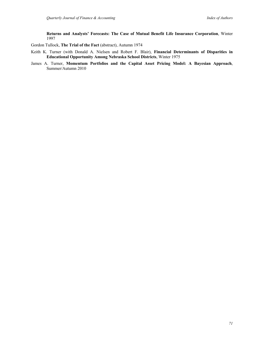**Returns and Analysts' Forecasts: The Case of Mutual Benefit Life Insurance Corporation**, Winter 1997

Gordon Tullock, **The Trial of the Fact** (abstract), Autumn 1974

- Keith K. Turner (with Donald A. Nielsen and Robert F. Blair), **Financial Determinants of Disparities in Educational Opportunity Among Nebraska School Districts**, Winter 1975
- James A. Turner, **Momentum Portfolios and the Capital Asset Pricing Model: A Bayesian Approach**, Summer/Autumn 2010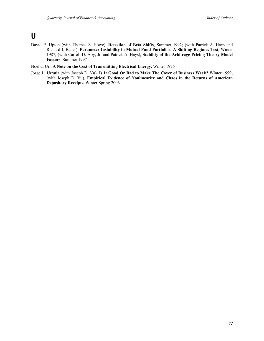## **U**

- David E. Upton (with Thomas S. Howe), **Detection of Beta Shifts**, Summer 1992; (with Patrick A. Hays and Richard J. Bauer), **Parameter Instability in Mutual Fund Portfolios: A Shifting Regimes Test**, Winter 1987; (with Carroll D. Aby, Jr. and Patrick A. Hays), **Stability of the Arbitrage Pricing Theory Model Factors**, Summer 1997
- Noel d. Uri, **A Note on the Cost of Transmitting Electrical Energy,** Winter 1976
- Jorge L. Urrutia (with Joseph D. Vu), **Is It Good Or Bad to Make The Cover of Business Week?** Winter 1999; (with Joseph D. Vu), **Empirical Evidence of Nonlinearity and Chaos in the Returns of American Depository Receipts,** Winter Spring 2006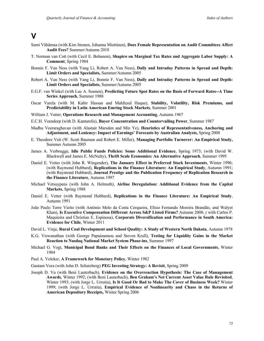## **V**

- Sami Vähämaa (with Kim Ittonen, Johanna Miettinen), **Does Female Representation on Audit Committees Affect Audit Fees?** Summer/Autumn 2010
- T. Norman van Cott (with Cecil E. Bohanon), **Shapiro on Marginal Tax Rates and Aggregate Labor Supply: A Comment**, Spring 1984
- Bonnie F. Van Ness (with Yang Li, Robert A. Van Ness), **Daily and Intraday Patterns in Spread and Depth: Limit Orders and Specialists,** Summer/Autumn 2005
- Robert A. Van Ness (with Yang Li, Bonnie F. Van Ness), **Daily and Intraday Patterns in Spread and Depth: Limit Orders and Specialists,** Summer/Autumn 2005
- E.G.F. van Winkel (with Luc A. Soenen), **Predicting Future Spot Rates on the Basis of Forward Rates--A Time Series Approach**, Summer 1988
- Oscar Varela (with M. Kabir Hassan and Mahfuzul Haque), **Stability, Volatility, Risk Premiums, and Predictability in Latin American Emring Stock Markets**, Summer 2001
- William J. Vatter, **Operations Research and Management Accounting**, Autumn 1967
- E.C.H. Veendorp (with D. Kantarelis), **Buyer Concentration and Countervailing Power**, Summer 1987
- Madhu Veeraraghavan (with Alastair Marsden and Min Ye), **Heuristics of Representativeness, Anchoring and Adjustment, and Leniency: Impact of Earnings' Forecasts by Australian Analysts,** Spring 2008
- E. Theodore Veit (W. Scott Bauman and Robert E. Miller), **Managing Portfolio Turnover: An Empirical Study,**  Summer Autumn 2005
- James A. Verbrugge, **Idle Public Funds Policies: Some Additional Evidence**, Spring 1973; (with David W. Blackwell and James E. McNulty), **Thrift Scale Economies: An Alternative Approach**, Summer 1995
- Daniel E. Vetter (with John R. Wingender), **The January Effect in Preferred Stock Investments**, Winter 1996; (with Raymond Hubbard), **Replications in the Finance Literature: An Empirical Study**, Autumn 1991; (with Raymond Hubbard), **Journal Prestige and the Publication Frequency of Replication Research in the Finance Literature**, Autumn 1997
- Michael Vetsuypens (with John A. Helmuth), **Airline Deregulation: Additional Evidence from the Capital Markets**, Spring 1988
- Daniel E. Vetter (with Raymond Hubbard), **Replications in the Finance Literature: An Empirical Study**, Autumn 1991
- João Paulo Torre Vieito (with António Melo da Costa Cerqueira, Elísio Fernando Moreira Brandão, and Walyet Khan), **Is Executive Compensation Different Across S&P Listed Firms?** Autumn 2008; ( with Carlos P. Maquieira and Christian E. Espinosa), **Corporate Diversification and Performance in South America: Evidence for Chile**, Winter 2011
- David L. Vinje, **Rural Coal Development and School Quality: A Study of Western North Dakota**, Autumn 1978
- K.G. Viswanathan (with George Papaioannou and Steven Krull), **Testing for Liquidity Gains in the Market Reaction to Nasdaq National Market System Phase-ins**, Summer 1997
- Michael G. Vogt, **Municipal Bond Banks and Their Effects on the Finances of Local Governments**, Winter 1984
- Paul A. Volcker, **A Framework for Monetary Policy**, Winter 1982
- Gautam Vora (with John D. Schatzberg) **PEG Investing Strategy: A Revisit**, Spring 2009
- Joseph D. Vu (with Beni Lauterbach), **Evidence on the Overreaction Hypothesis: The Case of Management Awards**, Winter 1992; (with Beni Lauterbach), **Ben Graham's Net Current Asset Value Rule Revisited**, Winter 1993; (with Jorge L. Urrutia), **Is It Good Or Bad to Make The Cover of Business Week?** Winter 1999; (with Jorge L. Urrutia), **Empirical Evidence of Nonlinearity and Chaos in the Returns of American Depository Receipts,** Winter Spring 2006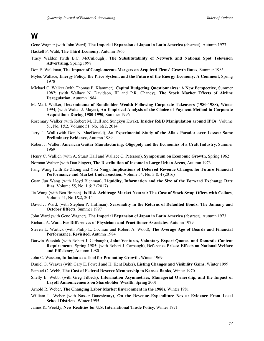## **W**

Gene Wagner (with John Ward), **The Imperial Expansion of Japan in Latin America** (abstract), Autumn 1973

- Haskell P. Wald, **The Third Economy**, Autumn 1965
- Tracy Waldon (with B.C. McCullough), **The Substitutability of Network and National Spot Television Advertising**, Spring 1998
- Don E. Waldman, **The Impact of Conglomerate Mergers on Acquired Firms' Growth Rates**, Summer 1983
- Myles Wallace, **Energy Policy, the Price System, and the Future of the Energy Economy: A Comment**, Spring 1978
- Michael C. Walker (with Thomas P. Klammer), **Capital Budgeting Questionnaires: A New Perspective**, Summer 1987; (with Wallace N. Davidson, III and P.R. Chandy), **The Stock Market Effects of Airline Deregulation**, Autumn 1984
- M. Mark Walker, **Determinants of Bondholder Wealth Following Corporate Takeovers (1980-1988)**, Winter 1994; (with Walter J. Mayer), **An Empirical Analysis of the Choice of Payment Method in Corporate Acquisitions During 1980-1990**, Summer 1996
- Rosemary Walker (with Robert M. Hull and Sungkyu Kwak), **Insider R&D Manipulation around IPOs**, Volume 51, No. 1&2, Volume 51, No. 1&2, 2014
- Jerry L. Wall (with Don N. MacDonald), **An Experimental Study of the Allais Paradox over Losses: Some Preliminary Evidence,** Autumn 1989
- Robert J. Waller, **American Guitar Manufacturing: Oligopoly and the Economics of a Craft Industry**, Summer 1969

Henry C. Wallich (with A. Stuart Hall and Wallace C. Peterson), **Symposium on Economic Growth,** Spring 1962

Norman Walzer (with Dan Singer), **The Distribution of Income in Large Urban Areas**, Autumn 1973

- Fang Wang (with Ke Zhong and Yixi Ning), **Implications of Deferred Revenue Changes for Future Financial Performance and Market Underreaction,** Volume 54, No. 3 & 4 (2016)
- Guan Jun Wang (with Lloyd Blenman), **Liquidity, Information and the Size of the Forward Exchange Rate Bias**, Volume 55, No. 1 & 2 (2017)
- Jia Wang (with Ben Branch), **Is Risk Arbitrage Market Neutral: The Case of Stock Swap Offers with Collars**, Volume 51, No 1&2, 2014
- David J. Ward, (with Stephen P. Huffman), **Seasonality in the Returns of Defaulted Bonds: The January and October Effects**, Summer 1997

John Ward (with Gene Wagner), **The Imperial Expansion of Japan in Latin America** (abstract), Autumn 1973

- Richard A. Ward, **Fee Differences of Physicians and Practitioner Associates**, Autumn 1979
- Steven L. Wartick (with Philip L. Cochran and Robert A. Wood), **The Average Age of Boards and Financial Performance, Revisited**, Autumn 1984
- Darwin Wassink (with Robert J. Carbaugh), **Joint Ventures, Voluntary Export Quotas, and Domestic Content Requirements**, Spring 1985; (with Robert J. Carbaugh), **Reference Prices: Effects on National Welfare and Efficiency**, Autumn 1980
- John C. Wassom, **Inflation as a Tool for Promoting Growth,** Winter 1969
- Daniel G. Weaver (with Gary E. Powell and H. Kent Baker), **Listing Changes and Visibility Gains**, Winter 1999
- Samuel C. Webb, **The Cost of Federal Reserve Membership to Kansas Banks**, Winter 1970
- Shelly E. Webb, (with Greg Filbeck), **Information Asymmetries, Managerial Ownership, and the Impact of Layoff Announcements on Shareholder Wealth**, Spring 2001
- Arnold R. Weber, **The Changing Labor Market Environment in the 1980s**, Winter 1981
- William L. Weber (with Nasser Daneshvary), **On the Revenue–Expenditure Nexus: Evidence From Local School Districts**, Winter 1995
- James K. Weekly, **New Realities for U.S. International Trade Policy**, Winter 1971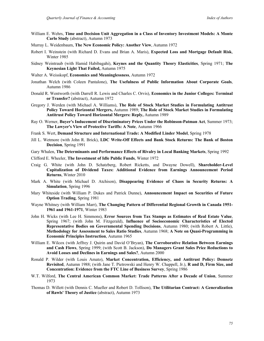- William E. Wehrs, **Time and Decision Unit Aggregation in a Class of Inventory Investment Models: A Monte Carlo Study** (abstract), Autumn 1973
- Murray L. Weidenbaum, **The New Economic Policy: Another View**, Autumn 1972
- Robert I. Weinstein (with Richard D. Evans and Brian A. Maris), **Expected Loss and Mortgage Default Risk**, Winter 1985
- Sidney Weintraub (with Hamid Habibagahi), **Keynes and the Quantity Theory Elasticities**, Spring 1971; **The Keynesian Light That Failed,** Autumn 1975
- Walter A. Weisskopf, **Economics and Meaninglessness**, Autumn 1972
- Jonathan Welch (with Coleen Pantalone), **The Usefulness of Public Information About Corporate Goals**, Autumn 1986
- Donald R. Wentworth (with Darrell R. Lewis and Charles C. Orvis), **Economics in the Junior Colleges: Terminal or Transfer?** (abstract), Autumn 1972
- Gregory J. Werden (with Michael A. Williams), **The Role of Stock Market Studies in Formulating Antitrust Policy Toward Horizontal Mergers,** Autumn 1989; **The Role of Stock Market Studies in Formulating Antitrust Policy Toward Horizontal Mergers: Reply,** Autumn 1989
- Ray O. Werner, **Buyer's Inducement of Discriminatory Prices Under the Robinson-Patman Act**, Summer 1973; **The Lawyer's View of Protective Tariffs: A Note**, Autumn 1966
- Frank S. Wert, **Demand Structure and International Trade: A Modified Linder Model**, Spring 1978
- Jill L. Wetmore (with John R. Brick), **LDC Write-Off Effects and Bank Stock Returns: The Bank of Boston Decision**, Spring 1991
- Gary Whalen, **The Determinants and Performance Effects of Rivalry in Local Banking Markets**, Spring 1992
- Clifford E. Wheeler, **The Investment of Idle Public Funds**, Winter 1972
- Craig G. White (with John D. Schatzberg, Robert Ricketts, and Dwayne Dowell), **Shareholder-Level Capitalization of Dividend Taxes: Additional Evidence from Earnings Announcement Period Returns**, Winter 2010
- Mark A. White (with Michael D. Atchison), **Disappearing Evidence of Chaos in Security Returns: A Simulation**, Spring 1996
- Mary Whiteside (with William P. Dukes and Patrick Dunne), **Announcement Impact on Securities of Future Option Trading**, Spring 1981
- Wayne Whitney (with William Marr), **The Changing Pattern of Differential Regional Growth in Canada 1951- 1961 and 1961-1971**, Winter 1983
- John H. Wicks (with Lee H. Simmons), **Error Sources from Tax Stamps as Estimates of Real Estate Value**, Spring 1967; (with John M. Fitzgerald), **Influence of Socioeconomic Characteristics of Elected Representative Bodies on Governmental Spending Decisions**, Autumn 1980; (with Robert A. Little), **Methodology for Assessment to Sales Ratio Studies**, Autumn 1968; **A Note on Quasi-Programming in Economic Principles Instruction**, Autumn 1965
- William E. Wilcox (with Jeffrey J. Quirin and David O'Bryan), **The Corroborative Relation Between Earnings and Cash Flows**, Spring 1999; (with Scott B. Jackson), **Do Managers Grant Sales Price Reductions to Avoid Losses and Declines in Earnings and Sales?**, Autumn 2000
- Ronald P. Wilder (with Louis Amato), **Market Concentration, Efficiency, and Antitrust Policy: Demsetz Revisited**, Autumn 1988; (with Jane T. Pietrowski and Henry W. Chappell, Jr.), **R and D, Firm Size, and Concentration: Evidence from the FTC Line of Business Survey**, Spring 1986
- W.T. Wilford, **The Central American Common Market: Trade Patterns After a Decade of Union**, Summer 1973
- Thomas D. Willett (with Dennis C. Mueller and Robert D. Tollison), **The Utilitarian Contract: A Generalization of Rawls' Theory of Justice** (abstract), Autumn 1973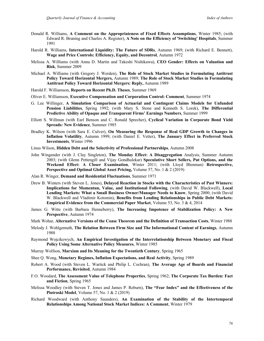- Donald R. Williams, **A Comment on the Appropriateness of Fixed Effects Assumptions**, Winter 1985; (with Edward R. Bruning and Charles A. Register), **A Note on the Efficiency of 'Switching' Hospitals**, Summer 1991
- Harold R. Williams, **International Liquidity: The Future of SDRs**, Autumn 1969; (with Richard E. Bennett), **Wage and Price Controls: Efficiency, Equity, and Decontrol**, Autumn 1972
- Melissa A. Williams (with Anna D. Martin and Takeshi Nishikawa), **CEO Gender: Effects on Valuation and Risk**, Summer 2009
- Michael A. Williams (with Gregory J. Werden), **The Role of Stock Market Studies in Formulating Antitrust Policy Toward Horizontal Mergers,** Autumn 1989; **The Role of Stock Market Studies in Formulating Antitrust Policy Toward Horizontal Mergers: Reply,** Autumn 1989
- Harold F. Williamson, **Reports on Recent Ph.D. Theses**, Summer 1969
- Oliver E. Williamson, **Executive Compensation and Corporation Control: Comment**, Summer 1974
- G. Lee Willinger, **A Simulation Comparison of Actuarial and Contingent Claims Models for Unfunded Pension Liabilities**, Spring 1992; (with Mary S. Stone and Kenneth S. Lorek), **The Differential Predictive Ability of Opaque and Transparent Firms' Earnings Numbers**, Summer 1999
- Elliott S. Willman (with Earl Benson and C. Ronald Sprecher), **Cyclical Variation in Corporate Bond Yield Spreads: New Evidence**, Summer 1985
- Bradley K. Wilson (with Sara E. Culver), **On Measuring the Response of Real GDP Growth to Changes in Inflation Volatility**, Autumn 1999, (with Daniel E. Vetter), **The January Effect in Preferred Stock Investments**, Winter 1996
- Linus Wilson, **Hidden Debt and the Selectivity of Professional Partnerships**, Autumn 2008
- John Wingender (with J. Clay Singleton), **The Monday Effect: A Disaggregation** Analysis, Summer Autumn 2003; (with Glenn Pettengill and Vijay Gondhalekar) **Speculative Short Sellers, Put Options, and the Weekend Effect: A Closer Examination**, Winter 2011; (with Lloyd Blenman) **Retrospective, Perspective and Optimal Global Asset Pricing,** Volume 57, No. 1 & 2 (2019)
- Alan R. Winger, **Demand and Residential Fluctuations**, Summer 1971
- Drew B. Winters (with Steven L. Jones), **Delayed Reaction in Stocks with the Characteristics of Past Winners: Implications for Momentun, Value, and Institutional Following**, (with David W. Blackwell), **Local Lending Markets: What a Small Business Owner/Manager Needs to Know**, Spring 2000; (with David W. Blackwell and Vladimir Kotomin), **Benefits from Lending Relationships in Public Debt Markets: Empirical Evidence from the Commercial Paper Market**, Volume 53, No. 3 & 4, 2014
- James G. Witte (with Barbara Henneberry), **The Increasing Impotence of Stabilization Policy: A New Perspective**, Autumn 1974
- Mark Wohar, **Alternative Versions of the Coase Theorem and the Definition of Transaction Costs**, Winter 1988
- Melody J. Wohlgemuth, **The Relation Between Firm Size and The Informational Content of Earnings**, Autumn 1988
- Raymond Wojcikewych, **An Empirical Investigation of the Interrelationship Between Monetary and Fiscal Policy Using Some Alternative Policy Measures**, Winter 1985
- Murray Wolfson, **Marxism and Its Meaning for the Twentieth Century**, Spring 1965
- Shee Q. Wong, **Monetary Regimes, Inflation Expectations, and Real Activity**, Spring 1989
- Robert A. Wood (with Steven L. Wartick and Philip L. Cochran), **The Average Age of Boards and Financial Performance, Revisited**, Autumn 1984
- F.O. Woodard, **The Assessment Value of Telephone Properties**, Spring 1962; **The Corporate Tax Burden: Fact and Fiction**, Spring 1965
- Melissa Woodley (with Steven T. Jones and James P. Reburn), **The "Fear Index" and the Effectiveness of the Piotroski Model**, Volume 57, No. 1 & 2 (2019)
- Richard Woodward (with Anthony Saunders), **An Examination of the Stability of the Intertemporal Relationships Among National Stock Market Indices: A Comment**, Winter 1979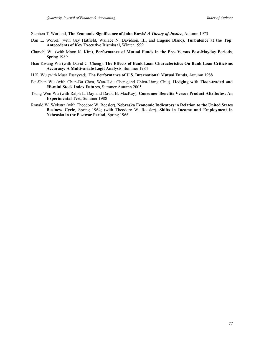Stephen T. Worland, **The Economic Significance of John Rawls'** *A Theory of Justice*, Autumn 1973

- Dan L. Worrell (with Gay Hatfield, Wallace N. Davidson, III, and Eugene Bland), **Turbulence at the Top: Antecedents of Key Executive Dismissal**, Winter 1999
- Chunchi Wu (with Moon K. Kim), **Performance of Mutual Funds in the Pre- Versus Post-Mayday Periods**, Spring 1989
- Hsiu-Kwang Wu (with David C. Cheng), **The Effects of Bank Loan Characteristics On Bank Loan Criticisms Accuracy: A Multivariate Logit Analysis**, Summer 1984
- H.K. Wu (with Musa Essayyad), **The Performance of U.S. International Mutual Funds**, Autumn 1988
- Pei-Shan Wu (with Chun-Da Chen, Wan-Hsiu Cheng,and Chien-Liang Chiu), **Hedging with Floor-traded and #E-mini Stock Index Futures**, Summer Autumn 2005
- Tsung Wen Wu (with Ralph L. Day and David B. MacKay), **Consumer Benefits Versus Product Attributes: An Experimental Test**, Summer 1988
- Ronald W. Wykstra (with Theodore W. Roesler), **Nebraska Economic Indicators in Relation to the United States Business Cycle**, Spring 1964; (with Theodore W. Roesler), **Shifts in Income and Employment in Nebraska in the Postwar Period**, Spring 1966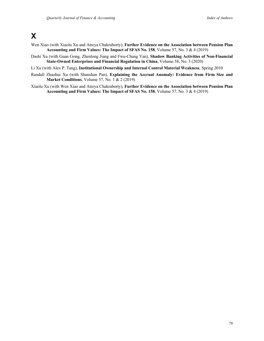## **X**

- Wen Xiao (with Xiaolu Xu and Atreya Chakraborty), **Further Evidence on the Association between Pension Plan Accounting and Firm Values: The Impact of SFAS No. 158**, Volume 57, No. 3 & 4 (2019)
- Dashi Xu (with Guan Gong, Zhenlong Jiang and Fwu-Chang Yan), **Shadow Banking Activities of Non-Financial State-Owned Enterprises and Financial Regulation in China**, Volume 58, No. 3 (2020)
- Li Xu (with Alex P. Tang), **Institutional Ownership and Internal Control Material Weakness**, Spring 2010
- Randall Zhaohui Xu (with Shanshan Pan), **Explaining the Accrual Anomaly: Evidence from Firm Size and Market Conditions**, Volume 57, No. 1 & 2 (2019)
- Xiaolu Xu (with Wen Xiao and Atreya Chakraborty), **Further Evidence on the Association between Pension Plan Accounting and Firm Values: The Impact of SFAS No. 158**, Volume 57, No. 3 & 4 (2019)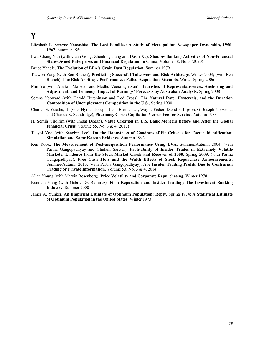**Y**

- Elizabeth E. Swayne Yamashita, **The Last Families: A Study of Metropolitan Newspaper Ownership, 1950- 1967**, Summer 1969
- Fwu-Chang Yan (with Guan Gong, Zhenlong Jiang and Dashi Xu), **Shadow Banking Activities of Non-Financial State-Owned Enterprises and Financial Regulation in China**, Volume 58, No. 3 (2020)
- Bruce Yandle, **The Evolution of EPA's Grain Dust Regulation**, Summer 1979
- Taewon Yang (with Ben Branch), **Predicting Successful Takeovers and Risk Arbitrage**, Winter 2003; (with Ben Branch), **The Risk Arbitrage Performance: Failed Acquisition Attempts**, Winter Spring 2006
- Min Ye (with Alastair Marsden and Madhu Veeraraghavan), **Heuristics of Representativeness, Anchoring and Adjustment, and Leniency: Impact of Earnings' Forecasts by Australian Analysts,** Spring 2008
- Serena Yeoward (with Harold Hutchinson and Rod Cross), **The Natural Rate, Hysteresis, and the Duration Composition of Unemployment Composition in the U.S.**, Spring 1990
- Charles E. Yesalis, III (with Hyman Joseph, Leon Burmeister, Wayne Fisher, David P. Lipson, G. Joseph Norwood, and Charles R. Standridge), **Pharmacy Costs: Capitation Versus Fee-for-Service**, Autumn 1983
- H. Semih Yildirim (with İmdat Doğan), **Value Creation in U.S. Bank Mergers Before and After the Global Financial Crisis**, Volume 55, No. 3 & 4 (2017)
- Taeyol Yoo (with Sangbin Lee), **On the Robustness of Goodness-of-Fit Criteria for Factor Identification: Simulation and Some Korean Evidence**, Autumn 1992
- Ken Yook, **The Measurement of Post-accquisition Performance Using EVA,** Summer/Autumn 2004; (with Partha Gangopadhyay and Ghulam Sarwar), **Profitability of Insider Trades in Extremely Volatile Markets: Evidence from the Stock Market Crash and Recover of 2000**, Spring 2009; (with Partha Gangopadhyay), **Free Cash Flow and the Walth Effects of Stock Repurchase Announcements**, Summer/Autumn 2010; (with Partha Gangopadhyay), **Are Insider Trading Profits Due to Contrarian Trading or Private Information**, Volume 53, No. 3 & 4, 2014
- Allan Young (with Marvin Rosenberg), **Price Volatility and Corporate Repurchasing**, Winter 1978
- Kenneth Yung (with Gabriel G. Ramirez), **Firm Repuration and Insider Trading: The Investment Banking Industry**, Summer 2000
- James A. Yunker, **An Empirical Estimate of Optimum Population: Reply**, Spring 1974; **A Statistical Estimate of Optimum Population in the United States**, Winter 1973